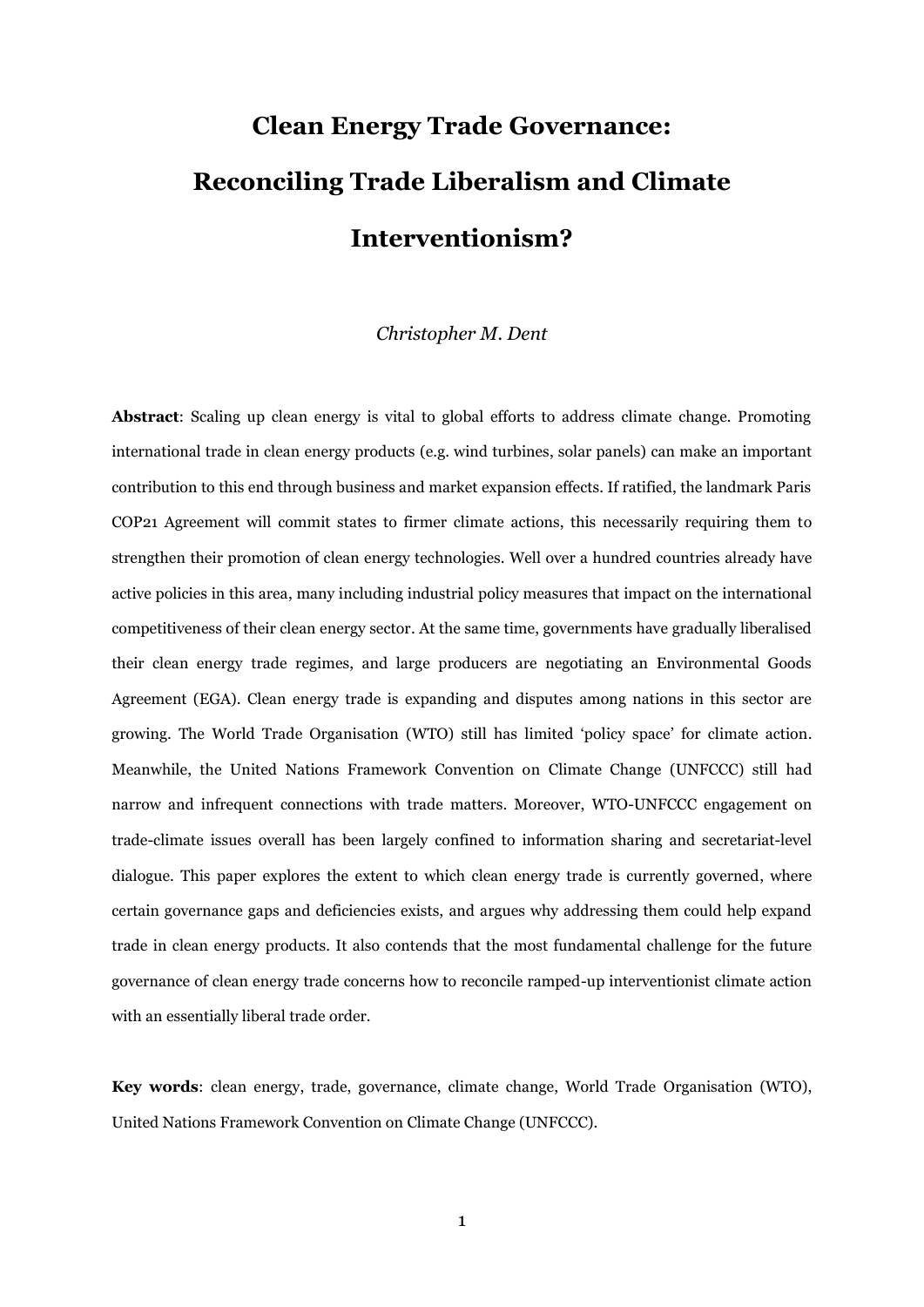# **Clean Energy Trade Governance: Reconciling Trade Liberalism and Climate Interventionism?**

#### *Christopher M. Dent*

**Abstract**: Scaling up clean energy is vital to global efforts to address climate change. Promoting international trade in clean energy products (e.g. wind turbines, solar panels) can make an important contribution to this end through business and market expansion effects. If ratified, the landmark Paris COP21 Agreement will commit states to firmer climate actions, this necessarily requiring them to strengthen their promotion of clean energy technologies. Well over a hundred countries already have active policies in this area, many including industrial policy measures that impact on the international competitiveness of their clean energy sector. At the same time, governments have gradually liberalised their clean energy trade regimes, and large producers are negotiating an Environmental Goods Agreement (EGA). Clean energy trade is expanding and disputes among nations in this sector are growing. The World Trade Organisation (WTO) still has limited 'policy space' for climate action. Meanwhile, the United Nations Framework Convention on Climate Change (UNFCCC) still had narrow and infrequent connections with trade matters. Moreover, WTO-UNFCCC engagement on trade-climate issues overall has been largely confined to information sharing and secretariat-level dialogue. This paper explores the extent to which clean energy trade is currently governed, where certain governance gaps and deficiencies exists, and argues why addressing them could help expand trade in clean energy products. It also contends that the most fundamental challenge for the future governance of clean energy trade concerns how to reconcile ramped-up interventionist climate action with an essentially liberal trade order.

**Key words**: clean energy, trade, governance, climate change, World Trade Organisation (WTO), United Nations Framework Convention on Climate Change (UNFCCC).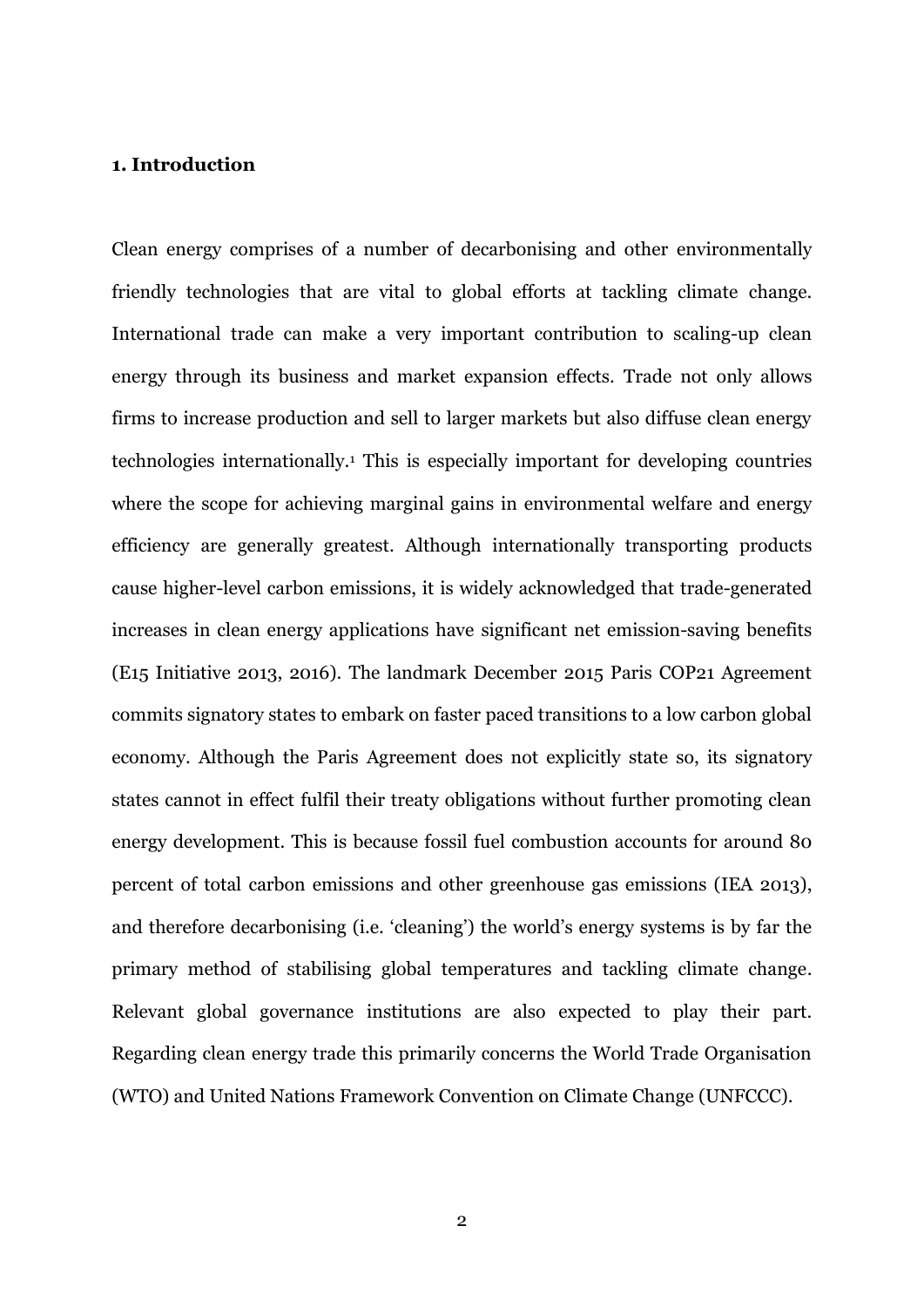# **1. Introduction**

Clean energy comprises of a number of decarbonising and other environmentally friendly technologies that are vital to global efforts at tackling climate change. International trade can make a very important contribution to scaling-up clean energy through its business and market expansion effects. Trade not only allows firms to increase production and sell to larger markets but also diffuse clean energy technologies internationally.<sup>1</sup> This is especially important for developing countries where the scope for achieving marginal gains in environmental welfare and energy efficiency are generally greatest. Although internationally transporting products cause higher-level carbon emissions, it is widely acknowledged that trade-generated increases in clean energy applications have significant net emission-saving benefits (E15 Initiative 2013, 2016). The landmark December 2015 Paris COP21 Agreement commits signatory states to embark on faster paced transitions to a low carbon global economy. Although the Paris Agreement does not explicitly state so, its signatory states cannot in effect fulfil their treaty obligations without further promoting clean energy development. This is because fossil fuel combustion accounts for around 80 percent of total carbon emissions and other greenhouse gas emissions (IEA 2013), and therefore decarbonising (i.e. 'cleaning') the world's energy systems is by far the primary method of stabilising global temperatures and tackling climate change. Relevant global governance institutions are also expected to play their part. Regarding clean energy trade this primarily concerns the World Trade Organisation (WTO) and United Nations Framework Convention on Climate Change (UNFCCC).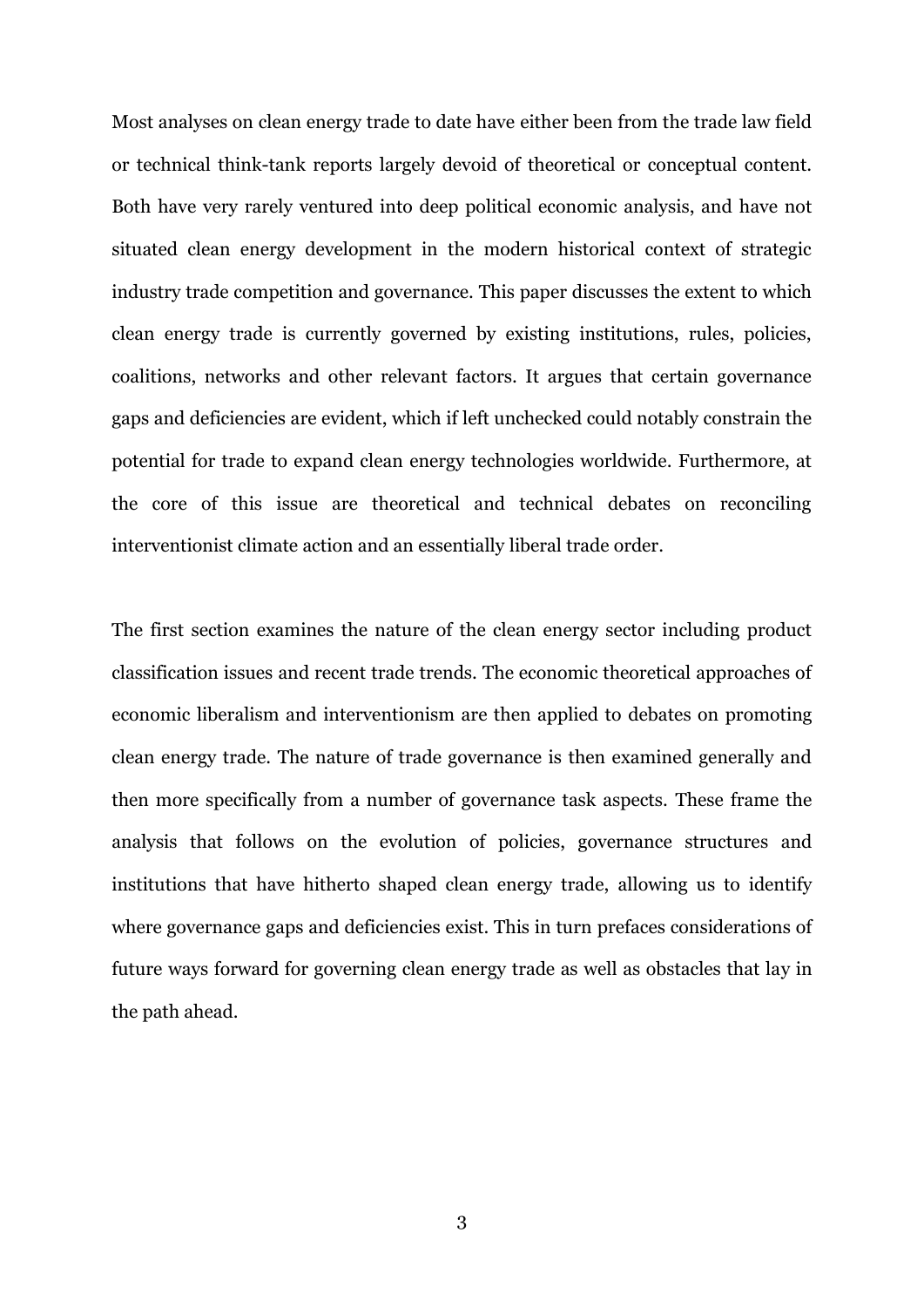Most analyses on clean energy trade to date have either been from the trade law field or technical think-tank reports largely devoid of theoretical or conceptual content. Both have very rarely ventured into deep political economic analysis, and have not situated clean energy development in the modern historical context of strategic industry trade competition and governance. This paper discusses the extent to which clean energy trade is currently governed by existing institutions, rules, policies, coalitions, networks and other relevant factors. It argues that certain governance gaps and deficiencies are evident, which if left unchecked could notably constrain the potential for trade to expand clean energy technologies worldwide. Furthermore, at the core of this issue are theoretical and technical debates on reconciling interventionist climate action and an essentially liberal trade order.

The first section examines the nature of the clean energy sector including product classification issues and recent trade trends. The economic theoretical approaches of economic liberalism and interventionism are then applied to debates on promoting clean energy trade. The nature of trade governance is then examined generally and then more specifically from a number of governance task aspects. These frame the analysis that follows on the evolution of policies, governance structures and institutions that have hitherto shaped clean energy trade, allowing us to identify where governance gaps and deficiencies exist. This in turn prefaces considerations of future ways forward for governing clean energy trade as well as obstacles that lay in the path ahead.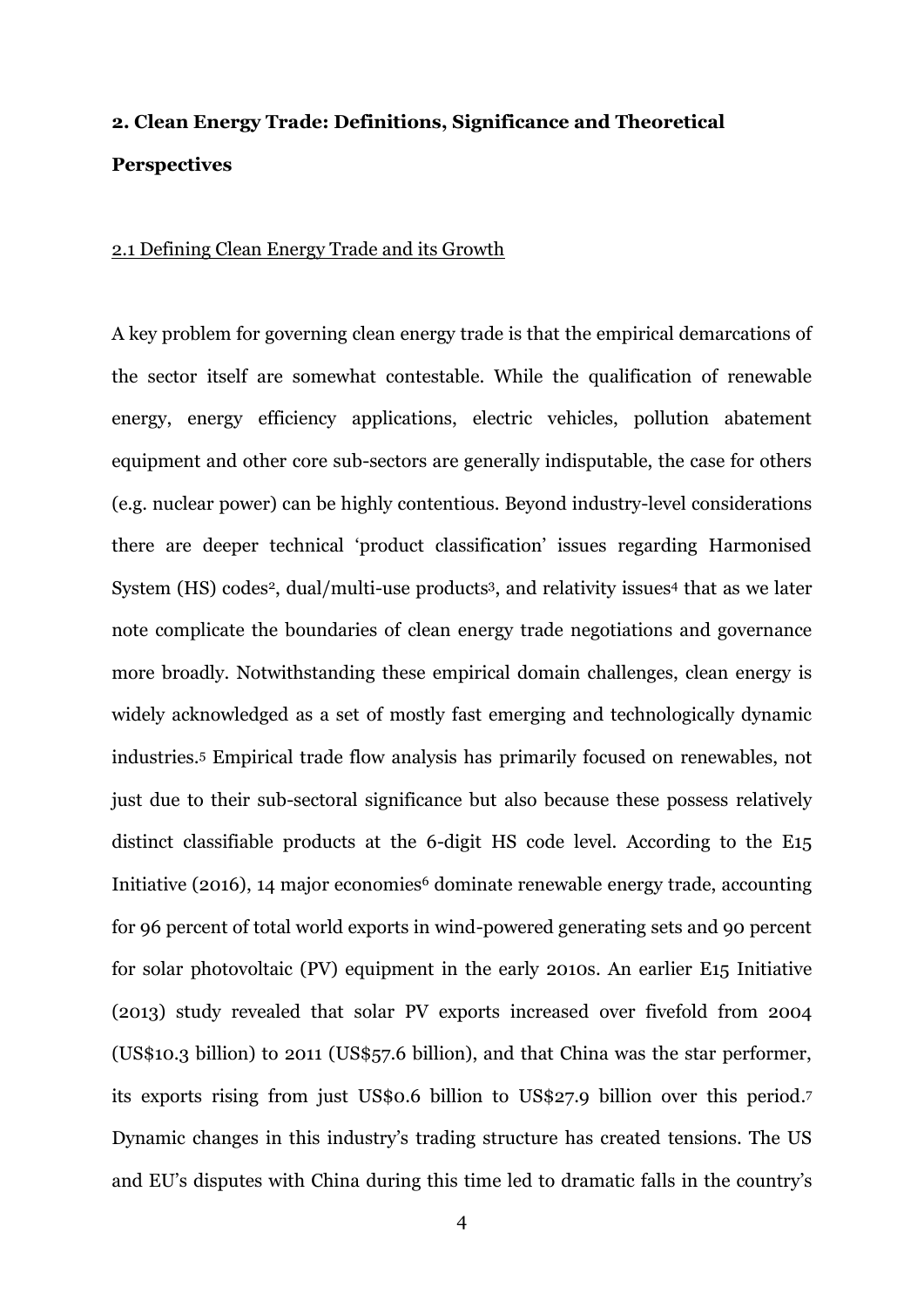# **2. Clean Energy Trade: Definitions, Significance and Theoretical Perspectives**

#### 2.1 Defining Clean Energy Trade and its Growth

A key problem for governing clean energy trade is that the empirical demarcations of the sector itself are somewhat contestable. While the qualification of renewable energy, energy efficiency applications, electric vehicles, pollution abatement equipment and other core sub-sectors are generally indisputable, the case for others (e.g. nuclear power) can be highly contentious. Beyond industry-level considerations there are deeper technical 'product classification' issues regarding Harmonised System (HS) codes<sup>2</sup>, dual/multi-use products<sup>3</sup>, and relativity issues<sup>4</sup> that as we later note complicate the boundaries of clean energy trade negotiations and governance more broadly. Notwithstanding these empirical domain challenges, clean energy is widely acknowledged as a set of mostly fast emerging and technologically dynamic industries.<sup>5</sup> Empirical trade flow analysis has primarily focused on renewables, not just due to their sub-sectoral significance but also because these possess relatively distinct classifiable products at the 6-digit HS code level. According to the E15 Initiative (2016), 14 major economies<sup>6</sup> dominate renewable energy trade, accounting for 96 percent of total world exports in wind-powered generating sets and 90 percent for solar photovoltaic (PV) equipment in the early 2010s. An earlier E15 Initiative (2013) study revealed that solar PV exports increased over fivefold from 2004 (US\$10.3 billion) to 2011 (US\$57.6 billion), and that China was the star performer, its exports rising from just US\$0.6 billion to US\$27.9 billion over this period. 7 Dynamic changes in this industry's trading structure has created tensions. The US and EU's disputes with China during this time led to dramatic falls in the country's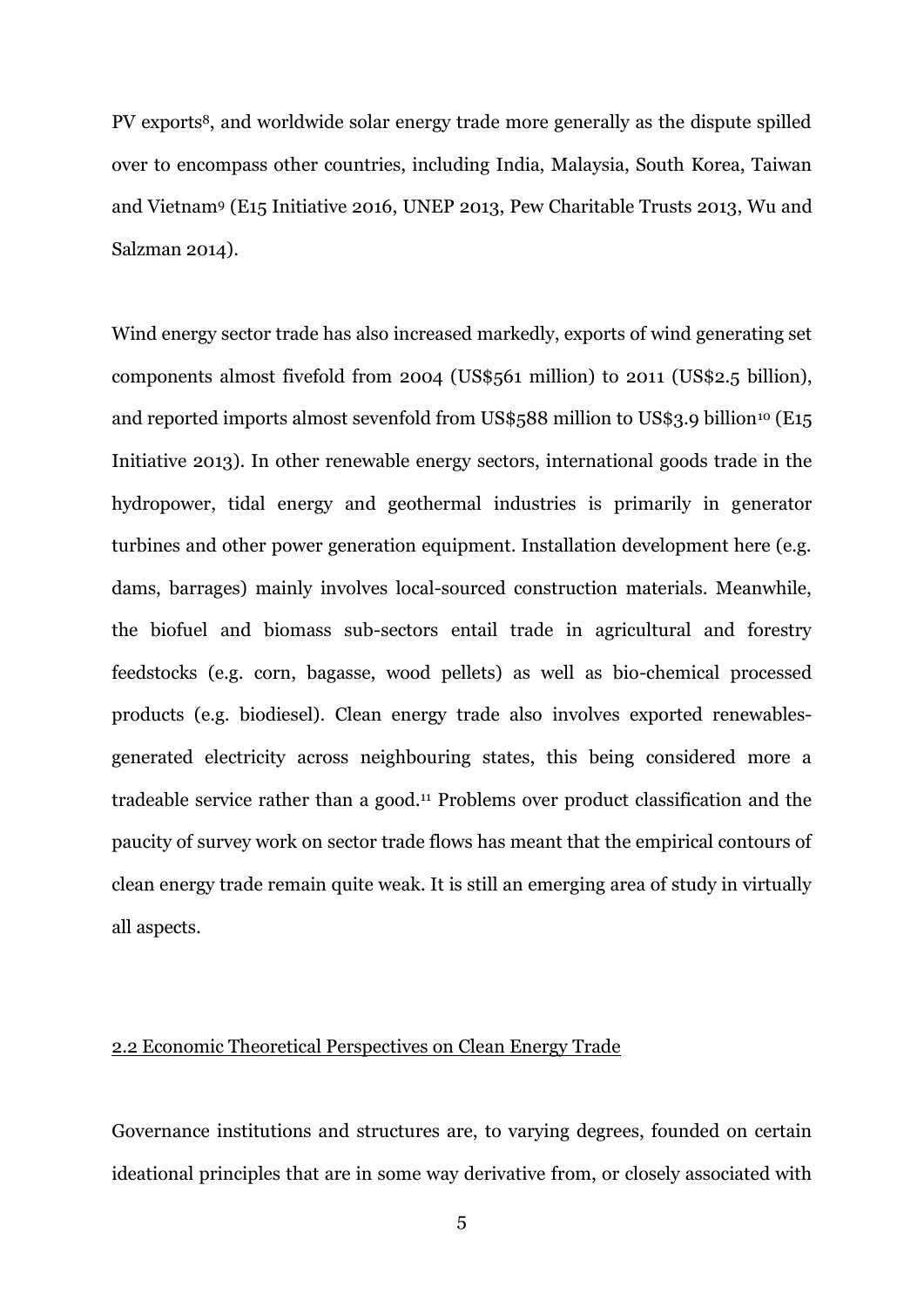PV exports8, and worldwide solar energy trade more generally as the dispute spilled over to encompass other countries, including India, Malaysia, South Korea, Taiwan and Vietnam<sup>9</sup> (E15 Initiative 2016, UNEP 2013, Pew Charitable Trusts 2013, Wu and Salzman 2014).

Wind energy sector trade has also increased markedly, exports of wind generating set components almost fivefold from 2004 (US\$561 million) to 2011 (US\$2.5 billion), and reported imports almost sevenfold from US\$588 million to US\$3.9 billion<sup>10</sup> (E15 Initiative 2013). In other renewable energy sectors, international goods trade in the hydropower, tidal energy and geothermal industries is primarily in generator turbines and other power generation equipment. Installation development here (e.g. dams, barrages) mainly involves local-sourced construction materials. Meanwhile, the biofuel and biomass sub-sectors entail trade in agricultural and forestry feedstocks (e.g. corn, bagasse, wood pellets) as well as bio-chemical processed products (e.g. biodiesel). Clean energy trade also involves exported renewablesgenerated electricity across neighbouring states, this being considered more a tradeable service rather than a good.<sup>11</sup> Problems over product classification and the paucity of survey work on sector trade flows has meant that the empirical contours of clean energy trade remain quite weak. It is still an emerging area of study in virtually all aspects.

# 2.2 Economic Theoretical Perspectives on Clean Energy Trade

Governance institutions and structures are, to varying degrees, founded on certain ideational principles that are in some way derivative from, or closely associated with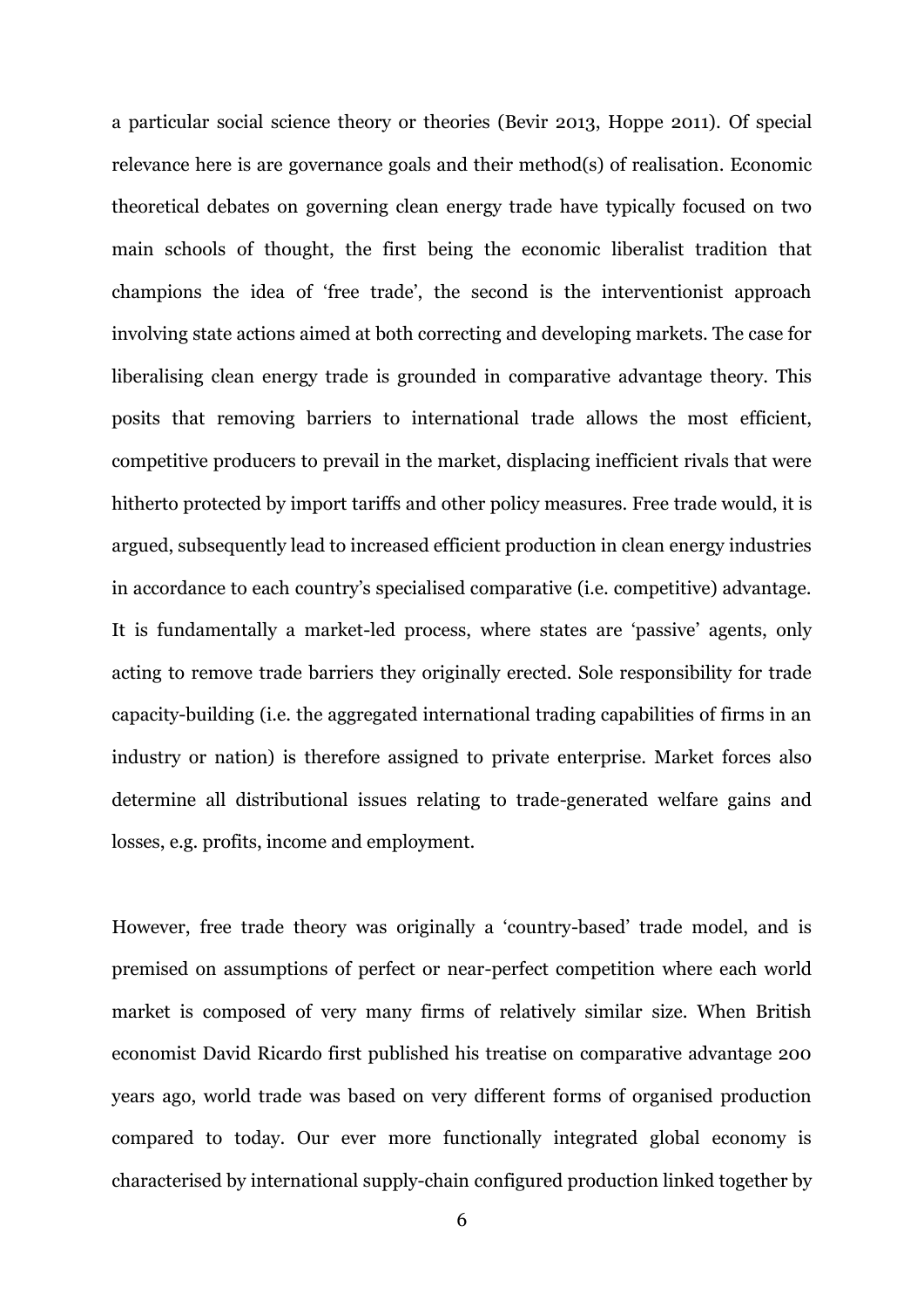a particular social science theory or theories (Bevir 2013, Hoppe 2011). Of special relevance here is are governance goals and their method(s) of realisation. Economic theoretical debates on governing clean energy trade have typically focused on two main schools of thought, the first being the economic liberalist tradition that champions the idea of 'free trade', the second is the interventionist approach involving state actions aimed at both correcting and developing markets. The case for liberalising clean energy trade is grounded in comparative advantage theory. This posits that removing barriers to international trade allows the most efficient, competitive producers to prevail in the market, displacing inefficient rivals that were hitherto protected by import tariffs and other policy measures. Free trade would, it is argued, subsequently lead to increased efficient production in clean energy industries in accordance to each country's specialised comparative (i.e. competitive) advantage. It is fundamentally a market-led process, where states are 'passive' agents, only acting to remove trade barriers they originally erected. Sole responsibility for trade capacity-building (i.e. the aggregated international trading capabilities of firms in an industry or nation) is therefore assigned to private enterprise. Market forces also determine all distributional issues relating to trade-generated welfare gains and losses, e.g. profits, income and employment.

However, free trade theory was originally a 'country-based' trade model, and is premised on assumptions of perfect or near-perfect competition where each world market is composed of very many firms of relatively similar size. When British economist David Ricardo first published his treatise on comparative advantage 200 years ago, world trade was based on very different forms of organised production compared to today. Our ever more functionally integrated global economy is characterised by international supply-chain configured production linked together by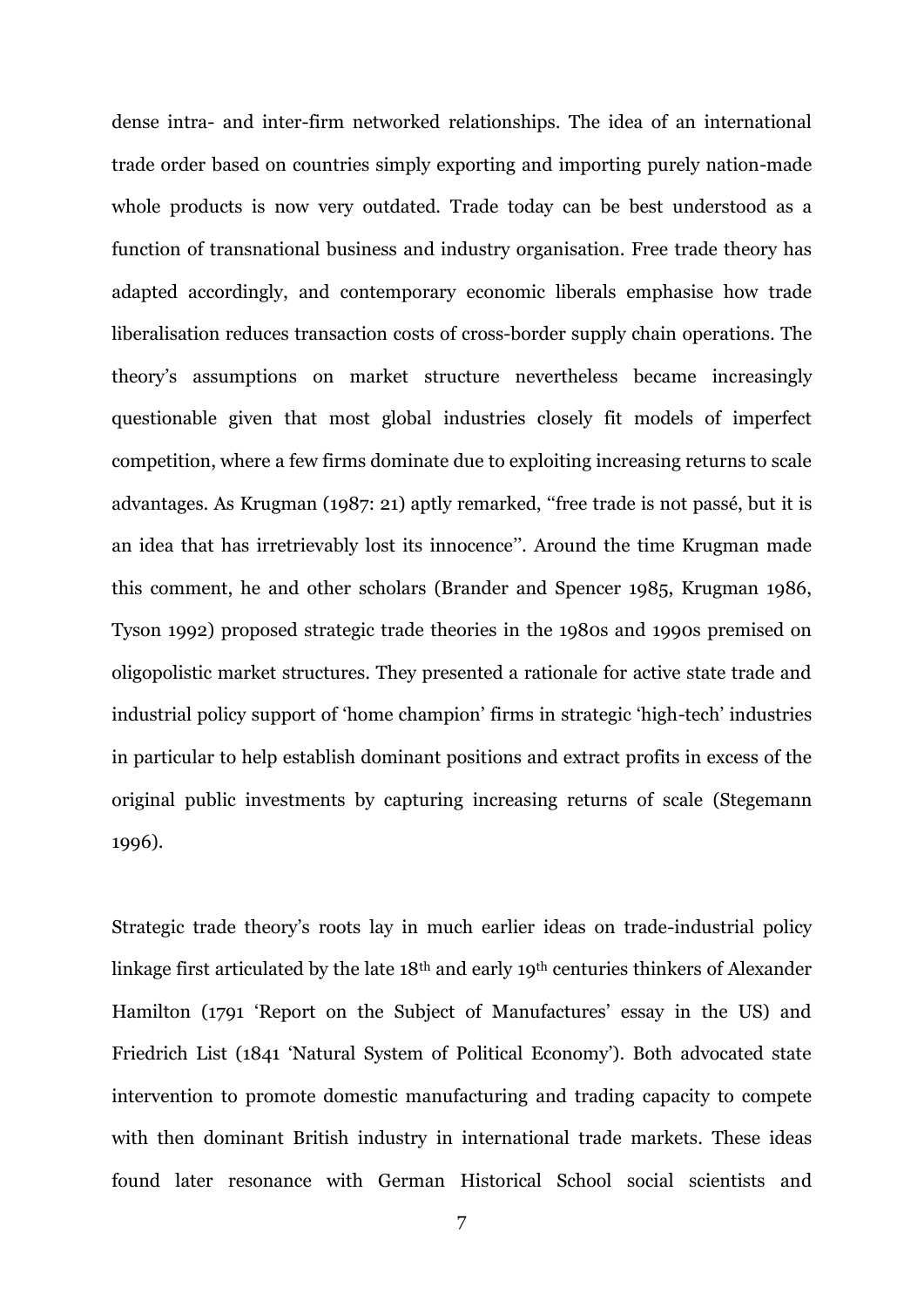dense intra- and inter-firm networked relationships. The idea of an international trade order based on countries simply exporting and importing purely nation-made whole products is now very outdated. Trade today can be best understood as a function of transnational business and industry organisation. Free trade theory has adapted accordingly, and contemporary economic liberals emphasise how trade liberalisation reduces transaction costs of cross-border supply chain operations. The theory's assumptions on market structure nevertheless became increasingly questionable given that most global industries closely fit models of imperfect competition, where a few firms dominate due to exploiting increasing returns to scale advantages. As Krugman (1987: 21) aptly remarked, ''free trade is not passé, but it is an idea that has irretrievably lost its innocence''. Around the time Krugman made this comment, he and other scholars (Brander and Spencer 1985, Krugman 1986, Tyson 1992) proposed strategic trade theories in the 1980s and 1990s premised on oligopolistic market structures. They presented a rationale for active state trade and industrial policy support of 'home champion' firms in strategic 'high-tech' industries in particular to help establish dominant positions and extract profits in excess of the original public investments by capturing increasing returns of scale (Stegemann 1996).

Strategic trade theory's roots lay in much earlier ideas on trade-industrial policy linkage first articulated by the late 18th and early 19th centuries thinkers of Alexander Hamilton (1791 'Report on the Subject of Manufactures' essay in the US) and Friedrich List (1841 'Natural System of Political Economy'). Both advocated state intervention to promote domestic manufacturing and trading capacity to compete with then dominant British industry in international trade markets. These ideas found later resonance with German Historical School social scientists and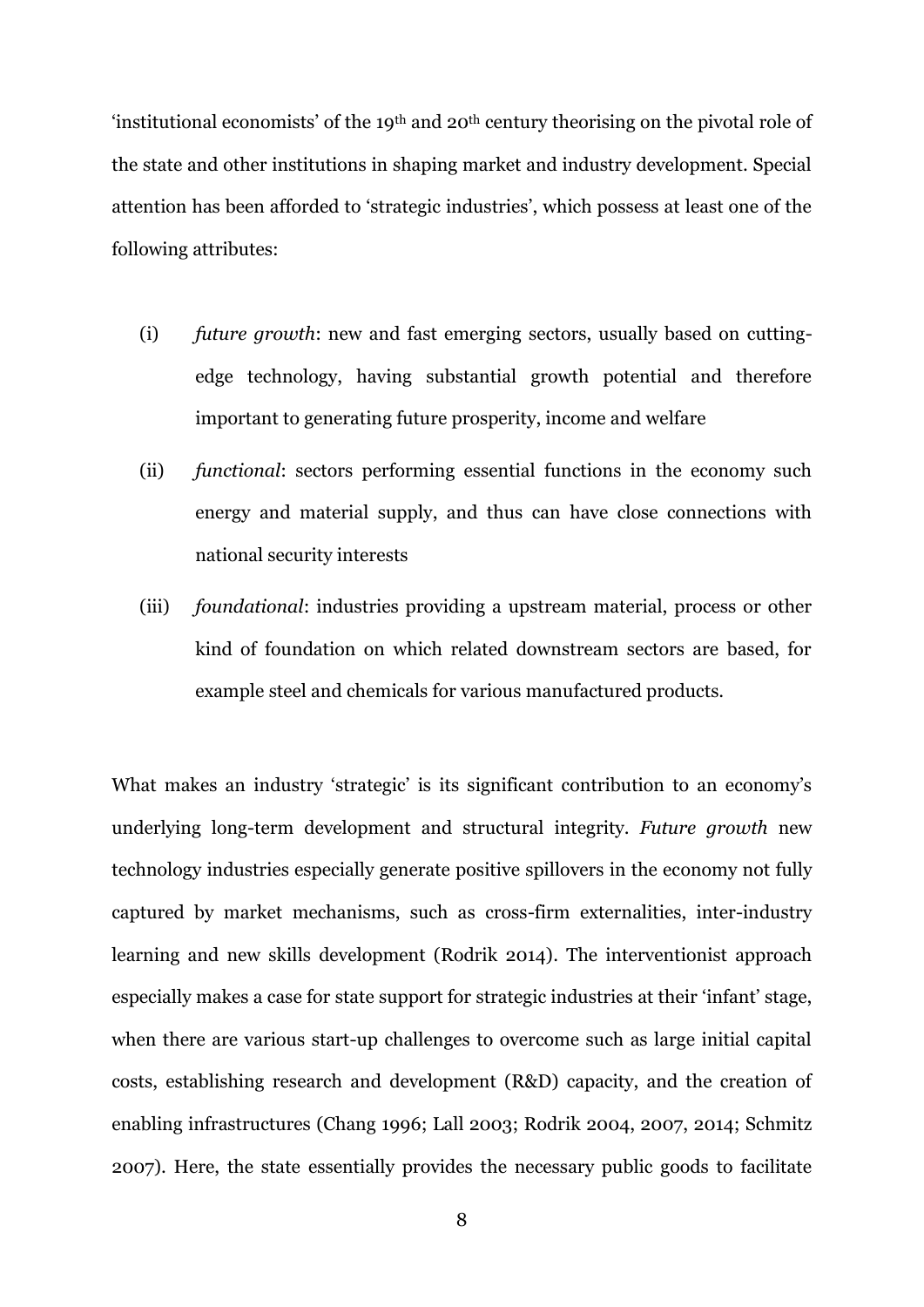'institutional economists' of the 19th and 20th century theorising on the pivotal role of the state and other institutions in shaping market and industry development. Special attention has been afforded to 'strategic industries', which possess at least one of the following attributes:

- (i) *future growth*: new and fast emerging sectors, usually based on cuttingedge technology, having substantial growth potential and therefore important to generating future prosperity, income and welfare
- (ii) *functional*: sectors performing essential functions in the economy such energy and material supply, and thus can have close connections with national security interests
- (iii) *foundational*: industries providing a upstream material, process or other kind of foundation on which related downstream sectors are based, for example steel and chemicals for various manufactured products.

What makes an industry 'strategic' is its significant contribution to an economy's underlying long-term development and structural integrity. *Future growth* new technology industries especially generate positive spillovers in the economy not fully captured by market mechanisms, such as cross-firm externalities, inter-industry learning and new skills development (Rodrik 2014). The interventionist approach especially makes a case for state support for strategic industries at their 'infant' stage, when there are various start-up challenges to overcome such as large initial capital costs, establishing research and development (R&D) capacity, and the creation of enabling infrastructures (Chang 1996; Lall 2003; Rodrik 2004, 2007, 2014; Schmitz 2007). Here, the state essentially provides the necessary public goods to facilitate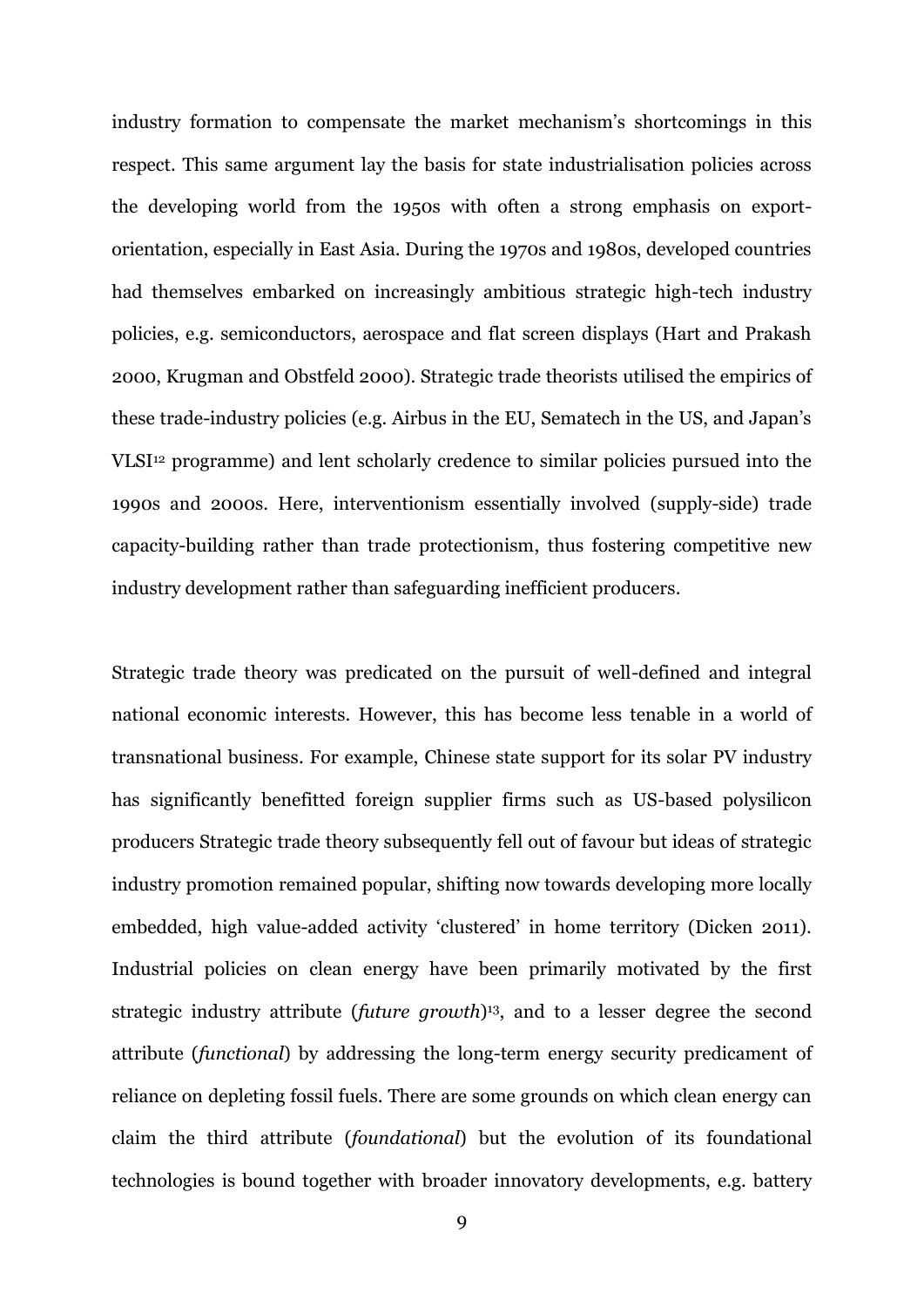industry formation to compensate the market mechanism's shortcomings in this respect. This same argument lay the basis for state industrialisation policies across the developing world from the 1950s with often a strong emphasis on exportorientation, especially in East Asia. During the 1970s and 1980s, developed countries had themselves embarked on increasingly ambitious strategic high-tech industry policies, e.g. semiconductors, aerospace and flat screen displays (Hart and Prakash 2000, Krugman and Obstfeld 2000). Strategic trade theorists utilised the empirics of these trade-industry policies (e.g. Airbus in the EU, Sematech in the US, and Japan's VLSI<sup>12</sup> programme) and lent scholarly credence to similar policies pursued into the 1990s and 2000s. Here, interventionism essentially involved (supply-side) trade capacity-building rather than trade protectionism, thus fostering competitive new industry development rather than safeguarding inefficient producers.

Strategic trade theory was predicated on the pursuit of well-defined and integral national economic interests. However, this has become less tenable in a world of transnational business. For example, Chinese state support for its solar PV industry has significantly benefitted foreign supplier firms such as US-based polysilicon producers Strategic trade theory subsequently fell out of favour but ideas of strategic industry promotion remained popular, shifting now towards developing more locally embedded, high value-added activity 'clustered' in home territory (Dicken 2011). Industrial policies on clean energy have been primarily motivated by the first strategic industry attribute (*future growth*) <sup>13</sup>, and to a lesser degree the second attribute (*functional*) by addressing the long-term energy security predicament of reliance on depleting fossil fuels. There are some grounds on which clean energy can claim the third attribute (*foundational*) but the evolution of its foundational technologies is bound together with broader innovatory developments, e.g. battery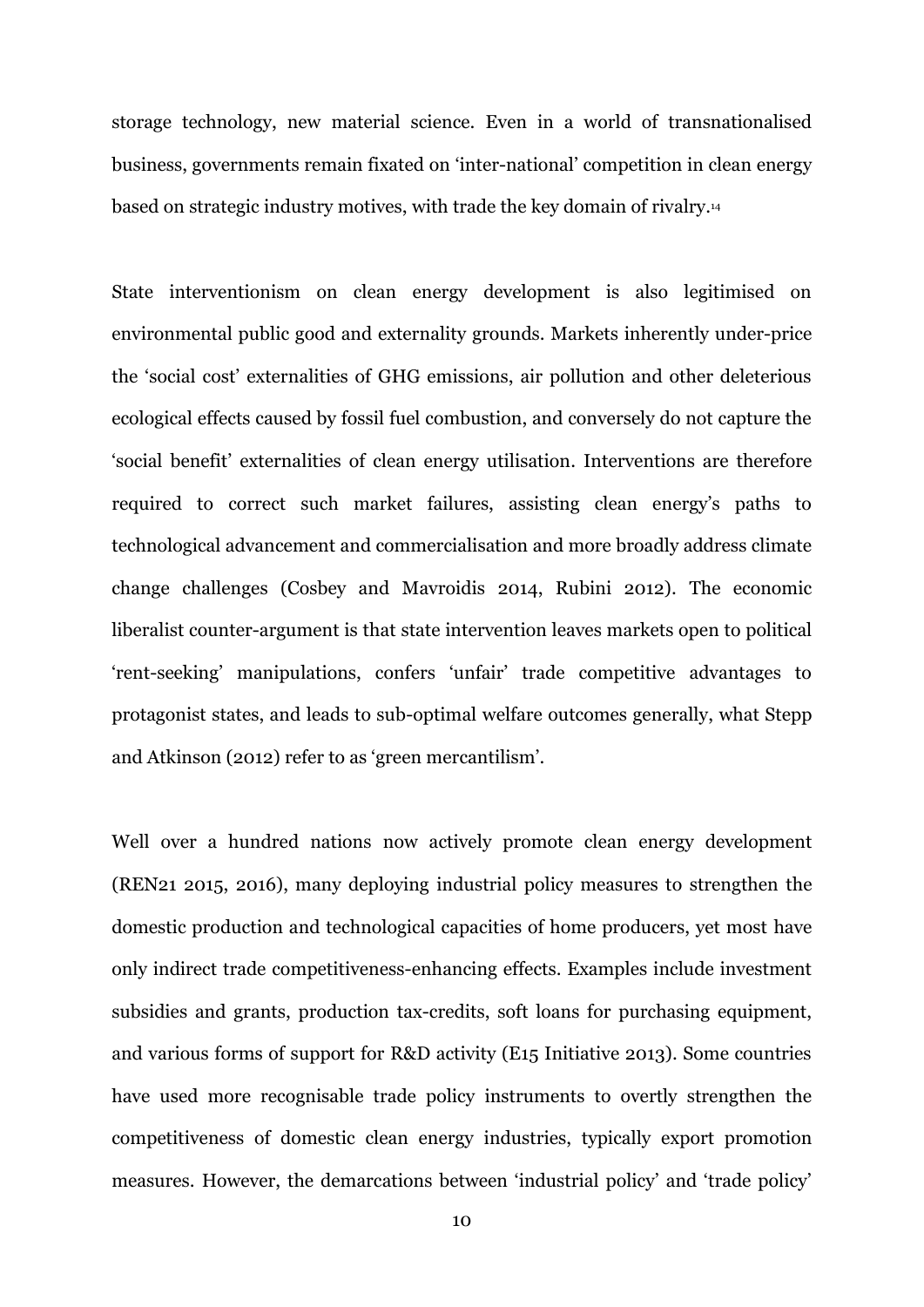storage technology, new material science. Even in a world of transnationalised business, governments remain fixated on 'inter-national' competition in clean energy based on strategic industry motives, with trade the key domain of rivalry. 14

State interventionism on clean energy development is also legitimised on environmental public good and externality grounds. Markets inherently under-price the 'social cost' externalities of GHG emissions, air pollution and other deleterious ecological effects caused by fossil fuel combustion, and conversely do not capture the 'social benefit' externalities of clean energy utilisation. Interventions are therefore required to correct such market failures, assisting clean energy's paths to technological advancement and commercialisation and more broadly address climate change challenges (Cosbey and Mavroidis 2014, Rubini 2012). The economic liberalist counter-argument is that state intervention leaves markets open to political 'rent-seeking' manipulations, confers 'unfair' trade competitive advantages to protagonist states, and leads to sub-optimal welfare outcomes generally, what Stepp and Atkinson (2012) refer to as 'green mercantilism'.

Well over a hundred nations now actively promote clean energy development (REN21 2015, 2016), many deploying industrial policy measures to strengthen the domestic production and technological capacities of home producers, yet most have only indirect trade competitiveness-enhancing effects. Examples include investment subsidies and grants, production tax-credits, soft loans for purchasing equipment, and various forms of support for R&D activity (E15 Initiative 2013). Some countries have used more recognisable trade policy instruments to overtly strengthen the competitiveness of domestic clean energy industries, typically export promotion measures. However, the demarcations between 'industrial policy' and 'trade policy'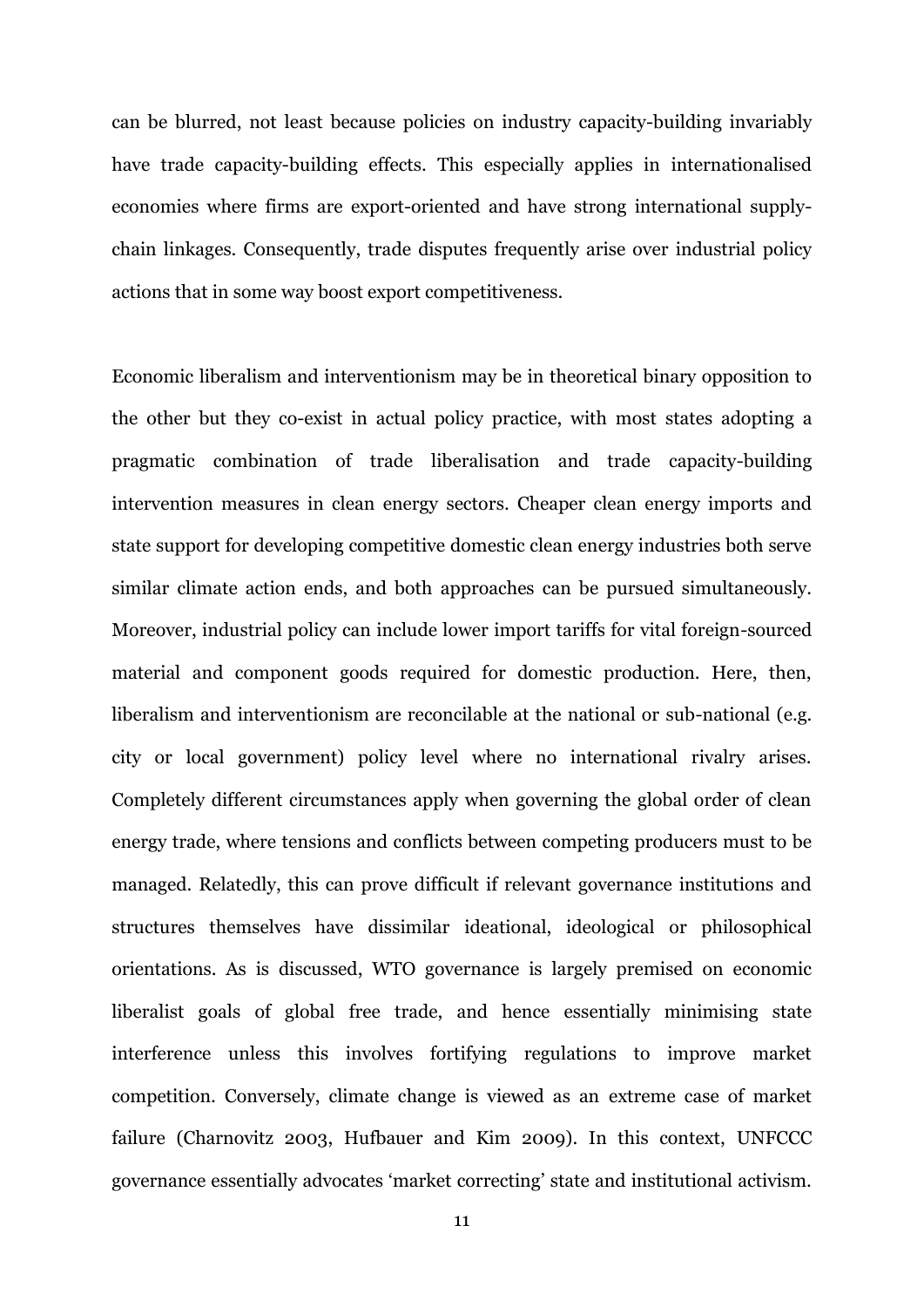can be blurred, not least because policies on industry capacity-building invariably have trade capacity-building effects. This especially applies in internationalised economies where firms are export-oriented and have strong international supplychain linkages. Consequently, trade disputes frequently arise over industrial policy actions that in some way boost export competitiveness.

Economic liberalism and interventionism may be in theoretical binary opposition to the other but they co-exist in actual policy practice, with most states adopting a pragmatic combination of trade liberalisation and trade capacity-building intervention measures in clean energy sectors. Cheaper clean energy imports and state support for developing competitive domestic clean energy industries both serve similar climate action ends, and both approaches can be pursued simultaneously. Moreover, industrial policy can include lower import tariffs for vital foreign-sourced material and component goods required for domestic production. Here, then, liberalism and interventionism are reconcilable at the national or sub-national (e.g. city or local government) policy level where no international rivalry arises. Completely different circumstances apply when governing the global order of clean energy trade, where tensions and conflicts between competing producers must to be managed. Relatedly, this can prove difficult if relevant governance institutions and structures themselves have dissimilar ideational, ideological or philosophical orientations. As is discussed, WTO governance is largely premised on economic liberalist goals of global free trade, and hence essentially minimising state interference unless this involves fortifying regulations to improve market competition. Conversely, climate change is viewed as an extreme case of market failure (Charnovitz 2003, Hufbauer and Kim 2009). In this context, UNFCCC governance essentially advocates 'market correcting' state and institutional activism.

11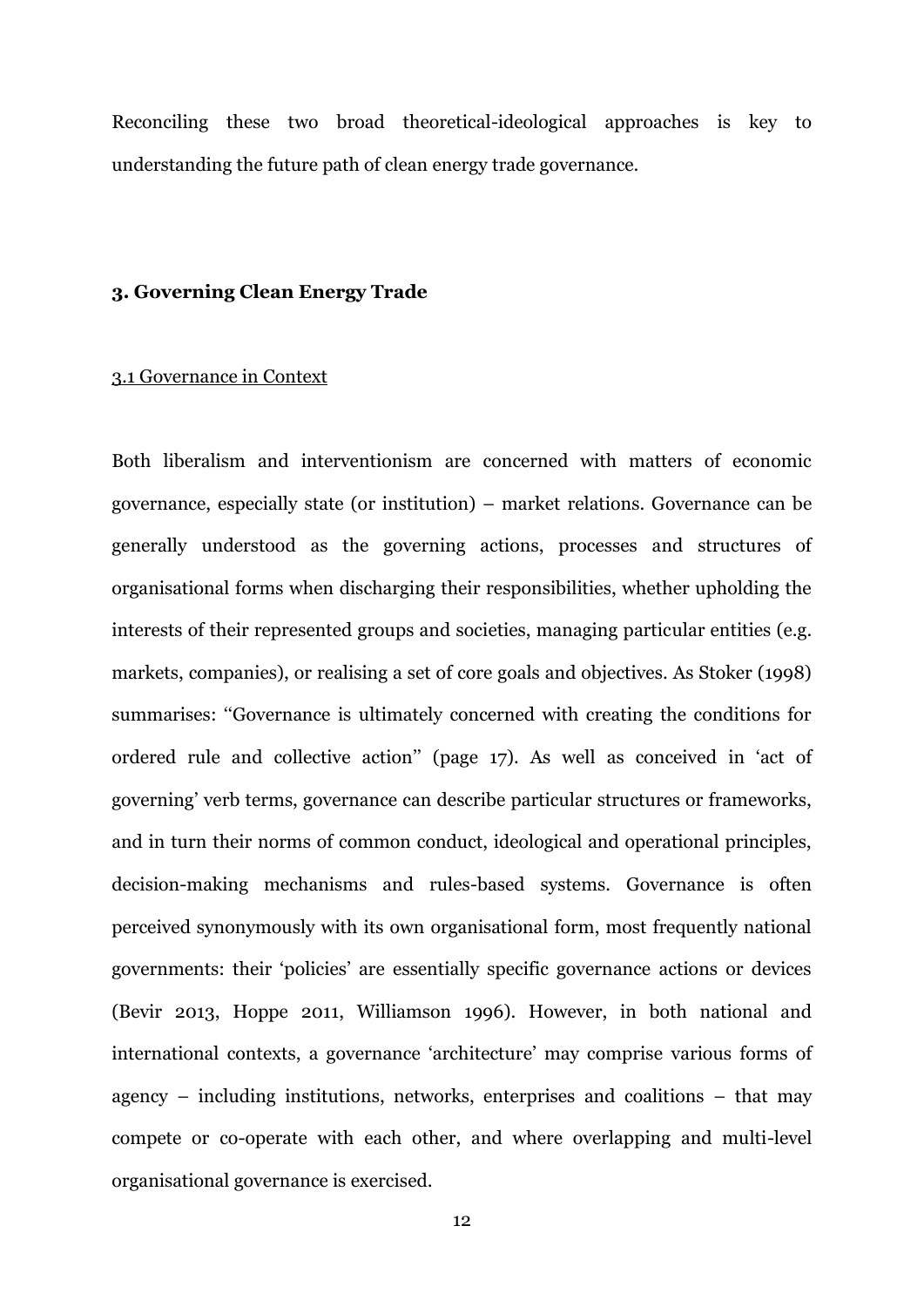Reconciling these two broad theoretical-ideological approaches is key to understanding the future path of clean energy trade governance.

#### **3. Governing Clean Energy Trade**

### 3.1 Governance in Context

Both liberalism and interventionism are concerned with matters of economic governance, especially state (or institution) – market relations. Governance can be generally understood as the governing actions, processes and structures of organisational forms when discharging their responsibilities, whether upholding the interests of their represented groups and societies, managing particular entities (e.g. markets, companies), or realising a set of core goals and objectives. As Stoker (1998) summarises: "Governance is ultimately concerned with creating the conditions for ordered rule and collective action'' (page 17). As well as conceived in 'act of governing' verb terms, governance can describe particular structures or frameworks, and in turn their norms of common conduct, ideological and operational principles, decision-making mechanisms and rules-based systems. Governance is often perceived synonymously with its own organisational form, most frequently national governments: their 'policies' are essentially specific governance actions or devices (Bevir 2013, Hoppe 2011, Williamson 1996). However, in both national and international contexts, a governance 'architecture' may comprise various forms of agency – including institutions, networks, enterprises and coalitions – that may compete or co-operate with each other, and where overlapping and multi-level organisational governance is exercised.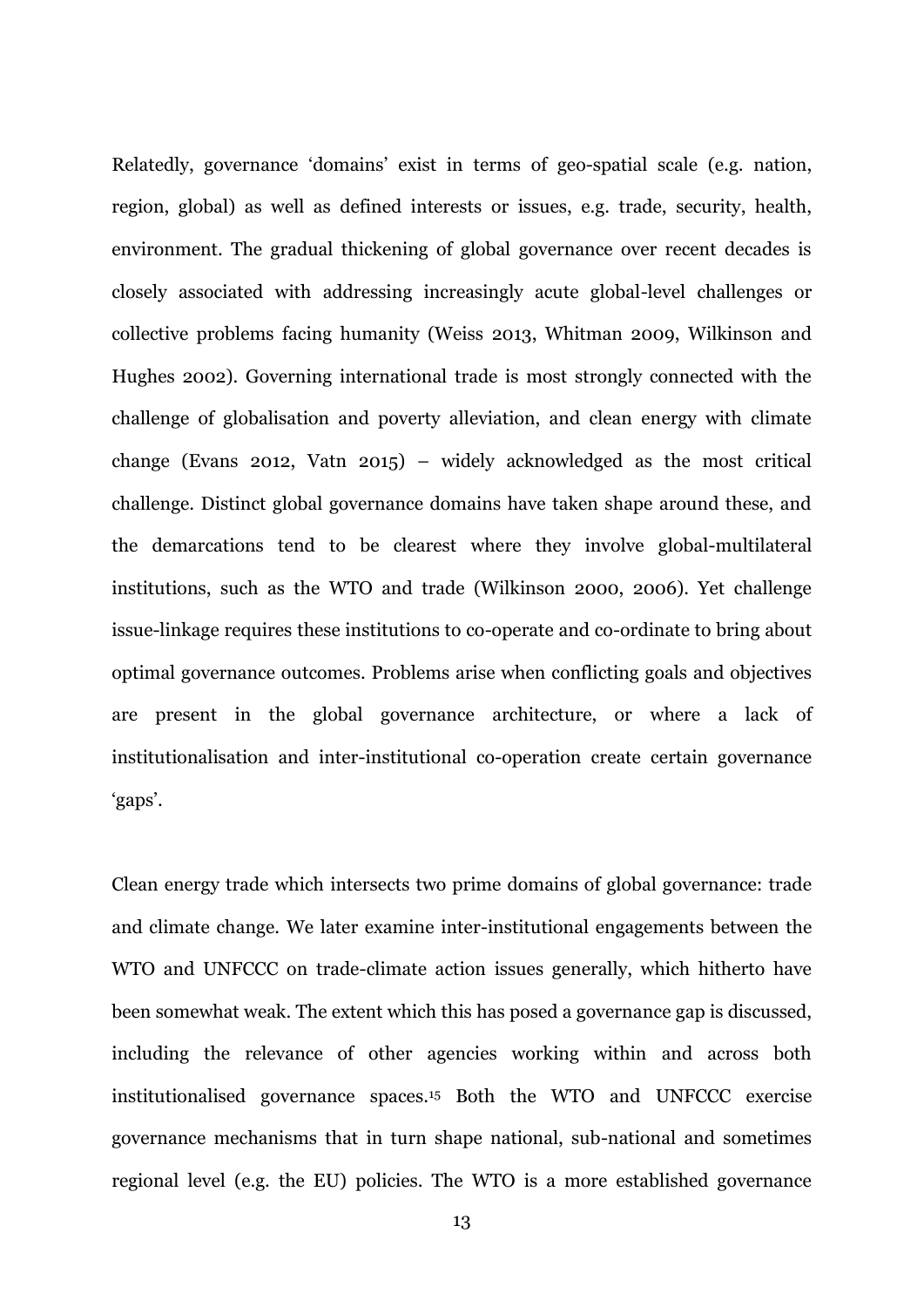Relatedly, governance 'domains' exist in terms of geo-spatial scale (e.g. nation, region, global) as well as defined interests or issues, e.g. trade, security, health, environment. The gradual thickening of global governance over recent decades is closely associated with addressing increasingly acute global-level challenges or collective problems facing humanity (Weiss 2013, Whitman 2009, Wilkinson and Hughes 2002). Governing international trade is most strongly connected with the challenge of globalisation and poverty alleviation, and clean energy with climate change (Evans 2012, Vatn 2015) – widely acknowledged as the most critical challenge. Distinct global governance domains have taken shape around these, and the demarcations tend to be clearest where they involve global-multilateral institutions, such as the WTO and trade (Wilkinson 2000, 2006). Yet challenge issue-linkage requires these institutions to co-operate and co-ordinate to bring about optimal governance outcomes. Problems arise when conflicting goals and objectives are present in the global governance architecture, or where a lack of institutionalisation and inter-institutional co-operation create certain governance 'gaps'.

Clean energy trade which intersects two prime domains of global governance: trade and climate change. We later examine inter-institutional engagements between the WTO and UNFCCC on trade-climate action issues generally, which hitherto have been somewhat weak. The extent which this has posed a governance gap is discussed, including the relevance of other agencies working within and across both institutionalised governance spaces. <sup>15</sup> Both the WTO and UNFCCC exercise governance mechanisms that in turn shape national, sub-national and sometimes regional level (e.g. the EU) policies. The WTO is a more established governance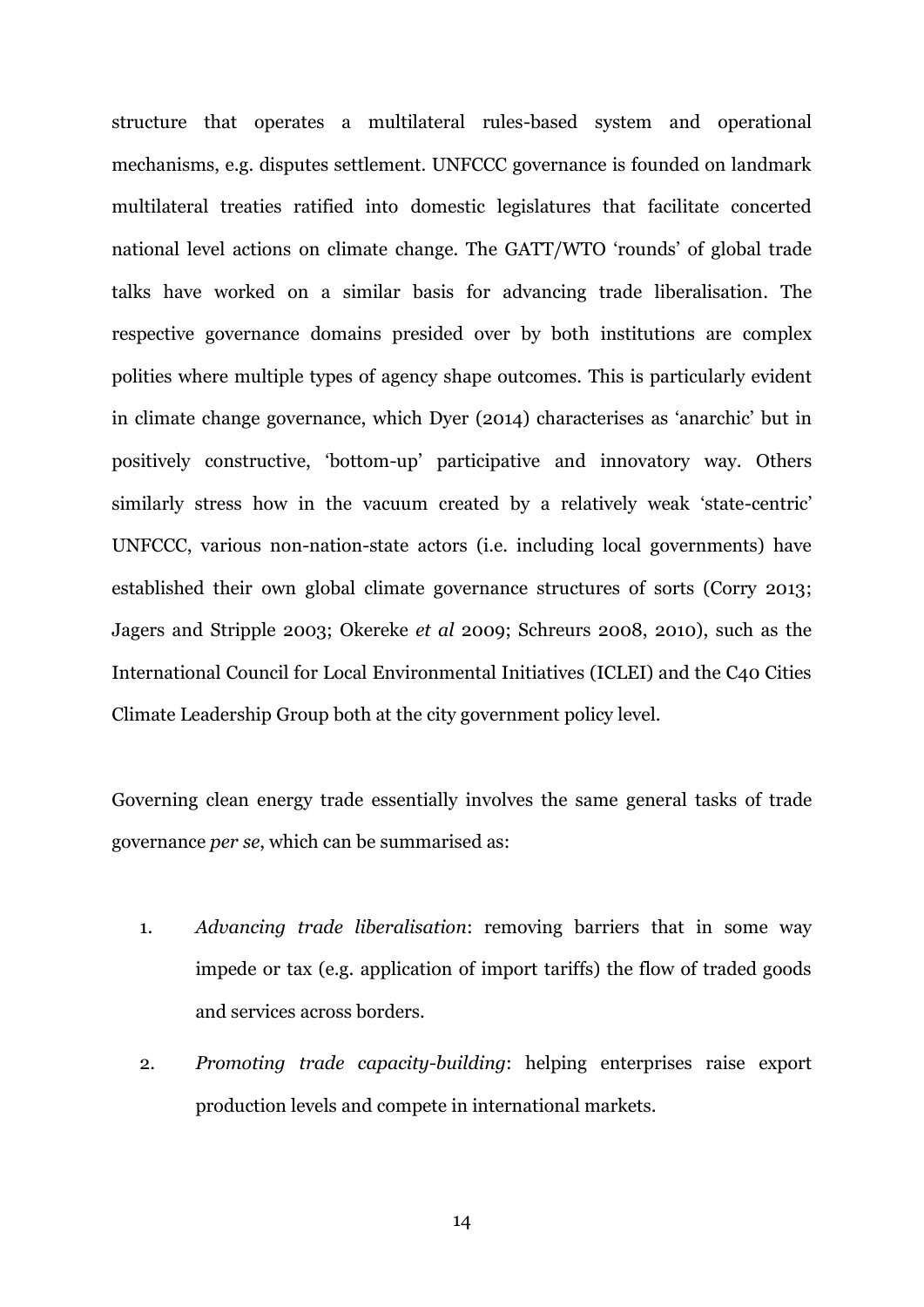structure that operates a multilateral rules-based system and operational mechanisms, e.g. disputes settlement. UNFCCC governance is founded on landmark multilateral treaties ratified into domestic legislatures that facilitate concerted national level actions on climate change. The GATT/WTO 'rounds' of global trade talks have worked on a similar basis for advancing trade liberalisation. The respective governance domains presided over by both institutions are complex polities where multiple types of agency shape outcomes. This is particularly evident in climate change governance, which Dyer (2014) characterises as 'anarchic' but in positively constructive, 'bottom-up' participative and innovatory way. Others similarly stress how in the vacuum created by a relatively weak 'state-centric' UNFCCC, various non-nation-state actors (i.e. including local governments) have established their own global climate governance structures of sorts (Corry 2013; Jagers and Stripple 2003; Okereke *et al* 2009; Schreurs 2008, 2010), such as the International Council for Local Environmental Initiatives (ICLEI) and the C40 Cities Climate Leadership Group both at the city government policy level.

Governing clean energy trade essentially involves the same general tasks of trade governance *per se*, which can be summarised as:

- 1. *Advancing trade liberalisation*: removing barriers that in some way impede or tax (e.g. application of import tariffs) the flow of traded goods and services across borders.
- 2. *Promoting trade capacity-building*: helping enterprises raise export production levels and compete in international markets.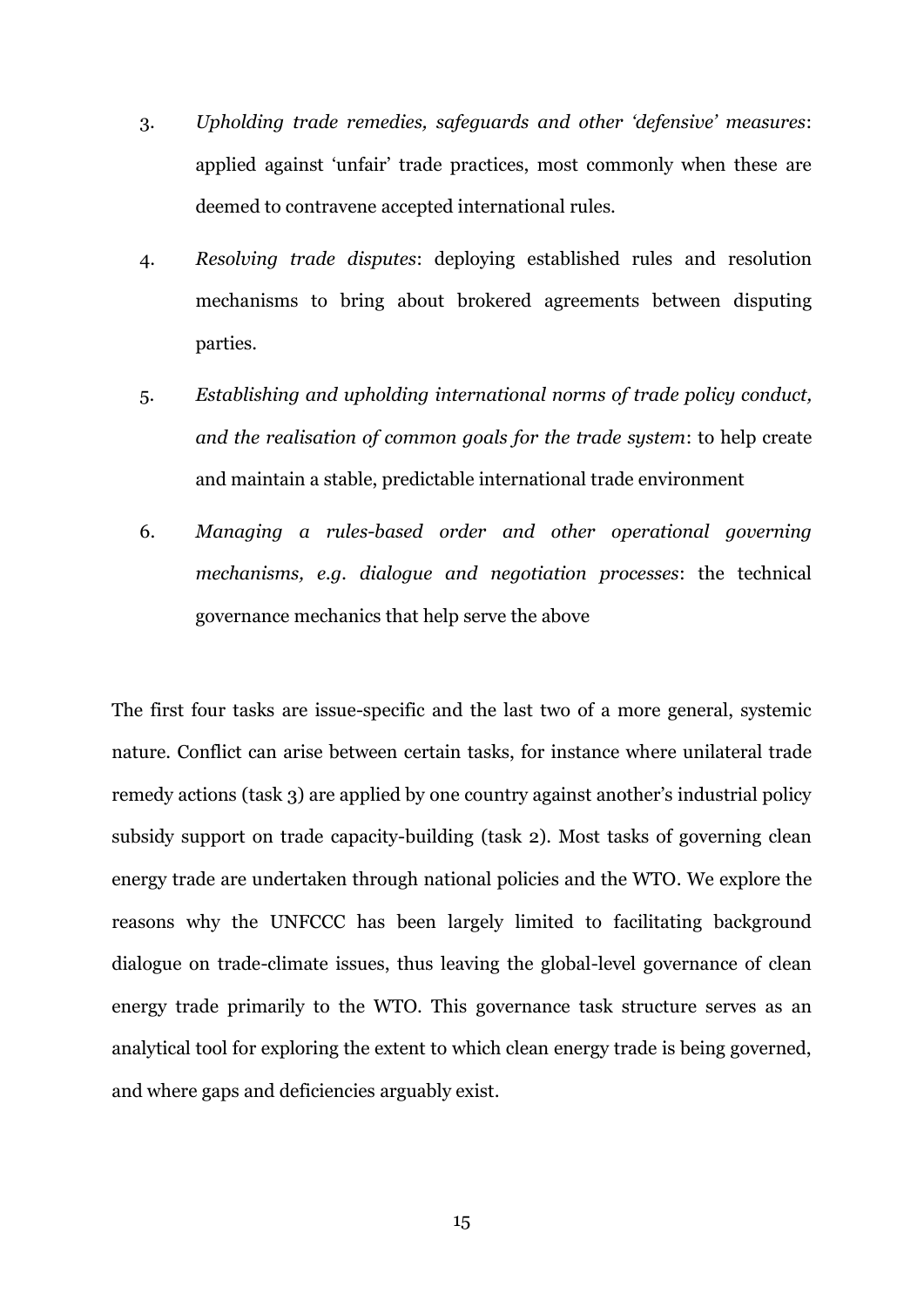- 3. *Upholding trade remedies, safeguards and other 'defensive' measures*: applied against 'unfair' trade practices, most commonly when these are deemed to contravene accepted international rules.
- 4. *Resolving trade disputes*: deploying established rules and resolution mechanisms to bring about brokered agreements between disputing parties.
- 5. *Establishing and upholding international norms of trade policy conduct, and the realisation of common goals for the trade system*: to help create and maintain a stable, predictable international trade environment
- 6. *Managing a rules-based order and other operational governing mechanisms, e.g. dialogue and negotiation processes*: the technical governance mechanics that help serve the above

The first four tasks are issue-specific and the last two of a more general, systemic nature. Conflict can arise between certain tasks, for instance where unilateral trade remedy actions (task 3) are applied by one country against another's industrial policy subsidy support on trade capacity-building (task 2). Most tasks of governing clean energy trade are undertaken through national policies and the WTO. We explore the reasons why the UNFCCC has been largely limited to facilitating background dialogue on trade-climate issues, thus leaving the global-level governance of clean energy trade primarily to the WTO. This governance task structure serves as an analytical tool for exploring the extent to which clean energy trade is being governed, and where gaps and deficiencies arguably exist.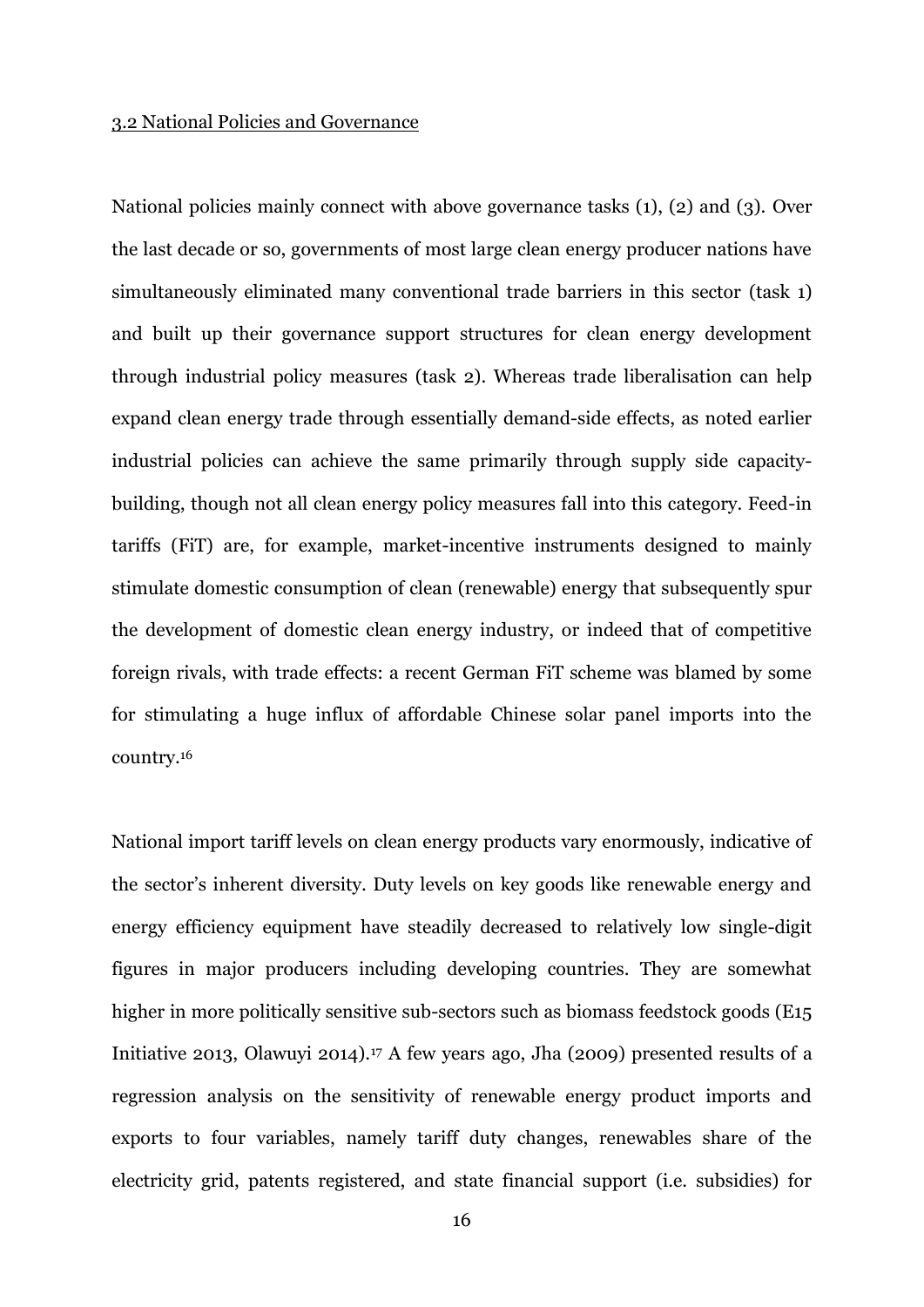#### 3.2 National Policies and Governance

National policies mainly connect with above governance tasks (1), (2) and (3). Over the last decade or so, governments of most large clean energy producer nations have simultaneously eliminated many conventional trade barriers in this sector (task 1) and built up their governance support structures for clean energy development through industrial policy measures (task 2). Whereas trade liberalisation can help expand clean energy trade through essentially demand-side effects, as noted earlier industrial policies can achieve the same primarily through supply side capacitybuilding, though not all clean energy policy measures fall into this category. Feed-in tariffs (FiT) are, for example, market-incentive instruments designed to mainly stimulate domestic consumption of clean (renewable) energy that subsequently spur the development of domestic clean energy industry, or indeed that of competitive foreign rivals, with trade effects: a recent German FiT scheme was blamed by some for stimulating a huge influx of affordable Chinese solar panel imports into the country.<sup>16</sup>

National import tariff levels on clean energy products vary enormously, indicative of the sector's inherent diversity. Duty levels on key goods like renewable energy and energy efficiency equipment have steadily decreased to relatively low single-digit figures in major producers including developing countries. They are somewhat higher in more politically sensitive sub-sectors such as biomass feedstock goods (E15 Initiative 2013, Olawuyi 2014).<sup>17</sup> A few years ago, Jha (2009) presented results of a regression analysis on the sensitivity of renewable energy product imports and exports to four variables, namely tariff duty changes, renewables share of the electricity grid, patents registered, and state financial support (i.e. subsidies) for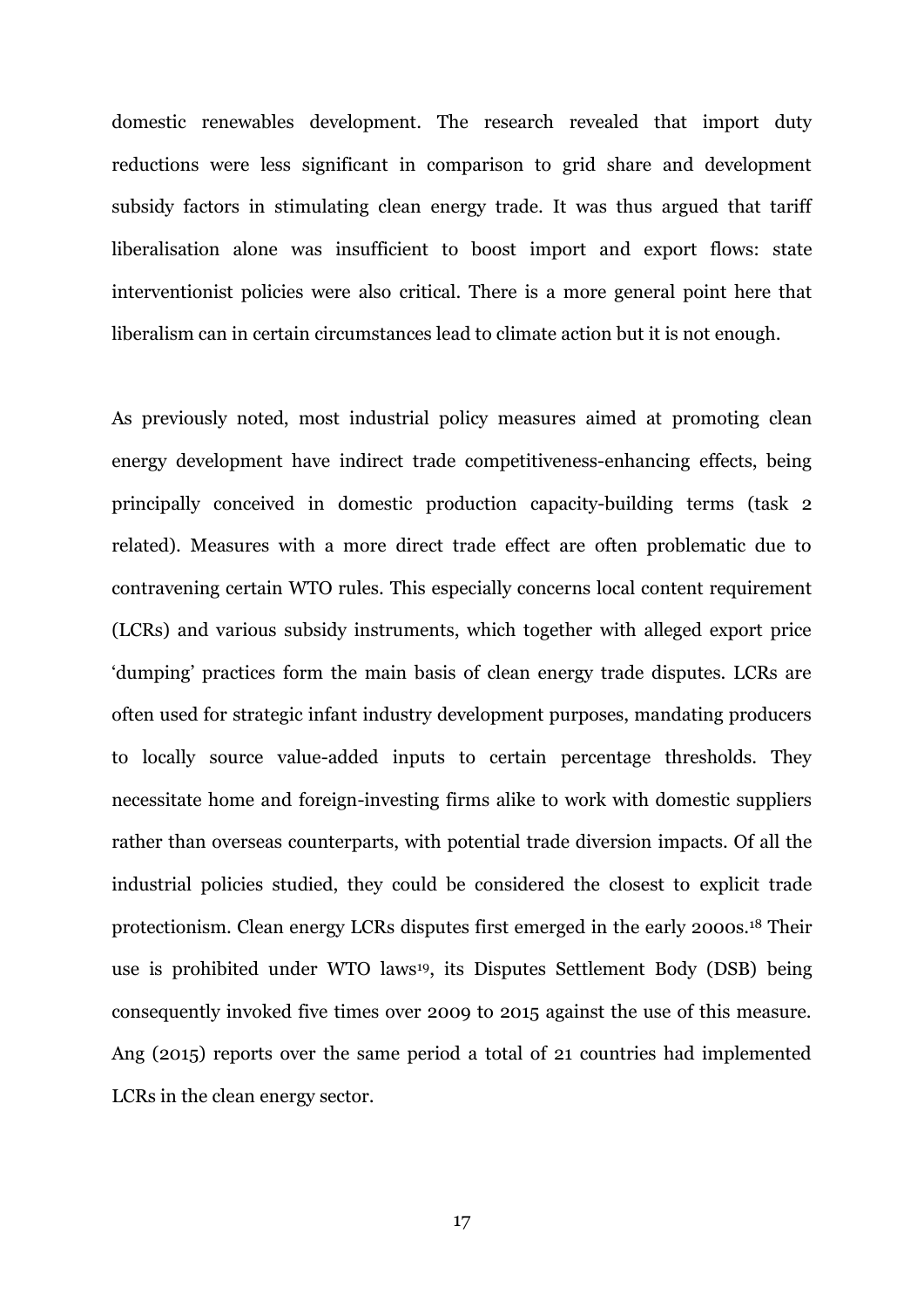domestic renewables development. The research revealed that import duty reductions were less significant in comparison to grid share and development subsidy factors in stimulating clean energy trade. It was thus argued that tariff liberalisation alone was insufficient to boost import and export flows: state interventionist policies were also critical. There is a more general point here that liberalism can in certain circumstances lead to climate action but it is not enough.

As previously noted, most industrial policy measures aimed at promoting clean energy development have indirect trade competitiveness-enhancing effects, being principally conceived in domestic production capacity-building terms (task 2 related). Measures with a more direct trade effect are often problematic due to contravening certain WTO rules. This especially concerns local content requirement (LCRs) and various subsidy instruments, which together with alleged export price 'dumping' practices form the main basis of clean energy trade disputes. LCRs are often used for strategic infant industry development purposes, mandating producers to locally source value-added inputs to certain percentage thresholds. They necessitate home and foreign-investing firms alike to work with domestic suppliers rather than overseas counterparts, with potential trade diversion impacts. Of all the industrial policies studied, they could be considered the closest to explicit trade protectionism. Clean energy LCRs disputes first emerged in the early 2000s.<sup>18</sup> Their use is prohibited under WTO laws19, its Disputes Settlement Body (DSB) being consequently invoked five times over 2009 to 2015 against the use of this measure. Ang (2015) reports over the same period a total of 21 countries had implemented LCRs in the clean energy sector.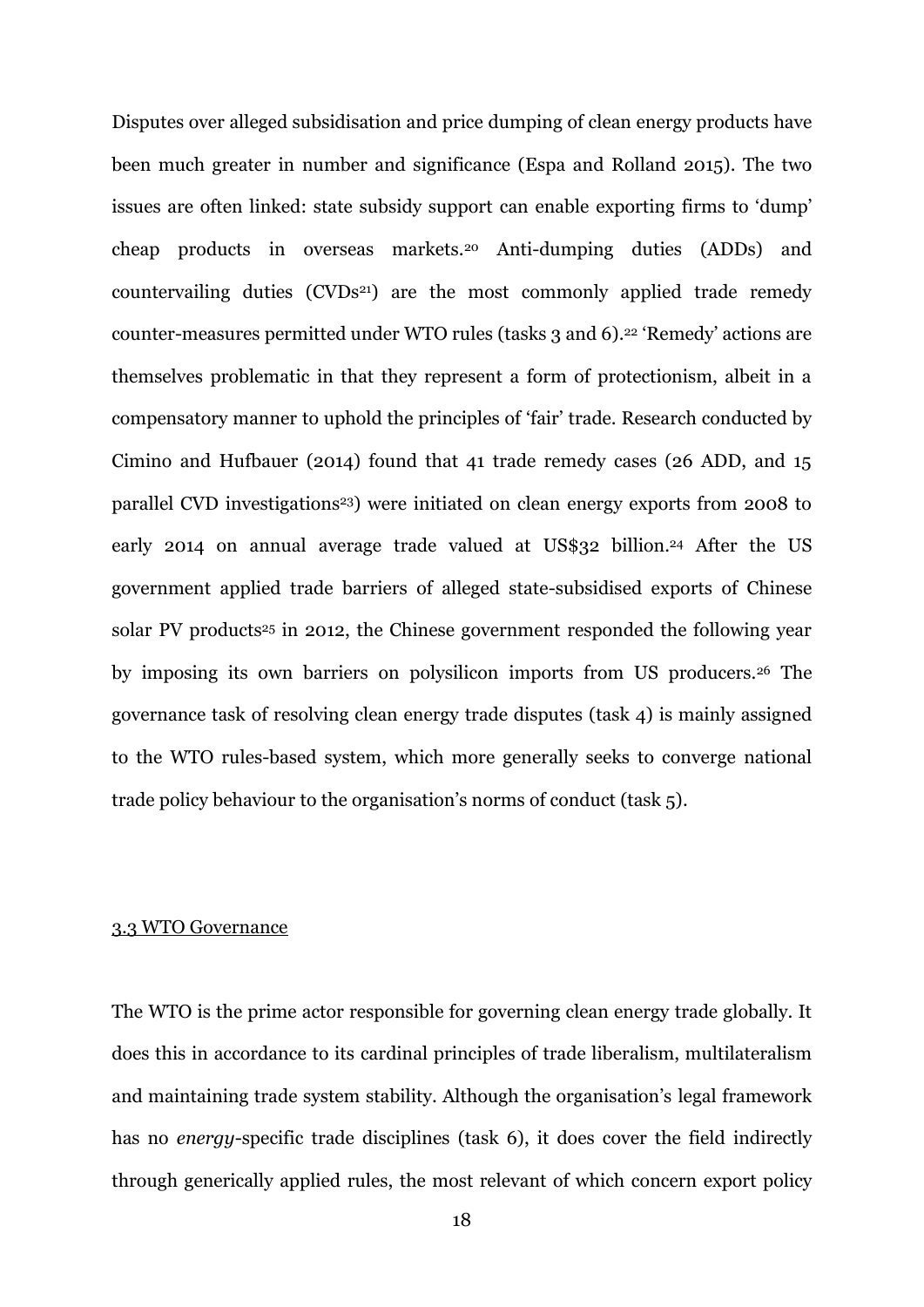Disputes over alleged subsidisation and price dumping of clean energy products have been much greater in number and significance (Espa and Rolland 2015). The two issues are often linked: state subsidy support can enable exporting firms to 'dump' cheap products in overseas markets.<sup>20</sup> Anti-dumping duties (ADDs) and countervailing duties  $(CVDs<sup>21</sup>)$  are the most commonly applied trade remedy counter-measures permitted under WTO rules (tasks 3 and 6). <sup>22</sup> 'Remedy' actions are themselves problematic in that they represent a form of protectionism, albeit in a compensatory manner to uphold the principles of 'fair' trade. Research conducted by Cimino and Hufbauer (2014) found that 41 trade remedy cases (26 ADD, and 15 parallel CVD investigations<sup>23</sup>) were initiated on clean energy exports from 2008 to early 2014 on annual average trade valued at US\$32 billion.<sup>24</sup> After the US government applied trade barriers of alleged state-subsidised exports of Chinese solar PV products<sup>25</sup> in 2012, the Chinese government responded the following year by imposing its own barriers on polysilicon imports from US producers.<sup>26</sup> The governance task of resolving clean energy trade disputes (task 4) is mainly assigned to the WTO rules-based system, which more generally seeks to converge national trade policy behaviour to the organisation's norms of conduct (task 5).

#### 3.3 WTO Governance

The WTO is the prime actor responsible for governing clean energy trade globally. It does this in accordance to its cardinal principles of trade liberalism, multilateralism and maintaining trade system stability. Although the organisation's legal framework has no *energy*-specific trade disciplines (task 6), it does cover the field indirectly through generically applied rules, the most relevant of which concern export policy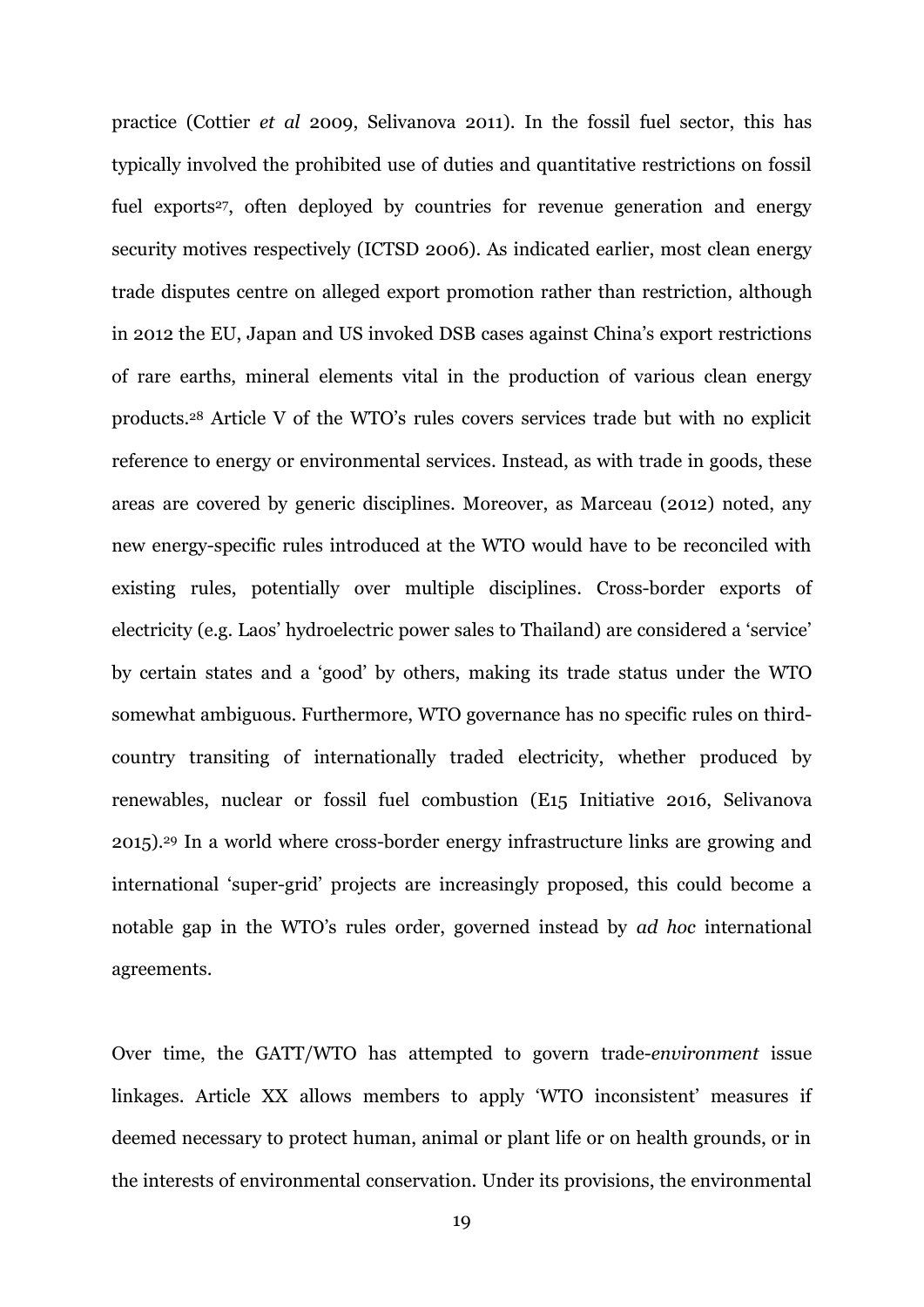practice (Cottier *et al* 2009, Selivanova 2011). In the fossil fuel sector, this has typically involved the prohibited use of duties and quantitative restrictions on fossil fuel exports<sup>27</sup>, often deployed by countries for revenue generation and energy security motives respectively (ICTSD 2006). As indicated earlier, most clean energy trade disputes centre on alleged export promotion rather than restriction, although in 2012 the EU, Japan and US invoked DSB cases against China's export restrictions of rare earths, mineral elements vital in the production of various clean energy products. <sup>28</sup> Article V of the WTO's rules covers services trade but with no explicit reference to energy or environmental services. Instead, as with trade in goods, these areas are covered by generic disciplines. Moreover, as Marceau (2012) noted, any new energy-specific rules introduced at the WTO would have to be reconciled with existing rules, potentially over multiple disciplines. Cross-border exports of electricity (e.g. Laos' hydroelectric power sales to Thailand) are considered a 'service' by certain states and a 'good' by others, making its trade status under the WTO somewhat ambiguous. Furthermore, WTO governance has no specific rules on thirdcountry transiting of internationally traded electricity, whether produced by renewables, nuclear or fossil fuel combustion (E15 Initiative 2016, Selivanova 2015).<sup>29</sup> In a world where cross-border energy infrastructure links are growing and international 'super-grid' projects are increasingly proposed, this could become a notable gap in the WTO's rules order, governed instead by *ad hoc* international agreements.

Over time, the GATT/WTO has attempted to govern trade-*environment* issue linkages. Article XX allows members to apply 'WTO inconsistent' measures if deemed necessary to protect human, animal or plant life or on health grounds, or in the interests of environmental conservation. Under its provisions, the environmental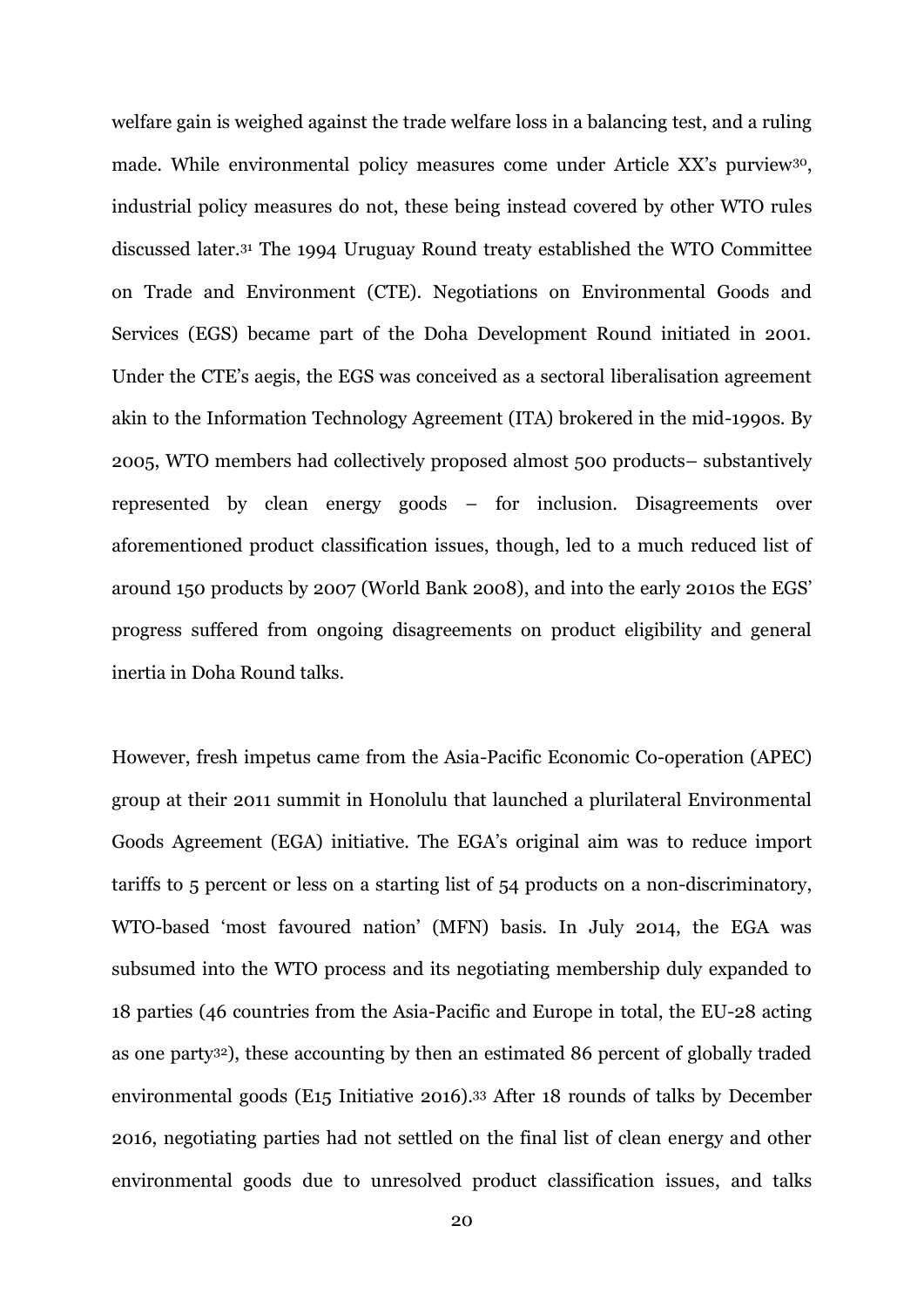welfare gain is weighed against the trade welfare loss in a balancing test, and a ruling made. While environmental policy measures come under Article XX's purview<sup>30</sup>, industrial policy measures do not, these being instead covered by other WTO rules discussed later.<sup>31</sup> The 1994 Uruguay Round treaty established the WTO Committee on Trade and Environment (CTE). Negotiations on Environmental Goods and Services (EGS) became part of the Doha Development Round initiated in 2001. Under the CTE's aegis, the EGS was conceived as a sectoral liberalisation agreement akin to the Information Technology Agreement (ITA) brokered in the mid-1990s. By 2005, WTO members had collectively proposed almost 500 products– substantively represented by clean energy goods – for inclusion. Disagreements over aforementioned product classification issues, though, led to a much reduced list of around 150 products by 2007 (World Bank 2008), and into the early 2010s the EGS' progress suffered from ongoing disagreements on product eligibility and general inertia in Doha Round talks.

However, fresh impetus came from the Asia-Pacific Economic Co-operation (APEC) group at their 2011 summit in Honolulu that launched a plurilateral Environmental Goods Agreement (EGA) initiative. The EGA's original aim was to reduce import tariffs to 5 percent or less on a starting list of 54 products on a non-discriminatory, WTO-based 'most favoured nation' (MFN) basis. In July 2014, the EGA was subsumed into the WTO process and its negotiating membership duly expanded to 18 parties (46 countries from the Asia-Pacific and Europe in total, the EU-28 acting as one party32), these accounting by then an estimated 86 percent of globally traded environmental goods (E15 Initiative 2016).<sup>33</sup> After 18 rounds of talks by December 2016, negotiating parties had not settled on the final list of clean energy and other environmental goods due to unresolved product classification issues, and talks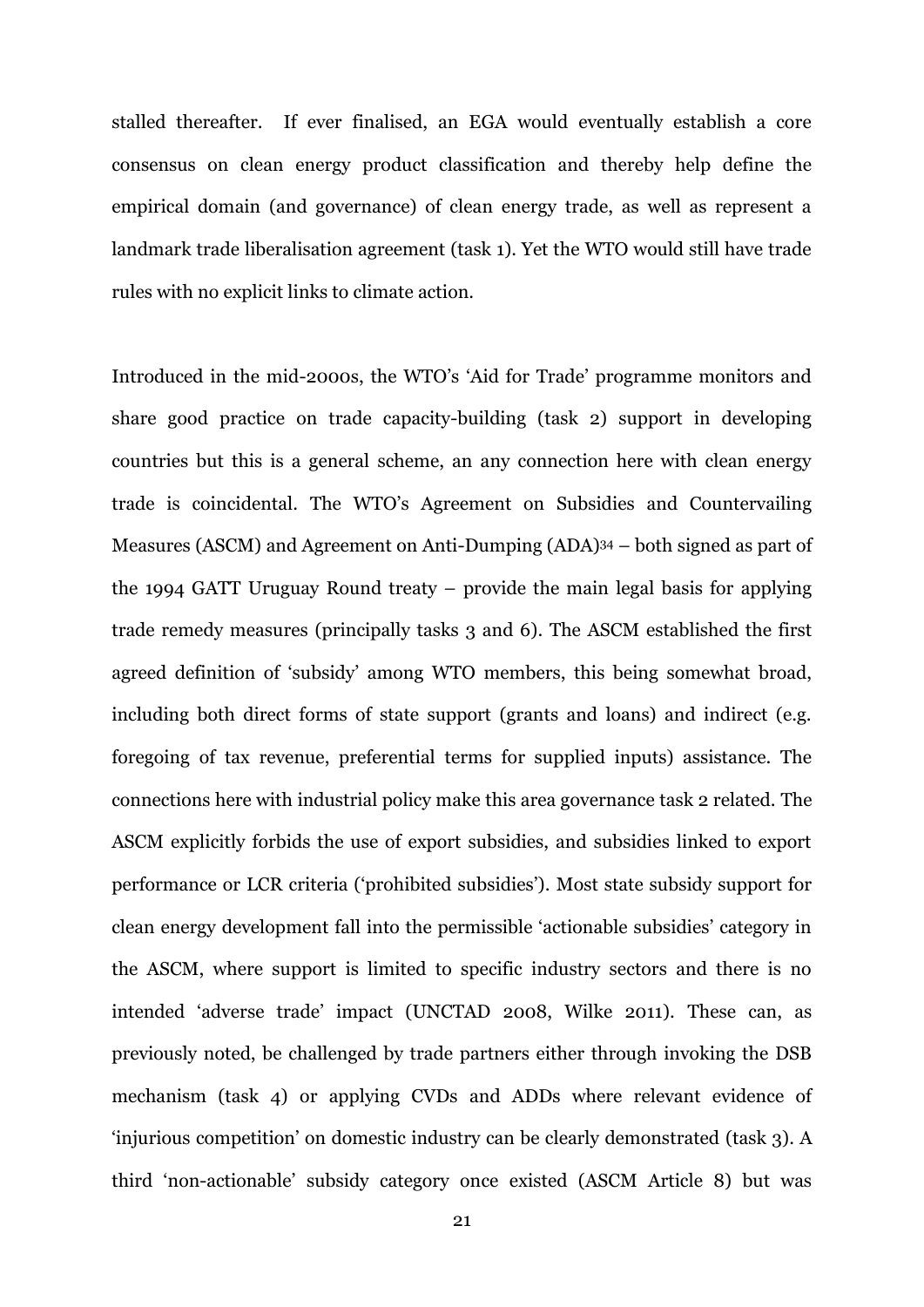stalled thereafter. If ever finalised, an EGA would eventually establish a core consensus on clean energy product classification and thereby help define the empirical domain (and governance) of clean energy trade, as well as represent a landmark trade liberalisation agreement (task 1). Yet the WTO would still have trade rules with no explicit links to climate action.

Introduced in the mid-2000s, the WTO's 'Aid for Trade' programme monitors and share good practice on trade capacity-building (task 2) support in developing countries but this is a general scheme, an any connection here with clean energy trade is coincidental. The WTO's Agreement on Subsidies and Countervailing Measures (ASCM) and Agreement on Anti-Dumping (ADA)<sup>34</sup> – both signed as part of the 1994 GATT Uruguay Round treaty – provide the main legal basis for applying trade remedy measures (principally tasks 3 and 6). The ASCM established the first agreed definition of 'subsidy' among WTO members, this being somewhat broad, including both direct forms of state support (grants and loans) and indirect (e.g. foregoing of tax revenue, preferential terms for supplied inputs) assistance. The connections here with industrial policy make this area governance task 2 related. The ASCM explicitly forbids the use of export subsidies, and subsidies linked to export performance or LCR criteria ('prohibited subsidies'). Most state subsidy support for clean energy development fall into the permissible 'actionable subsidies' category in the ASCM, where support is limited to specific industry sectors and there is no intended 'adverse trade' impact (UNCTAD 2008, Wilke 2011). These can, as previously noted, be challenged by trade partners either through invoking the DSB mechanism (task 4) or applying CVDs and ADDs where relevant evidence of 'injurious competition' on domestic industry can be clearly demonstrated (task 3). A third 'non-actionable' subsidy category once existed (ASCM Article 8) but was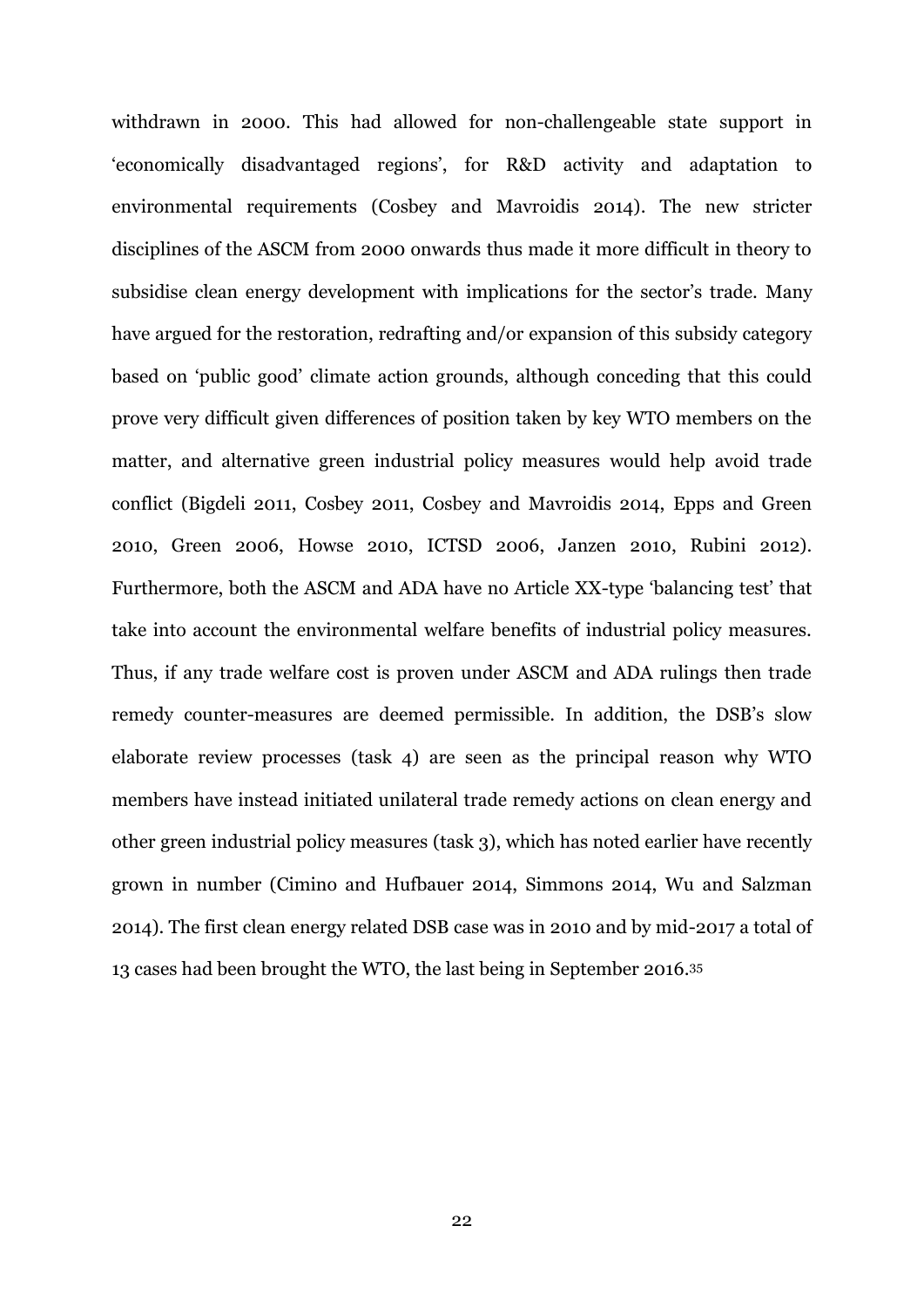withdrawn in 2000. This had allowed for non-challengeable state support in 'economically disadvantaged regions', for R&D activity and adaptation to environmental requirements (Cosbey and Mavroidis 2014). The new stricter disciplines of the ASCM from 2000 onwards thus made it more difficult in theory to subsidise clean energy development with implications for the sector's trade. Many have argued for the restoration, redrafting and/or expansion of this subsidy category based on 'public good' climate action grounds, although conceding that this could prove very difficult given differences of position taken by key WTO members on the matter, and alternative green industrial policy measures would help avoid trade conflict (Bigdeli 2011, Cosbey 2011, Cosbey and Mavroidis 2014, Epps and Green 2010, Green 2006, Howse 2010, ICTSD 2006, Janzen 2010, Rubini 2012). Furthermore, both the ASCM and ADA have no Article XX-type 'balancing test' that take into account the environmental welfare benefits of industrial policy measures. Thus, if any trade welfare cost is proven under ASCM and ADA rulings then trade remedy counter-measures are deemed permissible. In addition, the DSB's slow elaborate review processes (task 4) are seen as the principal reason why WTO members have instead initiated unilateral trade remedy actions on clean energy and other green industrial policy measures (task 3), which has noted earlier have recently grown in number (Cimino and Hufbauer 2014, Simmons 2014, Wu and Salzman 2014). The first clean energy related DSB case was in 2010 and by mid-2017 a total of 13 cases had been brought the WTO, the last being in September 2016. 35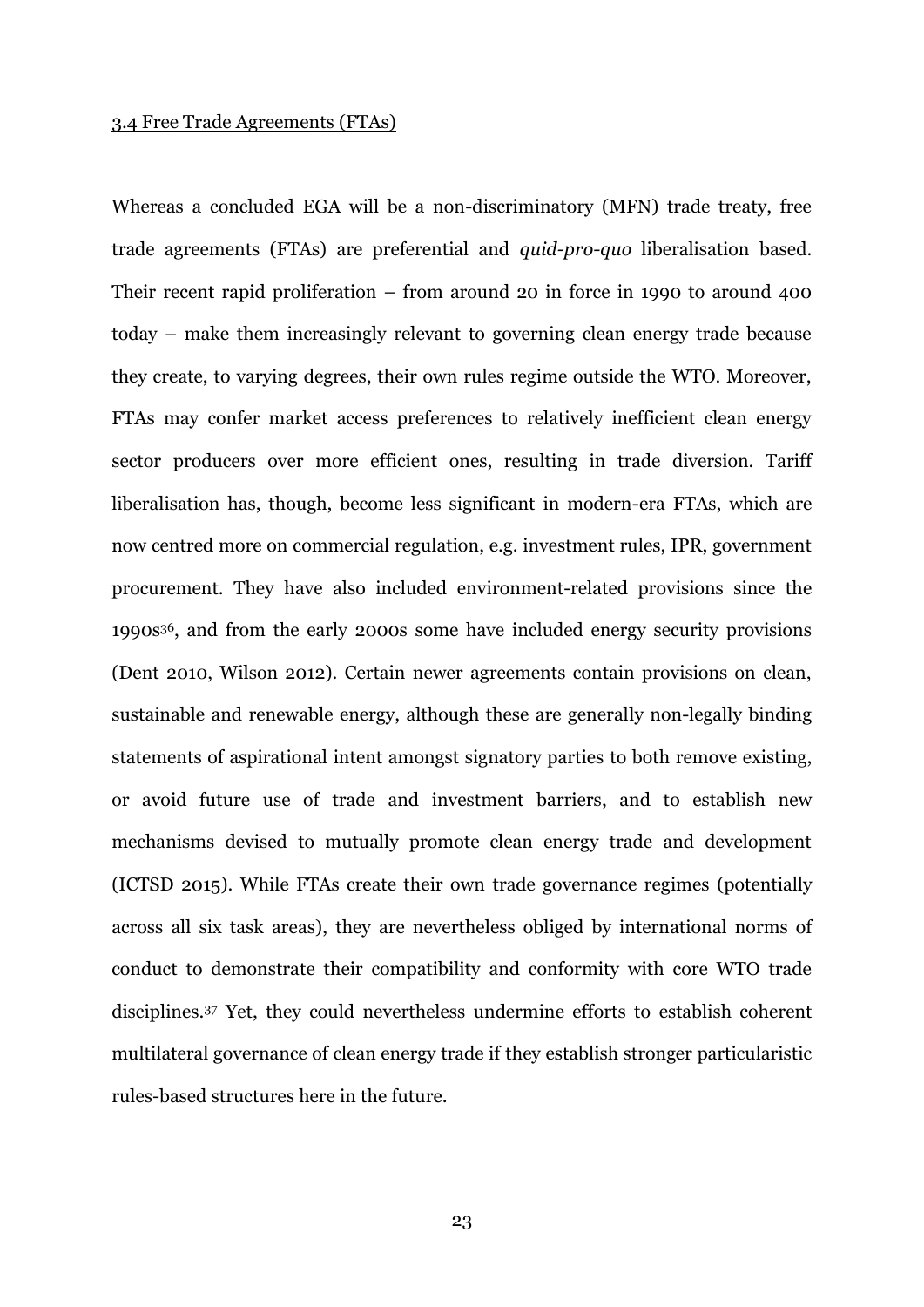#### 3.4 Free Trade Agreements (FTAs)

Whereas a concluded EGA will be a non-discriminatory (MFN) trade treaty, free trade agreements (FTAs) are preferential and *quid-pro-quo* liberalisation based. Their recent rapid proliferation – from around 20 in force in 1990 to around 400 today – make them increasingly relevant to governing clean energy trade because they create, to varying degrees, their own rules regime outside the WTO. Moreover, FTAs may confer market access preferences to relatively inefficient clean energy sector producers over more efficient ones, resulting in trade diversion. Tariff liberalisation has, though, become less significant in modern-era FTAs, which are now centred more on commercial regulation, e.g. investment rules, IPR, government procurement. They have also included environment-related provisions since the 1990s36, and from the early 2000s some have included energy security provisions (Dent 2010, Wilson 2012). Certain newer agreements contain provisions on clean, sustainable and renewable energy, although these are generally non-legally binding statements of aspirational intent amongst signatory parties to both remove existing, or avoid future use of trade and investment barriers, and to establish new mechanisms devised to mutually promote clean energy trade and development (ICTSD 2015). While FTAs create their own trade governance regimes (potentially across all six task areas), they are nevertheless obliged by international norms of conduct to demonstrate their compatibility and conformity with core WTO trade disciplines.<sup>37</sup> Yet, they could nevertheless undermine efforts to establish coherent multilateral governance of clean energy trade if they establish stronger particularistic rules-based structures here in the future.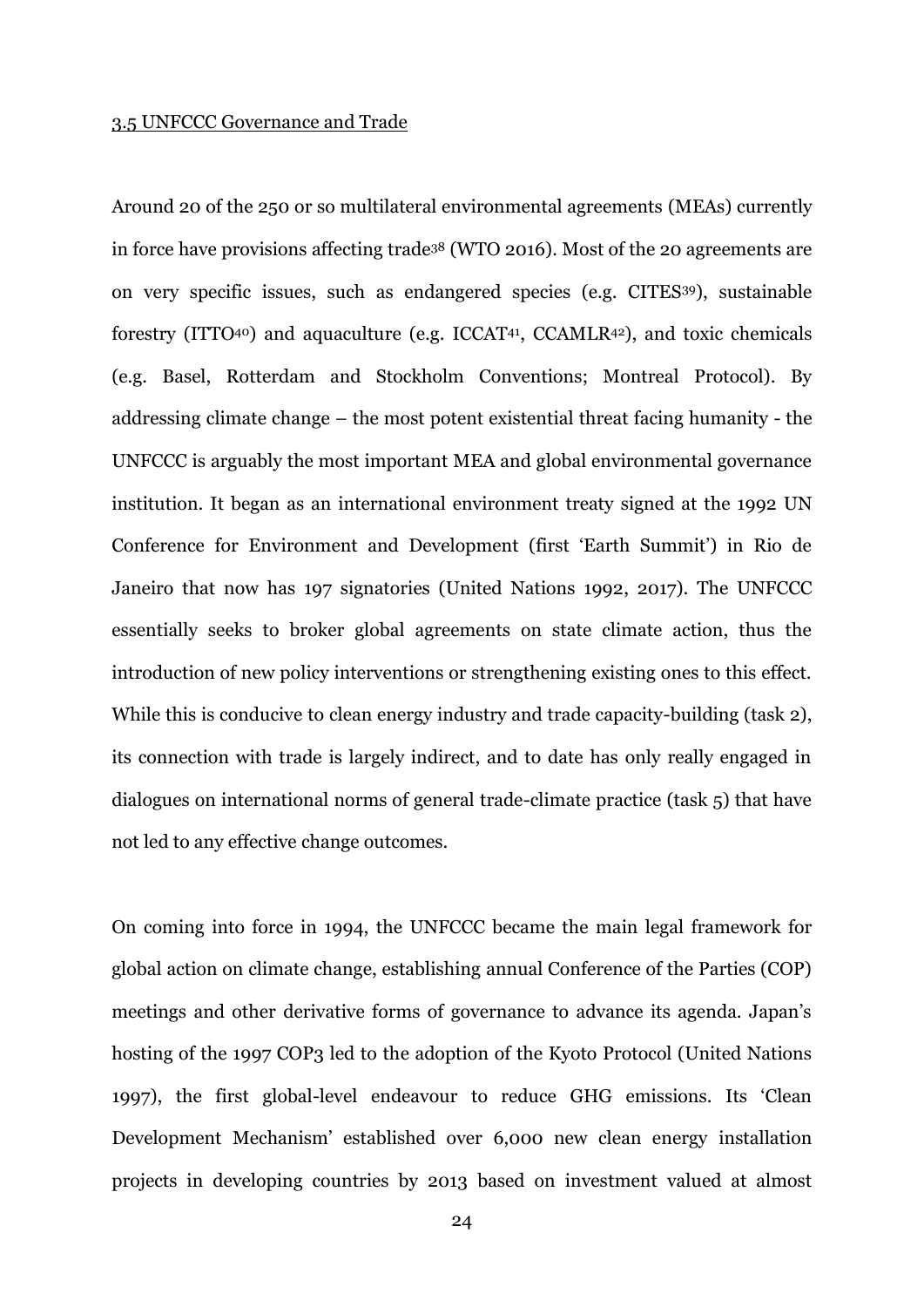#### 3.5 UNFCCC Governance and Trade

Around 20 of the 250 or so multilateral environmental agreements (MEAs) currently in force have provisions affecting trade<sup>38</sup> (WTO 2016). Most of the 20 agreements are on very specific issues, such as endangered species (e.g. CITES39), sustainable forestry (ITTO40) and aquaculture (e.g. ICCAT<sup>41</sup> , CCAMLR42), and toxic chemicals (e.g. Basel, Rotterdam and Stockholm Conventions; Montreal Protocol). By addressing climate change – the most potent existential threat facing humanity - the UNFCCC is arguably the most important MEA and global environmental governance institution. It began as an international environment treaty signed at the 1992 UN Conference for Environment and Development (first 'Earth Summit') in Rio de Janeiro that now has 197 signatories (United Nations 1992, 2017). The UNFCCC essentially seeks to broker global agreements on state climate action, thus the introduction of new policy interventions or strengthening existing ones to this effect. While this is conducive to clean energy industry and trade capacity-building (task 2), its connection with trade is largely indirect, and to date has only really engaged in dialogues on international norms of general trade-climate practice (task 5) that have not led to any effective change outcomes.

On coming into force in 1994, the UNFCCC became the main legal framework for global action on climate change, establishing annual Conference of the Parties (COP) meetings and other derivative forms of governance to advance its agenda. Japan's hosting of the 1997 COP3 led to the adoption of the Kyoto Protocol (United Nations 1997), the first global-level endeavour to reduce GHG emissions. Its 'Clean Development Mechanism' established over 6,000 new clean energy installation projects in developing countries by 2013 based on investment valued at almost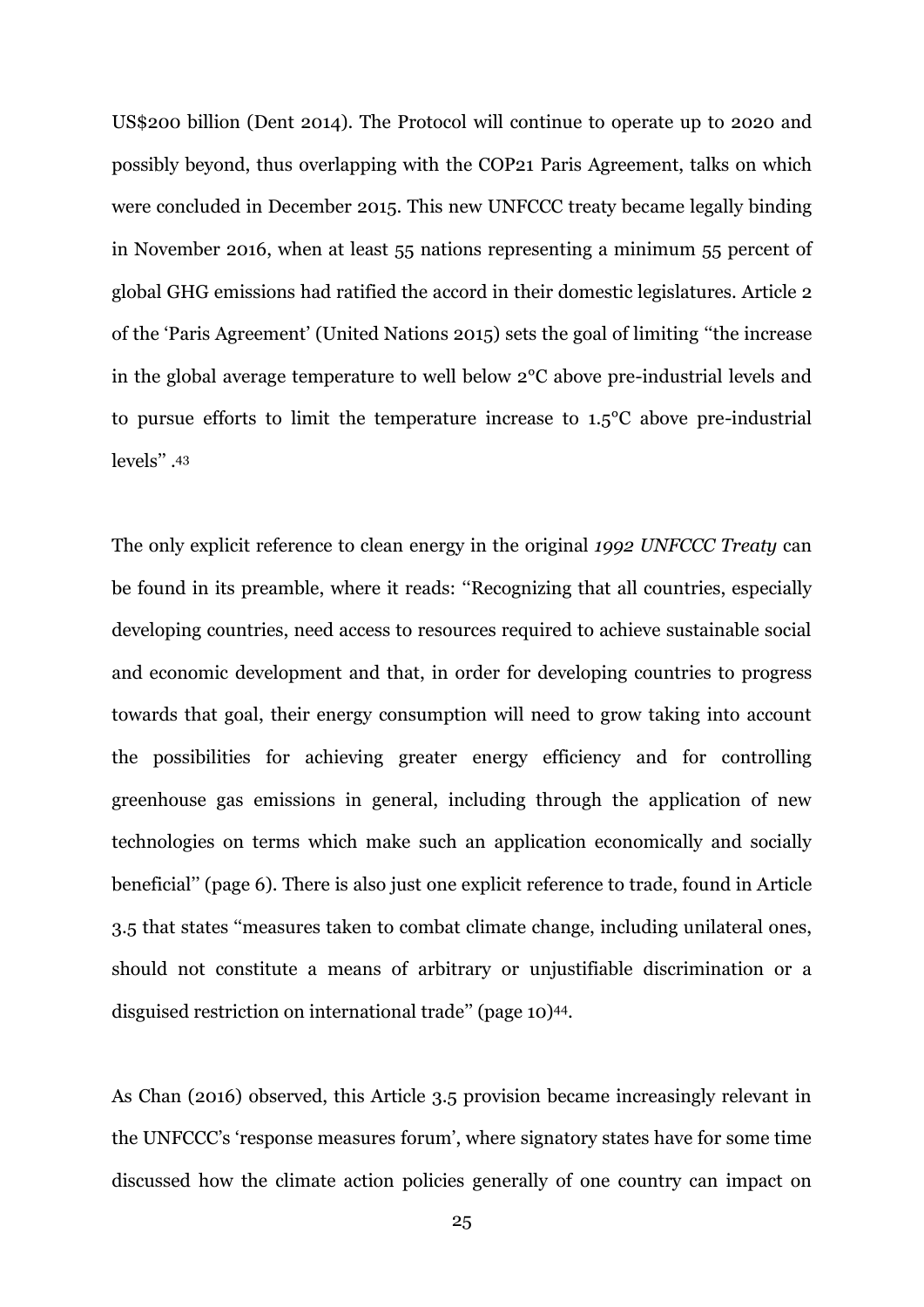US\$200 billion (Dent 2014). The Protocol will continue to operate up to 2020 and possibly beyond, thus overlapping with the COP21 Paris Agreement, talks on which were concluded in December 2015. This new UNFCCC treaty became legally binding in November 2016, when at least 55 nations representing a minimum 55 percent of global GHG emissions had ratified the accord in their domestic legislatures. Article 2 of the 'Paris Agreement' (United Nations 2015) sets the goal of limiting ''the increase in the global average temperature to well below 2°C above pre-industrial levels and to pursue efforts to limit the temperature increase to 1.5°C above pre-industrial levels'' . 43

The only explicit reference to clean energy in the original *1992 UNFCCC Treaty* can be found in its preamble, where it reads: ''Recognizing that all countries, especially developing countries, need access to resources required to achieve sustainable social and economic development and that, in order for developing countries to progress towards that goal, their energy consumption will need to grow taking into account the possibilities for achieving greater energy efficiency and for controlling greenhouse gas emissions in general, including through the application of new technologies on terms which make such an application economically and socially beneficial'' (page 6). There is also just one explicit reference to trade, found in Article 3.5 that states ''measures taken to combat climate change, including unilateral ones, should not constitute a means of arbitrary or unjustifiable discrimination or a disguised restriction on international trade'' (page 10)44.

As Chan (2016) observed, this Article 3.5 provision became increasingly relevant in the UNFCCC's 'response measures forum', where signatory states have for some time discussed how the climate action policies generally of one country can impact on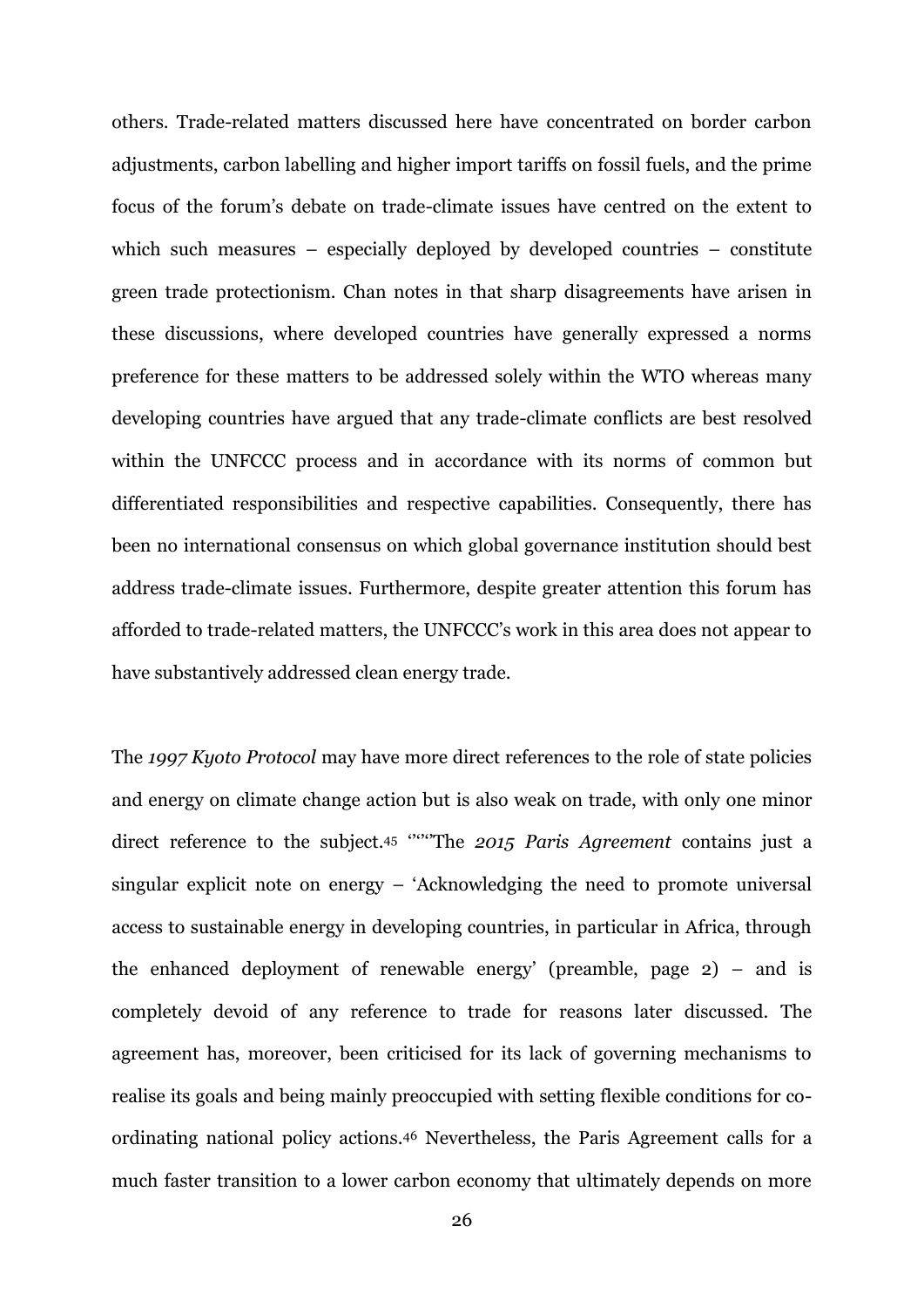others. Trade-related matters discussed here have concentrated on border carbon adjustments, carbon labelling and higher import tariffs on fossil fuels, and the prime focus of the forum's debate on trade-climate issues have centred on the extent to which such measures – especially deployed by developed countries – constitute green trade protectionism. Chan notes in that sharp disagreements have arisen in these discussions, where developed countries have generally expressed a norms preference for these matters to be addressed solely within the WTO whereas many developing countries have argued that any trade-climate conflicts are best resolved within the UNFCCC process and in accordance with its norms of common but differentiated responsibilities and respective capabilities. Consequently, there has been no international consensus on which global governance institution should best address trade-climate issues. Furthermore, despite greater attention this forum has afforded to trade-related matters, the UNFCCC's work in this area does not appear to have substantively addressed clean energy trade.

The *1997 Kyoto Protocol* may have more direct references to the role of state policies and energy on climate change action but is also weak on trade, with only one minor direct reference to the subject.<sup>45</sup> "The *2015 Paris Agreement* contains just a singular explicit note on energy – 'Acknowledging the need to promote universal access to sustainable energy in developing countries, in particular in Africa, through the enhanced deployment of renewable energy' (preamble, page 2) – and is completely devoid of any reference to trade for reasons later discussed. The agreement has, moreover, been criticised for its lack of governing mechanisms to realise its goals and being mainly preoccupied with setting flexible conditions for coordinating national policy actions.<sup>46</sup> Nevertheless, the Paris Agreement calls for a much faster transition to a lower carbon economy that ultimately depends on more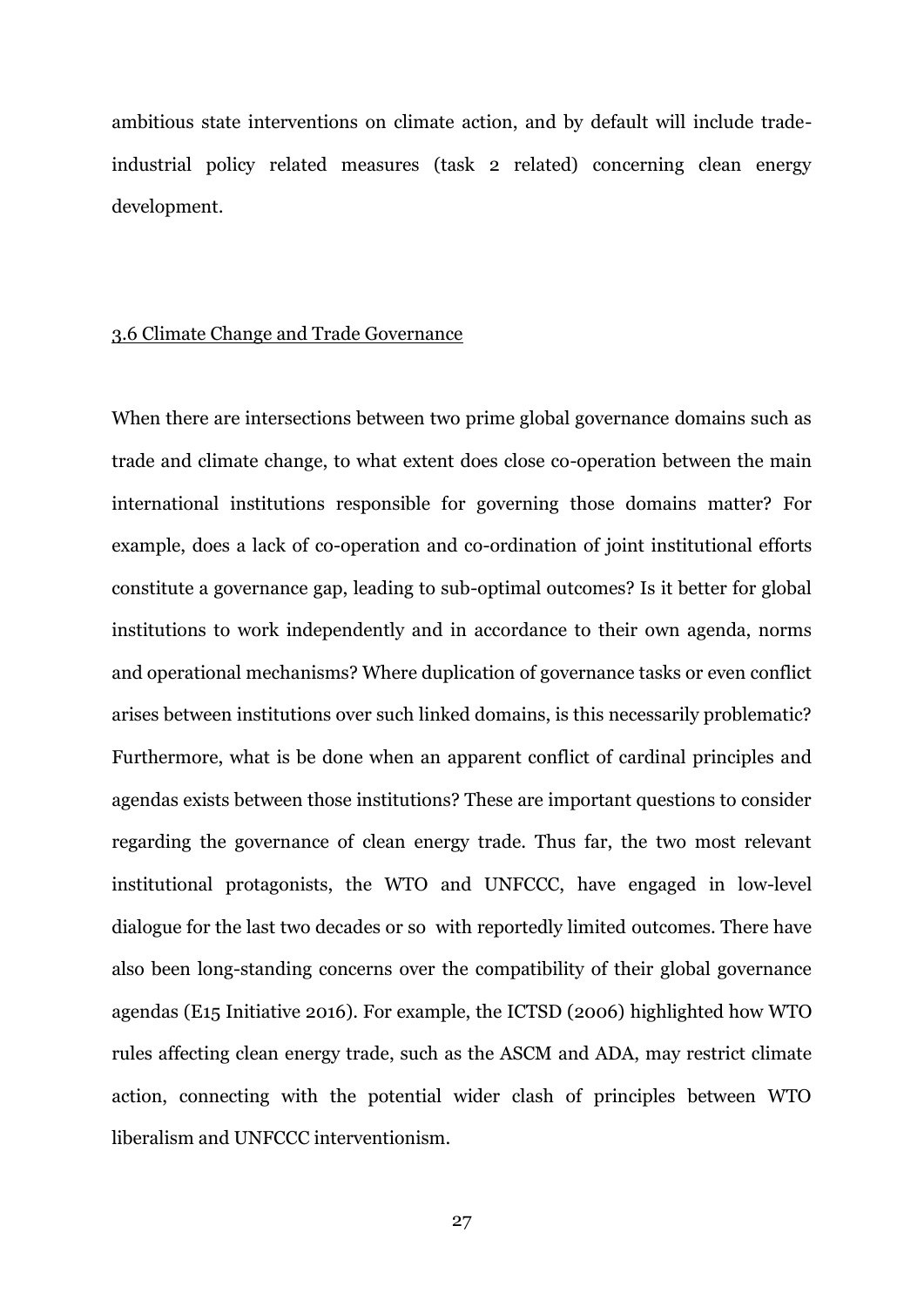ambitious state interventions on climate action, and by default will include tradeindustrial policy related measures (task 2 related) concerning clean energy development.

#### 3.6 Climate Change and Trade Governance

When there are intersections between two prime global governance domains such as trade and climate change, to what extent does close co-operation between the main international institutions responsible for governing those domains matter? For example, does a lack of co-operation and co-ordination of joint institutional efforts constitute a governance gap, leading to sub-optimal outcomes? Is it better for global institutions to work independently and in accordance to their own agenda, norms and operational mechanisms? Where duplication of governance tasks or even conflict arises between institutions over such linked domains, is this necessarily problematic? Furthermore, what is be done when an apparent conflict of cardinal principles and agendas exists between those institutions? These are important questions to consider regarding the governance of clean energy trade. Thus far, the two most relevant institutional protagonists, the WTO and UNFCCC, have engaged in low-level dialogue for the last two decades or so with reportedly limited outcomes. There have also been long-standing concerns over the compatibility of their global governance agendas (E15 Initiative 2016). For example, the ICTSD (2006) highlighted how WTO rules affecting clean energy trade, such as the ASCM and ADA, may restrict climate action, connecting with the potential wider clash of principles between WTO liberalism and UNFCCC interventionism.

27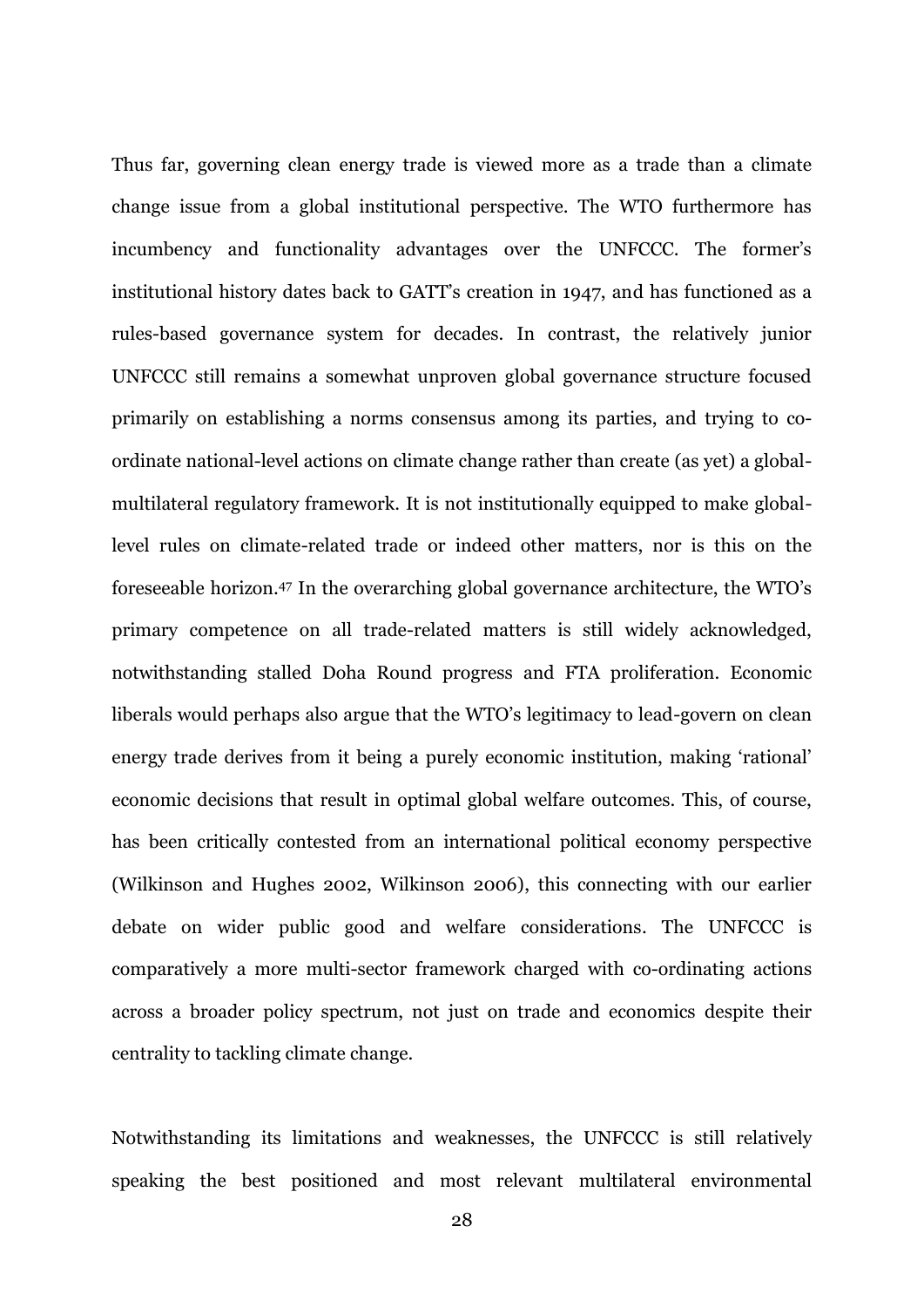Thus far, governing clean energy trade is viewed more as a trade than a climate change issue from a global institutional perspective. The WTO furthermore has incumbency and functionality advantages over the UNFCCC. The former's institutional history dates back to GATT's creation in 1947, and has functioned as a rules-based governance system for decades. In contrast, the relatively junior UNFCCC still remains a somewhat unproven global governance structure focused primarily on establishing a norms consensus among its parties, and trying to coordinate national-level actions on climate change rather than create (as yet) a globalmultilateral regulatory framework. It is not institutionally equipped to make globallevel rules on climate-related trade or indeed other matters, nor is this on the foreseeable horizon. <sup>47</sup> In the overarching global governance architecture, the WTO's primary competence on all trade-related matters is still widely acknowledged, notwithstanding stalled Doha Round progress and FTA proliferation. Economic liberals would perhaps also argue that the WTO's legitimacy to lead-govern on clean energy trade derives from it being a purely economic institution, making 'rational' economic decisions that result in optimal global welfare outcomes. This, of course, has been critically contested from an international political economy perspective (Wilkinson and Hughes 2002, Wilkinson 2006), this connecting with our earlier debate on wider public good and welfare considerations. The UNFCCC is comparatively a more multi-sector framework charged with co-ordinating actions across a broader policy spectrum, not just on trade and economics despite their centrality to tackling climate change.

Notwithstanding its limitations and weaknesses, the UNFCCC is still relatively speaking the best positioned and most relevant multilateral environmental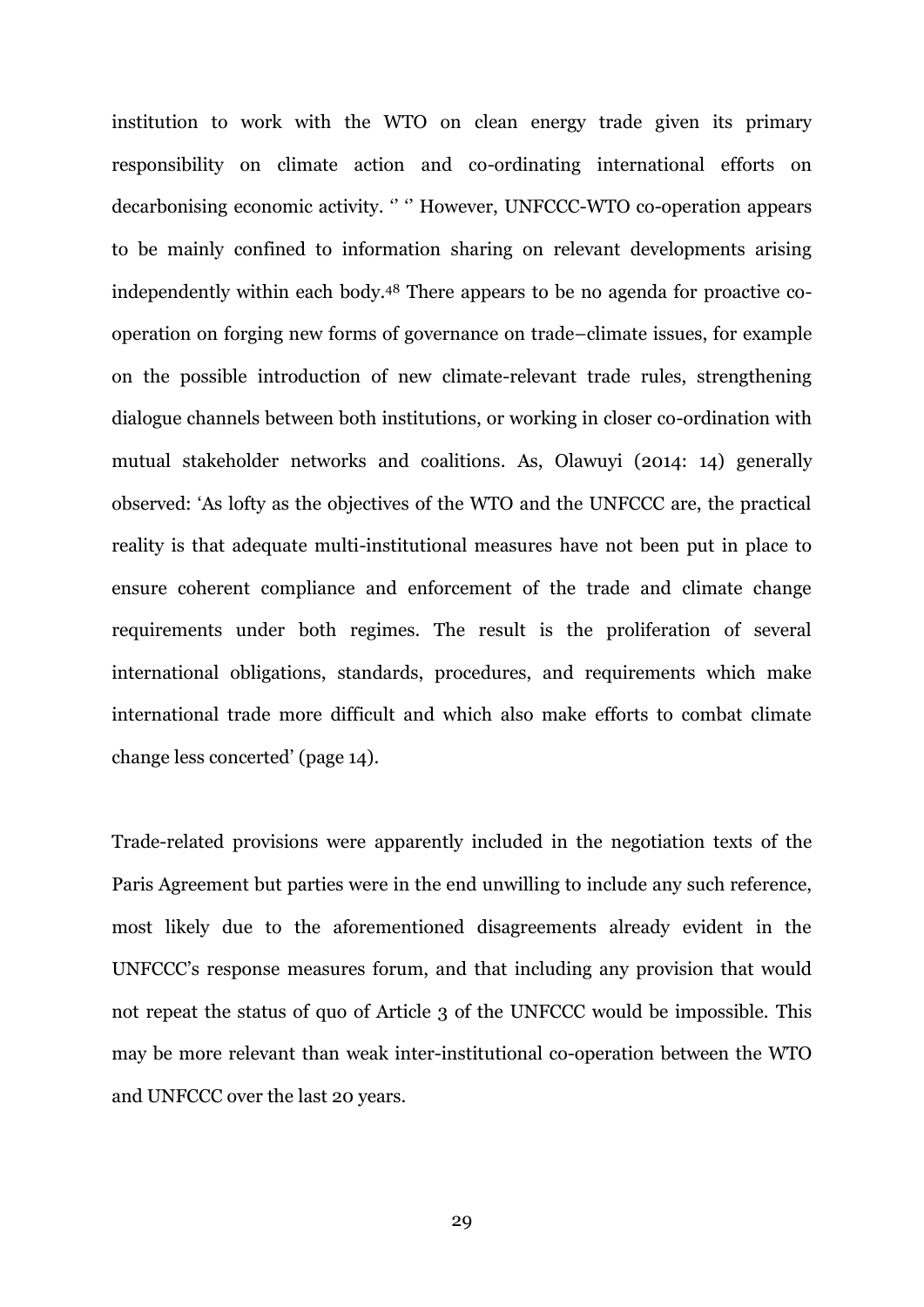institution to work with the WTO on clean energy trade given its primary responsibility on climate action and co-ordinating international efforts on decarbonising economic activity. '' '' However, UNFCCC-WTO co-operation appears to be mainly confined to information sharing on relevant developments arising independently within each body. <sup>48</sup> There appears to be no agenda for proactive cooperation on forging new forms of governance on trade–climate issues, for example on the possible introduction of new climate-relevant trade rules, strengthening dialogue channels between both institutions, or working in closer co-ordination with mutual stakeholder networks and coalitions. As, Olawuyi (2014: 14) generally observed: 'As lofty as the objectives of the WTO and the UNFCCC are, the practical reality is that adequate multi-institutional measures have not been put in place to ensure coherent compliance and enforcement of the trade and climate change requirements under both regimes. The result is the proliferation of several international obligations, standards, procedures, and requirements which make international trade more difficult and which also make efforts to combat climate change less concerted' (page 14).

Trade-related provisions were apparently included in the negotiation texts of the Paris Agreement but parties were in the end unwilling to include any such reference, most likely due to the aforementioned disagreements already evident in the UNFCCC's response measures forum, and that including any provision that would not repeat the status of quo of Article 3 of the UNFCCC would be impossible. This may be more relevant than weak inter-institutional co-operation between the WTO and UNFCCC over the last 20 years.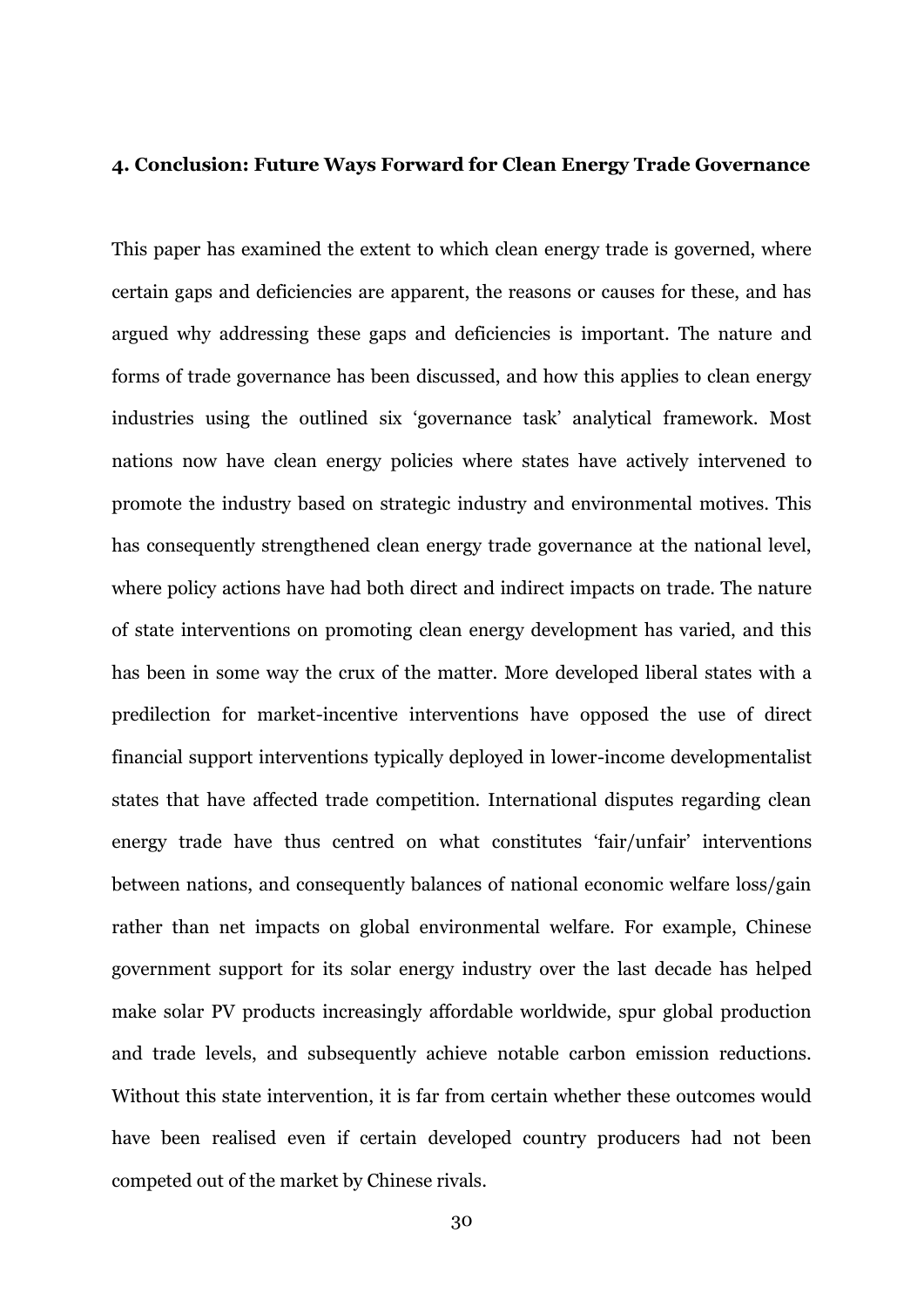#### **4. Conclusion: Future Ways Forward for Clean Energy Trade Governance**

This paper has examined the extent to which clean energy trade is governed, where certain gaps and deficiencies are apparent, the reasons or causes for these, and has argued why addressing these gaps and deficiencies is important. The nature and forms of trade governance has been discussed, and how this applies to clean energy industries using the outlined six 'governance task' analytical framework. Most nations now have clean energy policies where states have actively intervened to promote the industry based on strategic industry and environmental motives. This has consequently strengthened clean energy trade governance at the national level, where policy actions have had both direct and indirect impacts on trade. The nature of state interventions on promoting clean energy development has varied, and this has been in some way the crux of the matter. More developed liberal states with a predilection for market-incentive interventions have opposed the use of direct financial support interventions typically deployed in lower-income developmentalist states that have affected trade competition. International disputes regarding clean energy trade have thus centred on what constitutes 'fair/unfair' interventions between nations, and consequently balances of national economic welfare loss/gain rather than net impacts on global environmental welfare. For example, Chinese government support for its solar energy industry over the last decade has helped make solar PV products increasingly affordable worldwide, spur global production and trade levels, and subsequently achieve notable carbon emission reductions. Without this state intervention, it is far from certain whether these outcomes would have been realised even if certain developed country producers had not been competed out of the market by Chinese rivals.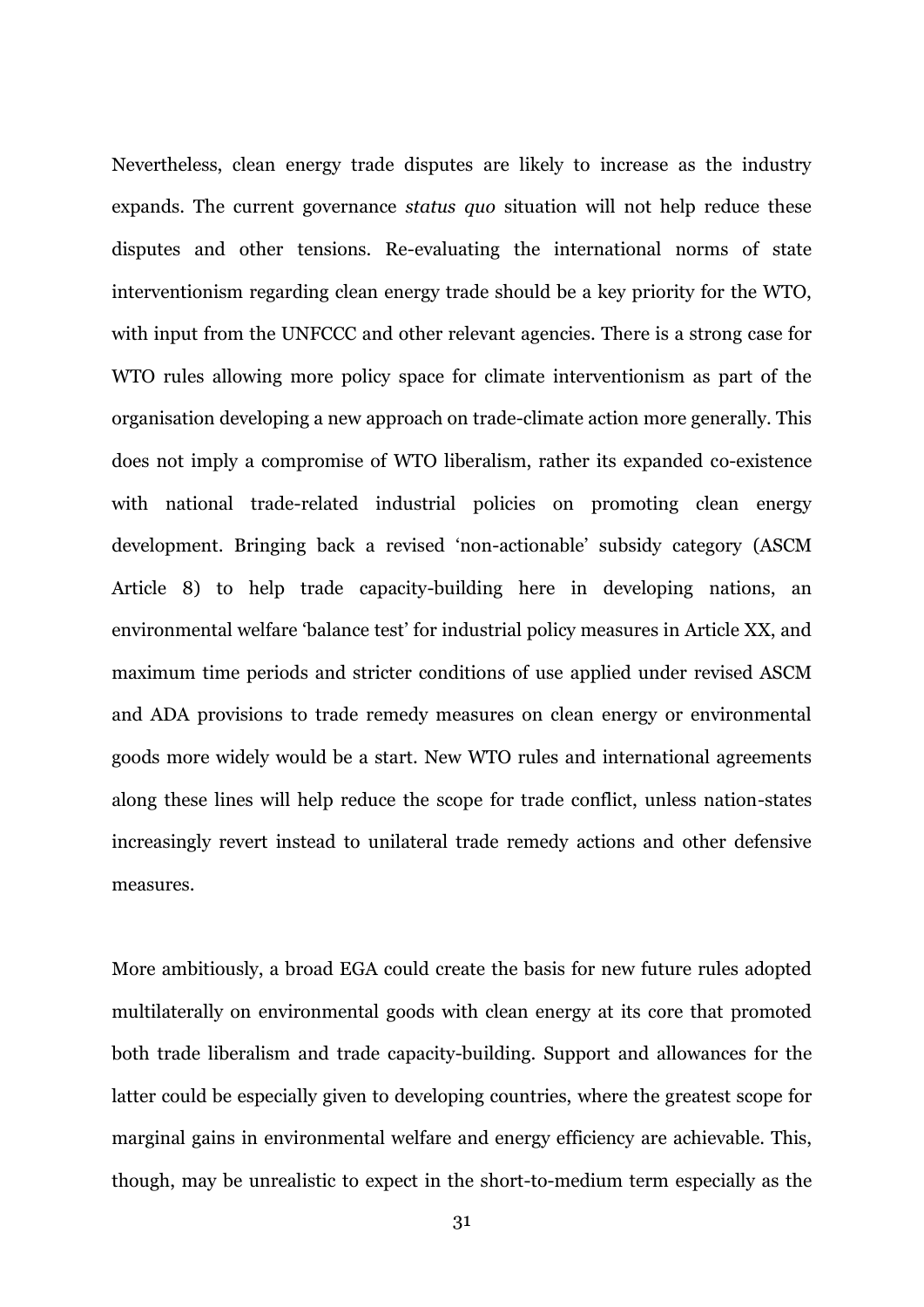Nevertheless, clean energy trade disputes are likely to increase as the industry expands. The current governance *status quo* situation will not help reduce these disputes and other tensions. Re-evaluating the international norms of state interventionism regarding clean energy trade should be a key priority for the WTO, with input from the UNFCCC and other relevant agencies. There is a strong case for WTO rules allowing more policy space for climate interventionism as part of the organisation developing a new approach on trade-climate action more generally. This does not imply a compromise of WTO liberalism, rather its expanded co-existence with national trade-related industrial policies on promoting clean energy development. Bringing back a revised 'non-actionable' subsidy category (ASCM Article 8) to help trade capacity-building here in developing nations, an environmental welfare 'balance test' for industrial policy measures in Article XX, and maximum time periods and stricter conditions of use applied under revised ASCM and ADA provisions to trade remedy measures on clean energy or environmental goods more widely would be a start. New WTO rules and international agreements along these lines will help reduce the scope for trade conflict, unless nation-states increasingly revert instead to unilateral trade remedy actions and other defensive measures.

More ambitiously, a broad EGA could create the basis for new future rules adopted multilaterally on environmental goods with clean energy at its core that promoted both trade liberalism and trade capacity-building. Support and allowances for the latter could be especially given to developing countries, where the greatest scope for marginal gains in environmental welfare and energy efficiency are achievable. This, though, may be unrealistic to expect in the short-to-medium term especially as the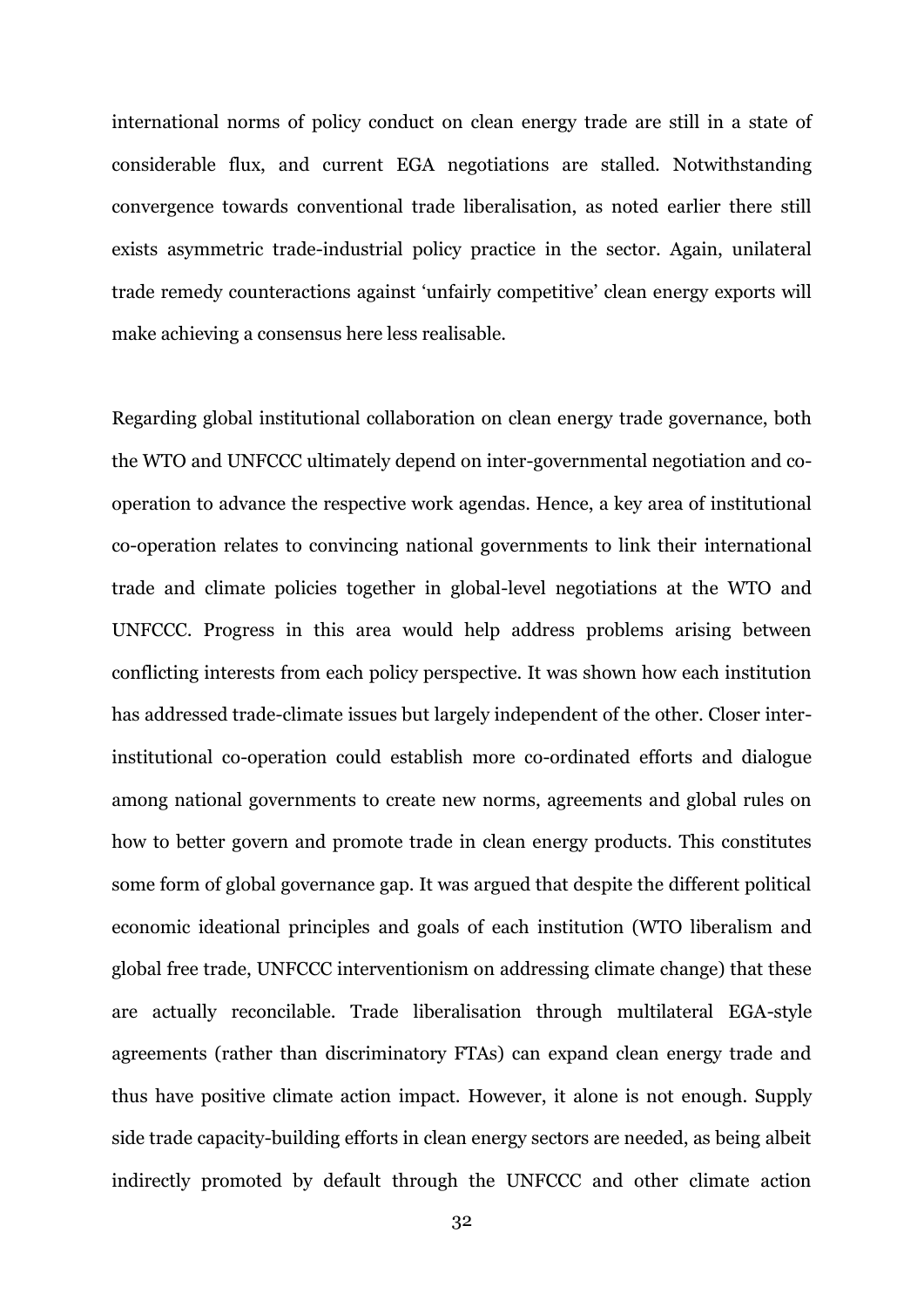international norms of policy conduct on clean energy trade are still in a state of considerable flux, and current EGA negotiations are stalled. Notwithstanding convergence towards conventional trade liberalisation, as noted earlier there still exists asymmetric trade-industrial policy practice in the sector. Again, unilateral trade remedy counteractions against 'unfairly competitive' clean energy exports will make achieving a consensus here less realisable.

Regarding global institutional collaboration on clean energy trade governance, both the WTO and UNFCCC ultimately depend on inter-governmental negotiation and cooperation to advance the respective work agendas. Hence, a key area of institutional co-operation relates to convincing national governments to link their international trade and climate policies together in global-level negotiations at the WTO and UNFCCC. Progress in this area would help address problems arising between conflicting interests from each policy perspective. It was shown how each institution has addressed trade-climate issues but largely independent of the other. Closer interinstitutional co-operation could establish more co-ordinated efforts and dialogue among national governments to create new norms, agreements and global rules on how to better govern and promote trade in clean energy products. This constitutes some form of global governance gap. It was argued that despite the different political economic ideational principles and goals of each institution (WTO liberalism and global free trade, UNFCCC interventionism on addressing climate change) that these are actually reconcilable. Trade liberalisation through multilateral EGA-style agreements (rather than discriminatory FTAs) can expand clean energy trade and thus have positive climate action impact. However, it alone is not enough. Supply side trade capacity-building efforts in clean energy sectors are needed, as being albeit indirectly promoted by default through the UNFCCC and other climate action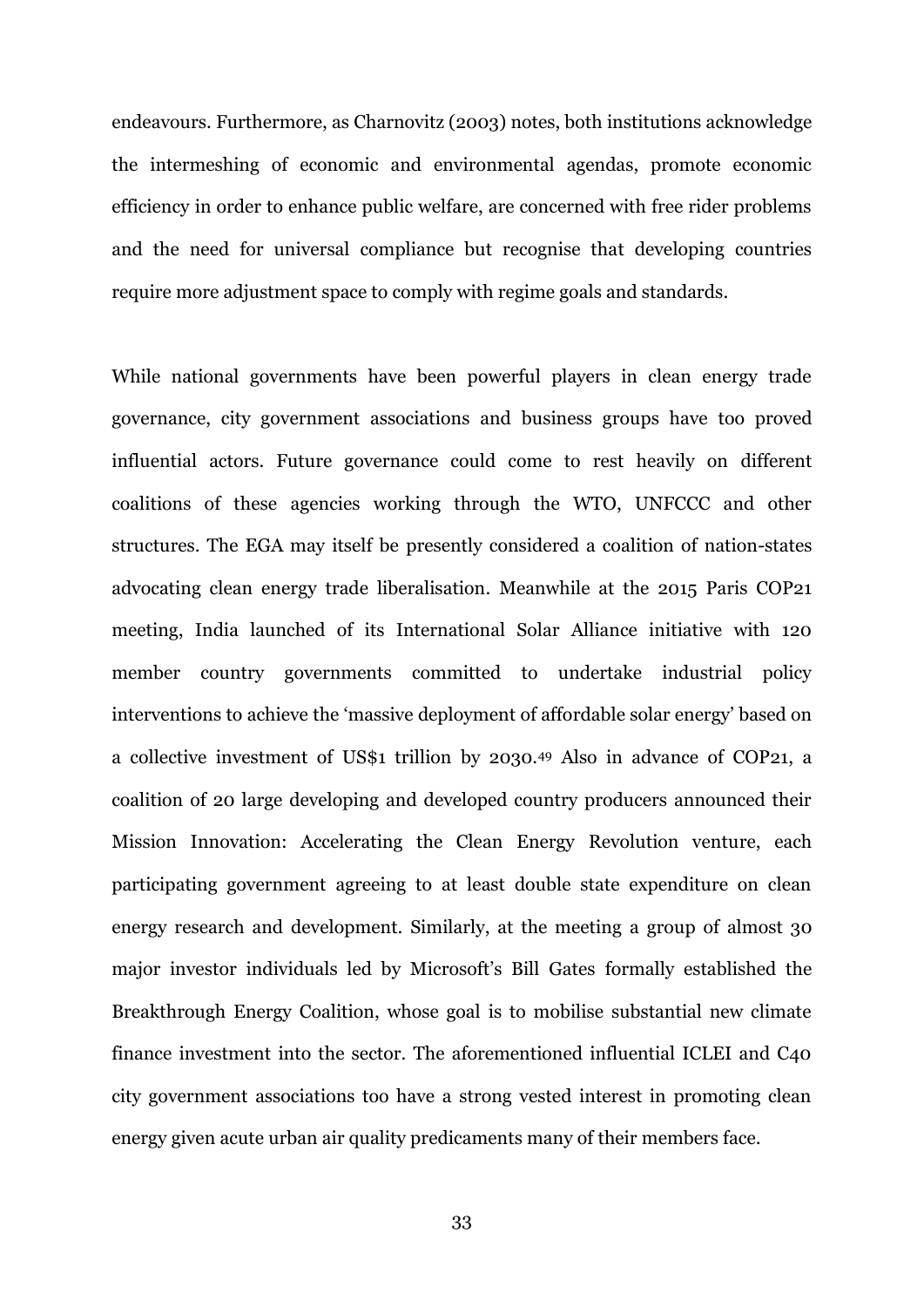endeavours. Furthermore, as Charnovitz (2003) notes, both institutions acknowledge the intermeshing of economic and environmental agendas, promote economic efficiency in order to enhance public welfare, are concerned with free rider problems and the need for universal compliance but recognise that developing countries require more adjustment space to comply with regime goals and standards.

While national governments have been powerful players in clean energy trade governance, city government associations and business groups have too proved influential actors. Future governance could come to rest heavily on different coalitions of these agencies working through the WTO, UNFCCC and other structures. The EGA may itself be presently considered a coalition of nation-states advocating clean energy trade liberalisation. Meanwhile at the 2015 Paris COP21 meeting, India launched of its International Solar Alliance initiative with 120 member country governments committed to undertake industrial policy interventions to achieve the 'massive deployment of affordable solar energy' based on a collective investment of US\$1 trillion by 2030.<sup>49</sup> Also in advance of COP21, a coalition of 20 large developing and developed country producers announced their Mission Innovation: Accelerating the Clean Energy Revolution venture, each participating government agreeing to at least double state expenditure on clean energy research and development. Similarly, at the meeting a group of almost 30 major investor individuals led by Microsoft's Bill Gates formally established the Breakthrough Energy Coalition, whose goal is to mobilise substantial new climate finance investment into the sector. The aforementioned influential ICLEI and C40 city government associations too have a strong vested interest in promoting clean energy given acute urban air quality predicaments many of their members face.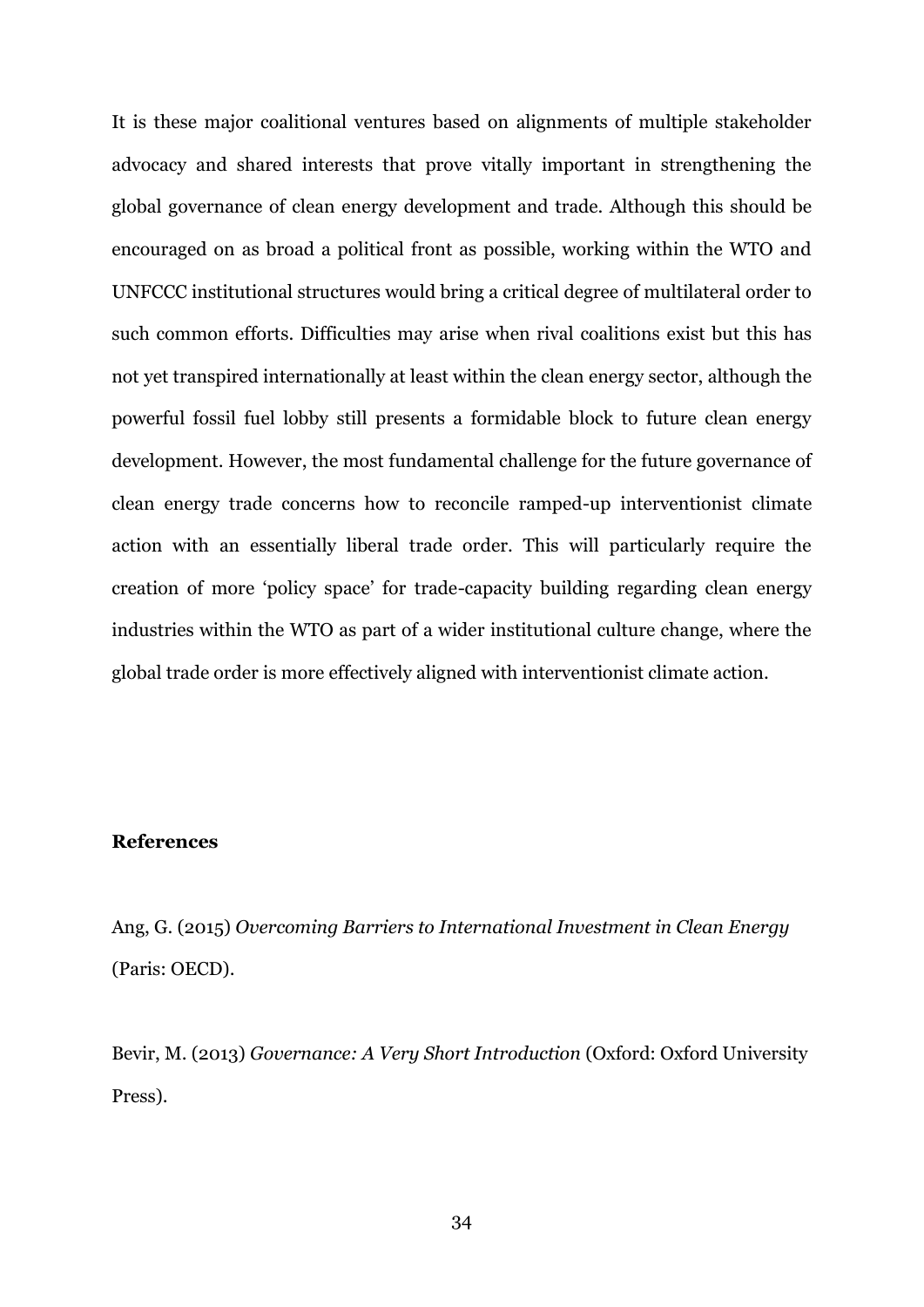It is these major coalitional ventures based on alignments of multiple stakeholder advocacy and shared interests that prove vitally important in strengthening the global governance of clean energy development and trade. Although this should be encouraged on as broad a political front as possible, working within the WTO and UNFCCC institutional structures would bring a critical degree of multilateral order to such common efforts. Difficulties may arise when rival coalitions exist but this has not yet transpired internationally at least within the clean energy sector, although the powerful fossil fuel lobby still presents a formidable block to future clean energy development. However, the most fundamental challenge for the future governance of clean energy trade concerns how to reconcile ramped-up interventionist climate action with an essentially liberal trade order. This will particularly require the creation of more 'policy space' for trade-capacity building regarding clean energy industries within the WTO as part of a wider institutional culture change, where the global trade order is more effectively aligned with interventionist climate action.

# **References**

Ang, G. (2015) *Overcoming Barriers to International Investment in Clean Energy* (Paris: OECD).

Bevir, M. (2013) *Governance: A Very Short Introduction* (Oxford: Oxford University Press).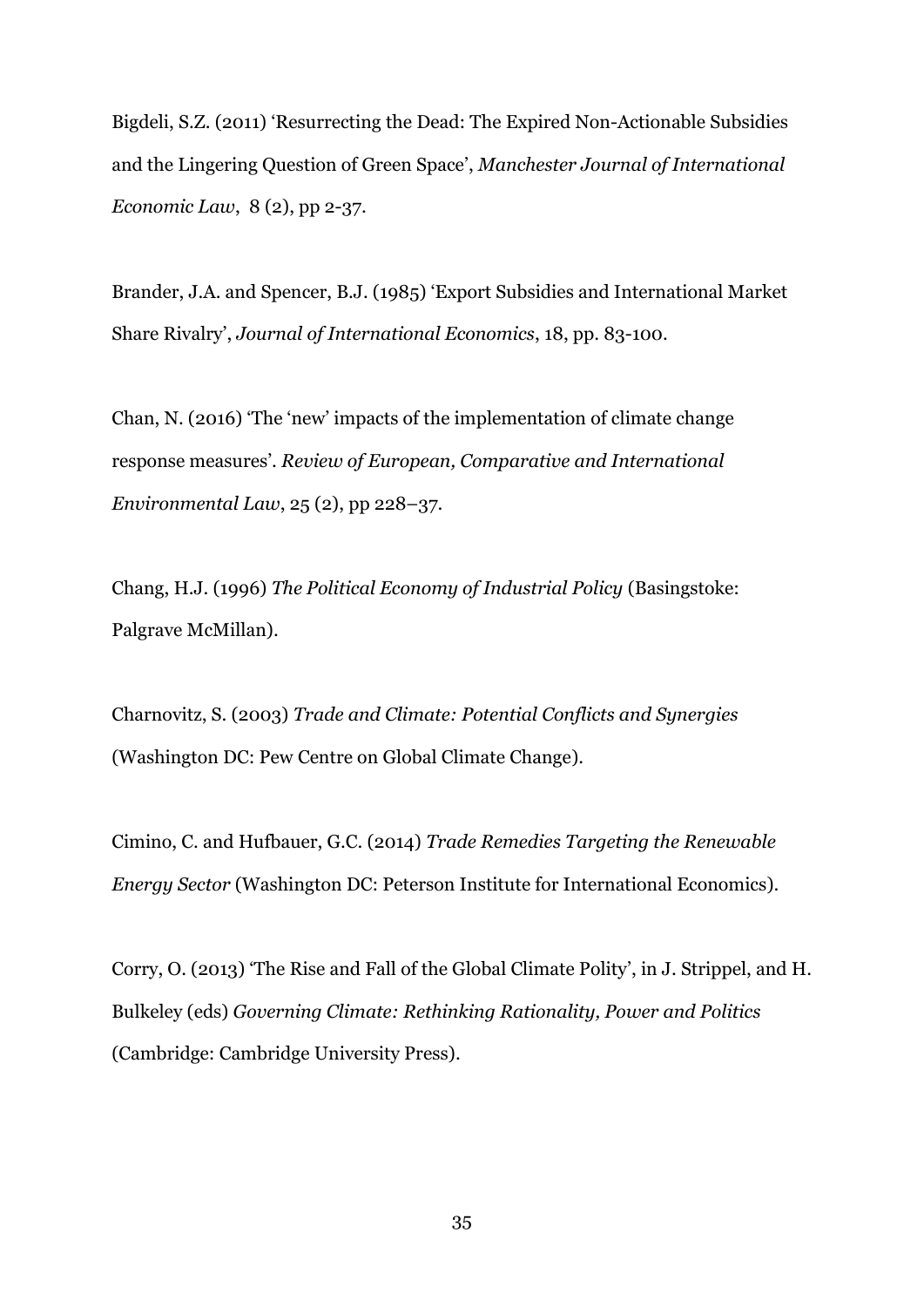Bigdeli, S.Z. (2011) 'Resurrecting the Dead: The Expired Non-Actionable Subsidies and the Lingering Question of Green Space', *Manchester Journal of International Economic Law*, 8 (2), pp 2-37.

Brander, J.A. and Spencer, B.J. (1985) 'Export Subsidies and International Market Share Rivalry', *Journal of International Economics*, 18, pp. 83-100.

Chan, N. (2016) 'The 'new' impacts of the implementation of climate change response measures'. *Review of European, Comparative and International Environmental Law*, 25 (2), pp 228–37.

Chang, H.J. (1996) *The Political Economy of Industrial Policy* (Basingstoke: Palgrave McMillan).

Charnovitz, S. (2003) *Trade and Climate: Potential Conflicts and Synergies* (Washington DC: Pew Centre on Global Climate Change).

Cimino, C. and Hufbauer, G.C. (2014) *Trade Remedies Targeting the Renewable Energy Sector* (Washington DC: Peterson Institute for International Economics).

Corry, O. (2013) 'The Rise and Fall of the Global Climate Polity', in J. Strippel, and H. Bulkeley (eds) *Governing Climate: Rethinking Rationality, Power and Politics* (Cambridge: Cambridge University Press).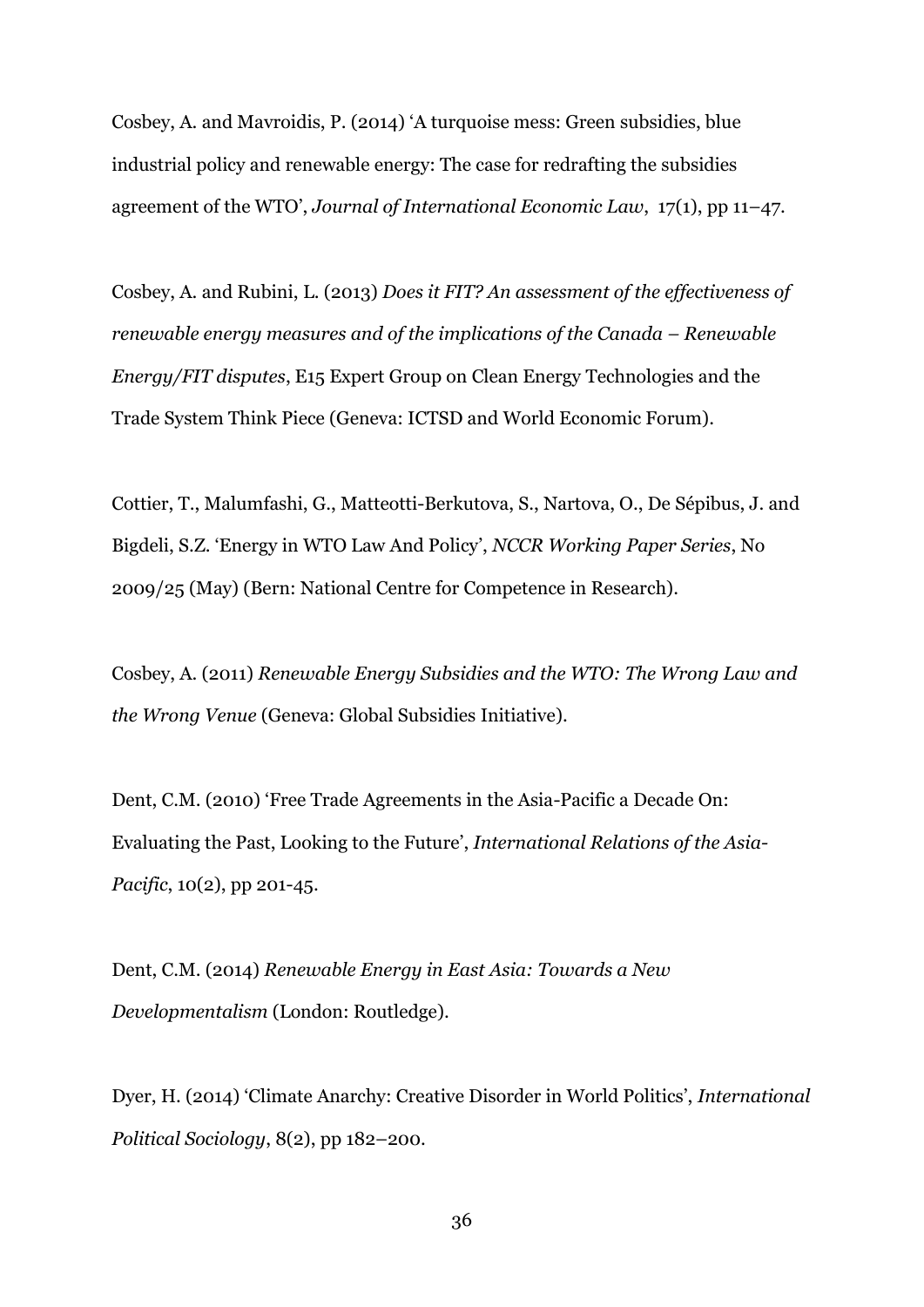Cosbey, A. and Mavroidis, P. (2014) 'A turquoise mess: Green subsidies, blue industrial policy and renewable energy: The case for redrafting the subsidies agreement of the WTO', *Journal of International Economic Law*, 17(1), pp 11–47.

Cosbey, A. and Rubini, L. (2013) *Does it FIT? An assessment of the effectiveness of renewable energy measures and of the implications of the Canada – Renewable Energy/FIT disputes*, E15 Expert Group on Clean Energy Technologies and the Trade System Think Piece (Geneva: ICTSD and World Economic Forum).

Cottier, T., Malumfashi, G., Matteotti-Berkutova, S., Nartova, O., De Sépibus, J. and Bigdeli, S.Z. 'Energy in WTO Law And Policy', *NCCR Working Paper Series*, No 2009/25 (May) (Bern: National Centre for Competence in Research).

Cosbey, A. (2011) *Renewable Energy Subsidies and the WTO: The Wrong Law and the Wrong Venue* (Geneva: Global Subsidies Initiative).

Dent, C.M. (2010) 'Free Trade Agreements in the Asia-Pacific a Decade On: Evaluating the Past, Looking to the Future', *International Relations of the Asia-Pacific*, 10(2), pp 201-45.

Dent, C.M. (2014) *Renewable Energy in East Asia: Towards a New Developmentalism* (London: Routledge).

Dyer, H. (2014) 'Climate Anarchy: Creative Disorder in World Politics', *International Political Sociology*, 8(2), pp 182–200.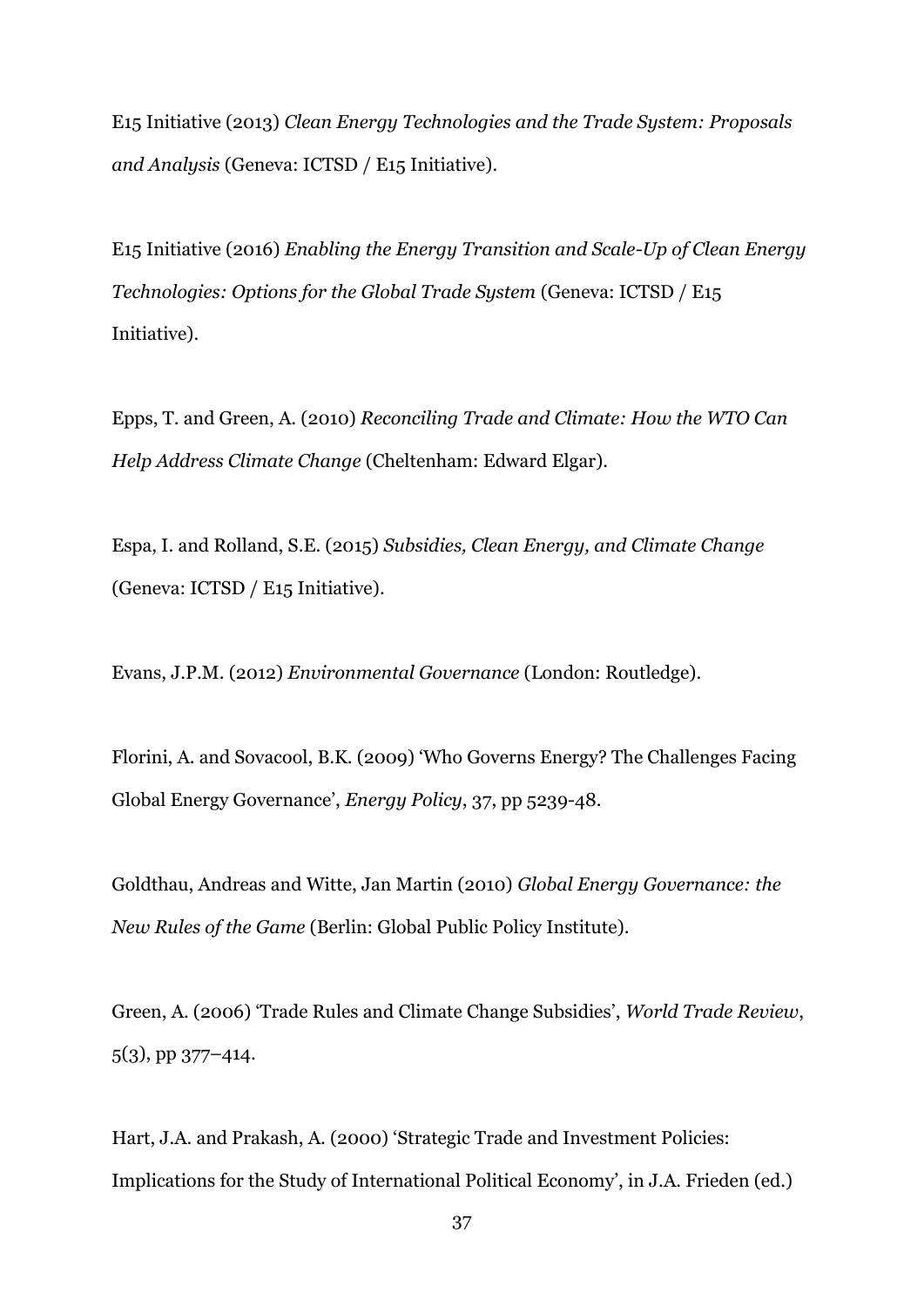E15 Initiative (2013) *Clean Energy Technologies and the Trade System: Proposals and Analysis* (Geneva: ICTSD / E15 Initiative).

E15 Initiative (2016) *Enabling the Energy Transition and Scale-Up of Clean Energy Technologies: Options for the Global Trade System (Geneva: ICTSD / E15* Initiative).

Epps, T. and Green, A. (2010) *Reconciling Trade and Climate: How the WTO Can Help Address Climate Change* (Cheltenham: Edward Elgar).

Espa, I. and Rolland, S.E. (2015) *Subsidies, Clean Energy, and Climate Change* (Geneva: ICTSD / E15 Initiative).

Evans, J.P.M. (2012) *Environmental Governance* (London: Routledge).

Florini, A. and Sovacool, B.K. (2009) 'Who Governs Energy? The Challenges Facing Global Energy Governance', *Energy Policy*, 37, pp 5239-48.

Goldthau, Andreas and Witte, Jan Martin (2010) *Global Energy Governance: the New Rules of the Game* (Berlin: Global Public Policy Institute).

Green, A. (2006) 'Trade Rules and Climate Change Subsidies', *World Trade Review*, 5(3), pp 377–414.

Hart, J.A. and Prakash, A. (2000) 'Strategic Trade and Investment Policies: Implications for the Study of International Political Economy', in J.A. Frieden (ed.)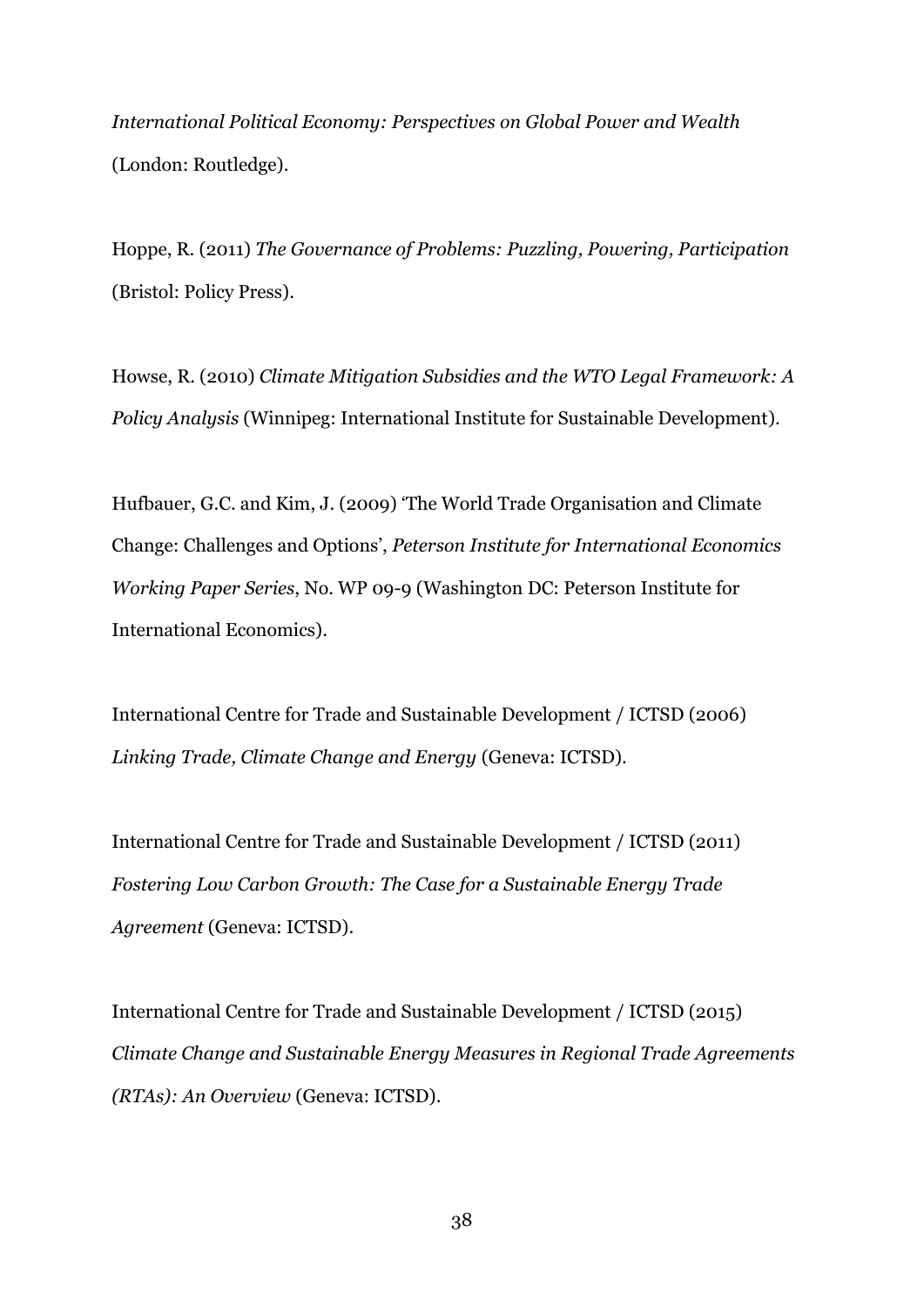*International Political Economy: Perspectives on Global Power and Wealth* (London: Routledge).

Hoppe, R. (2011) *The Governance of Problems: Puzzling, Powering, Participation* (Bristol: Policy Press).

Howse, R. (2010) *Climate Mitigation Subsidies and the WTO Legal Framework: A Policy Analysis* (Winnipeg: International Institute for Sustainable Development).

Hufbauer, G.C. and Kim, J. (2009) 'The World Trade Organisation and Climate Change: Challenges and Options', *Peterson Institute for International Economics Working Paper Series*, No. WP 09-9 (Washington DC: Peterson Institute for International Economics).

International Centre for Trade and Sustainable Development / ICTSD (2006) *Linking Trade, Climate Change and Energy* (Geneva: ICTSD).

International Centre for Trade and Sustainable Development / ICTSD (2011) *Fostering Low Carbon Growth: The Case for a Sustainable Energy Trade Agreement* (Geneva: ICTSD).

International Centre for Trade and Sustainable Development / ICTSD (2015) *Climate Change and Sustainable Energy Measures in Regional Trade Agreements (RTAs): An Overview* (Geneva: ICTSD).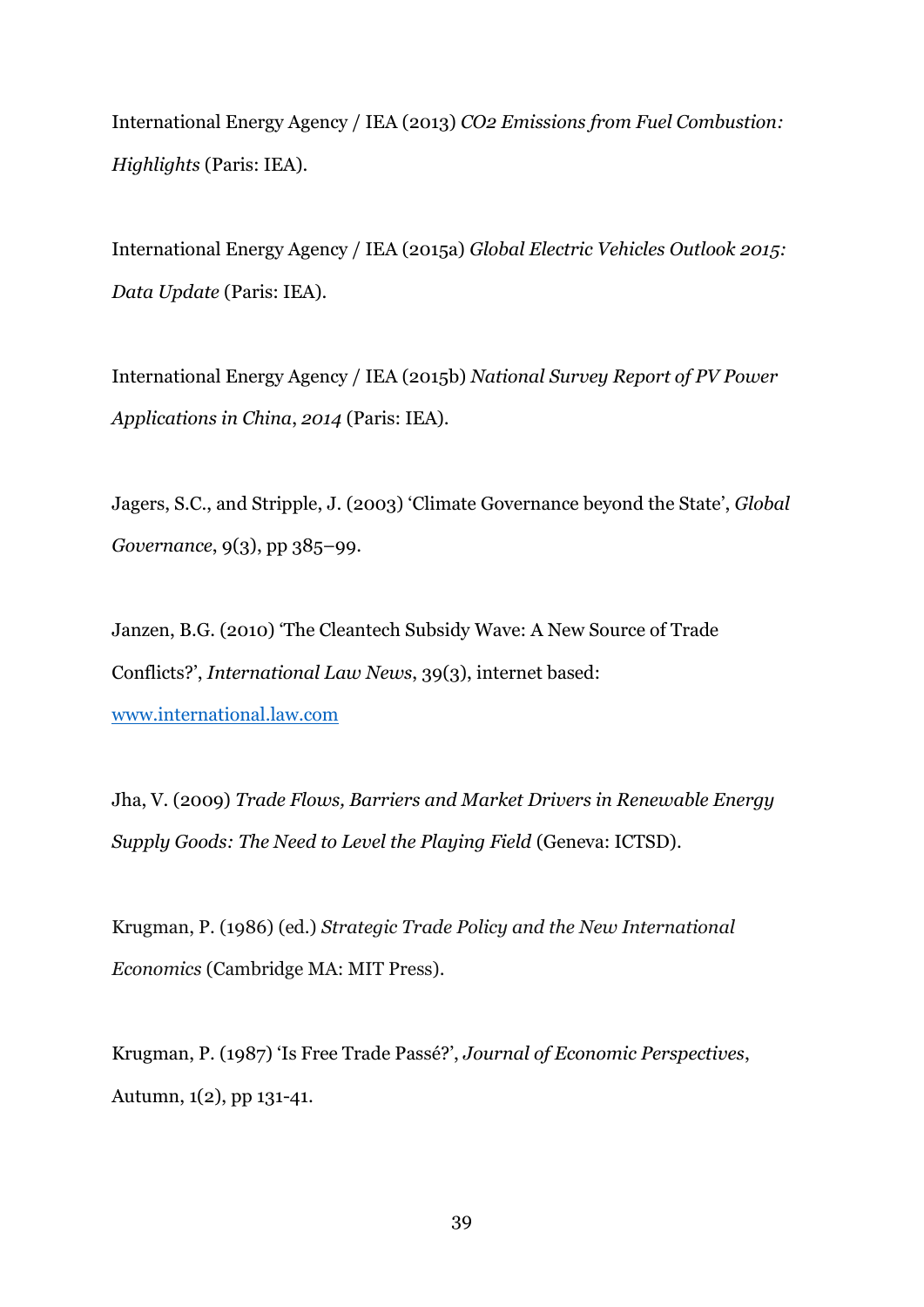International Energy Agency / IEA (2013) *CO2 Emissions from Fuel Combustion: Highlights* (Paris: IEA).

International Energy Agency / IEA (2015a) *Global Electric Vehicles Outlook 2015: Data Update* (Paris: IEA).

International Energy Agency / IEA (2015b) *National Survey Report of PV Power Applications in China*, *2014* (Paris: IEA).

Jagers, S.C., and Stripple, J. (2003) 'Climate Governance beyond the State', *Global Governance*, 9(3), pp 385–99.

Janzen, B.G. (2010) 'The Cleantech Subsidy Wave: A New Source of Trade Conflicts?', *International Law News*, 39(3), internet based: [www.international.law.com](http://www.international.law.com/)

Jha, V. (2009) *Trade Flows, Barriers and Market Drivers in Renewable Energy Supply Goods: The Need to Level the Playing Field* (Geneva: ICTSD).

Krugman, P. (1986) (ed.) *Strategic Trade Policy and the New International Economics* (Cambridge MA: MIT Press).

Krugman, P. (1987) 'Is Free Trade Passé?', *Journal of Economic Perspectives*, Autumn, 1(2), pp 131-41.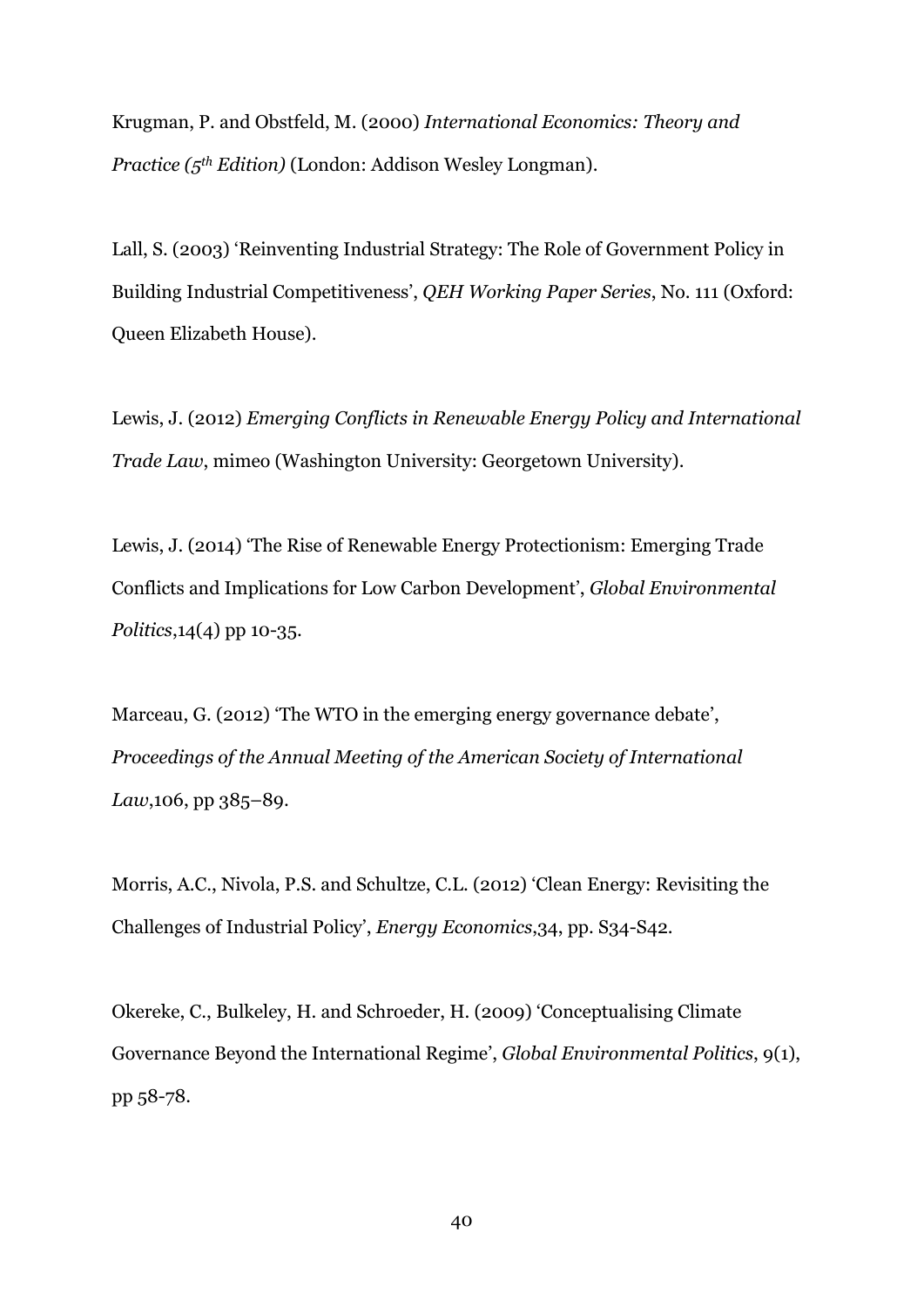Krugman, P. and Obstfeld, M. (2000) *International Economics: Theory and Practice (5th Edition)* (London: Addison Wesley Longman).

Lall, S. (2003) 'Reinventing Industrial Strategy: The Role of Government Policy in Building Industrial Competitiveness', *QEH Working Paper Series*, No. 111 (Oxford: Queen Elizabeth House).

Lewis, J. (2012) *Emerging Conflicts in Renewable Energy Policy and International Trade Law*, mimeo (Washington University: Georgetown University).

Lewis, J. (2014) 'The Rise of Renewable Energy Protectionism: Emerging Trade Conflicts and Implications for Low Carbon Development', *Global Environmental Politics*,14(4) pp 10-35.

Marceau, G. (2012) 'The WTO in the emerging energy governance debate', *Proceedings of the Annual Meeting of the American Society of International Law*,106, pp 385–89.

Morris, A.C., Nivola, P.S. and Schultze, C.L. (2012) 'Clean Energy: Revisiting the Challenges of Industrial Policy', *Energy Economics*,34, pp. S34-S42.

Okereke, C., Bulkeley, H. and Schroeder, H. (2009) 'Conceptualising Climate Governance Beyond the International Regime', *Global Environmental Politics*, 9(1), pp 58-78.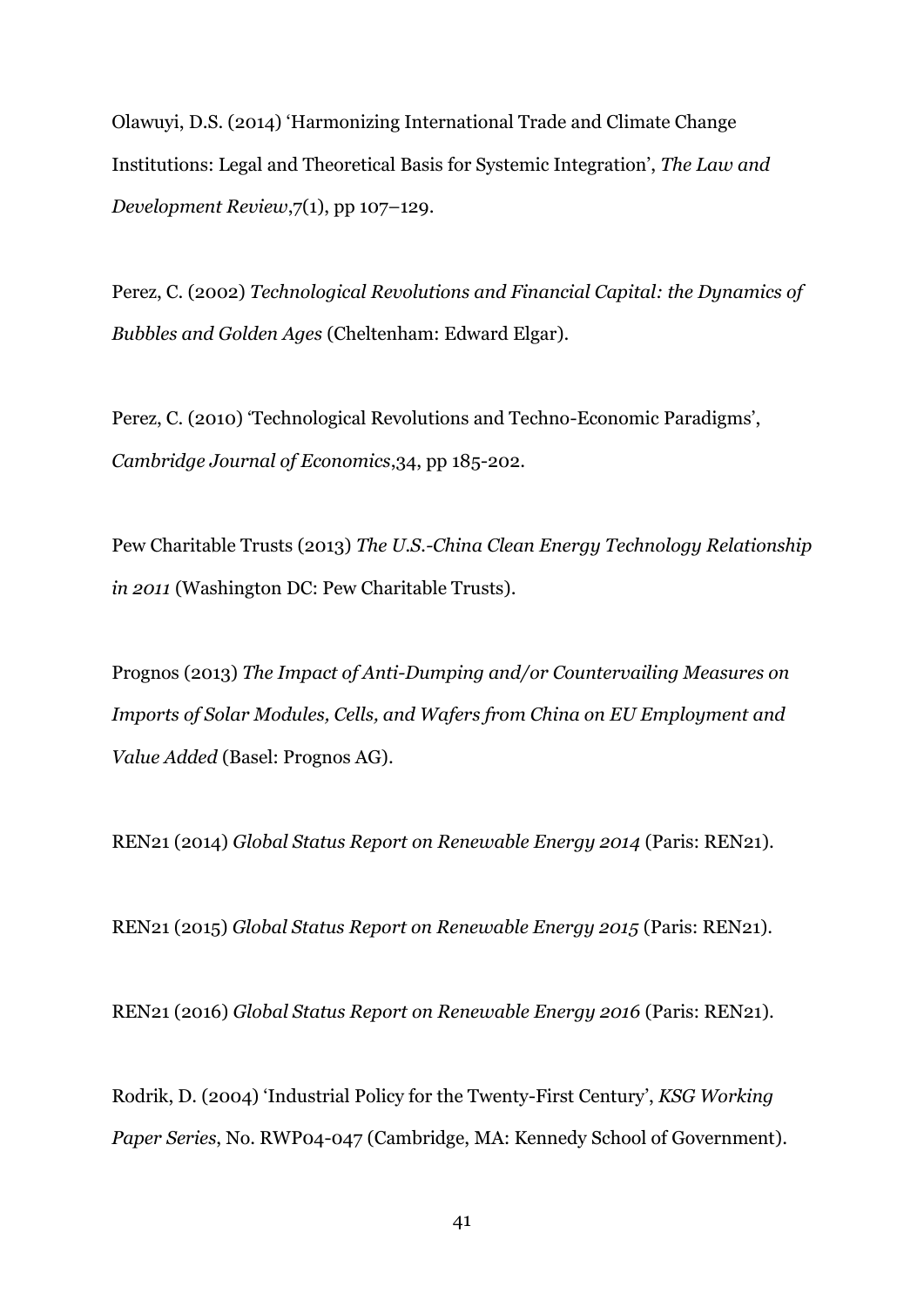Olawuyi, D.S. (2014) 'Harmonizing International Trade and Climate Change Institutions: Legal and Theoretical Basis for Systemic Integration', *The Law and Development Review*,7(1), pp 107–129.

Perez, C. (2002) *Technological Revolutions and Financial Capital: the Dynamics of Bubbles and Golden Ages* (Cheltenham: Edward Elgar).

Perez, C. (2010) 'Technological Revolutions and Techno-Economic Paradigms', *Cambridge Journal of Economics*,34, pp 185-202.

Pew Charitable Trusts (2013) *The U.S.-China Clean Energy Technology Relationship in 2011* (Washington DC: Pew Charitable Trusts).

Prognos (2013) *The Impact of Anti-Dumping and/or Countervailing Measures on Imports of Solar Modules, Cells, and Wafers from China on EU Employment and Value Added* (Basel: Prognos AG).

REN21 (2014) *Global Status Report on Renewable Energy 2014* (Paris: REN21).

REN21 (2015) *Global Status Report on Renewable Energy 2015* (Paris: REN21).

REN21 (2016) *Global Status Report on Renewable Energy 2016* (Paris: REN21).

Rodrik, D. (2004) 'Industrial Policy for the Twenty-First Century', *KSG Working Paper Series*, No. RWP04-047 (Cambridge, MA: Kennedy School of Government).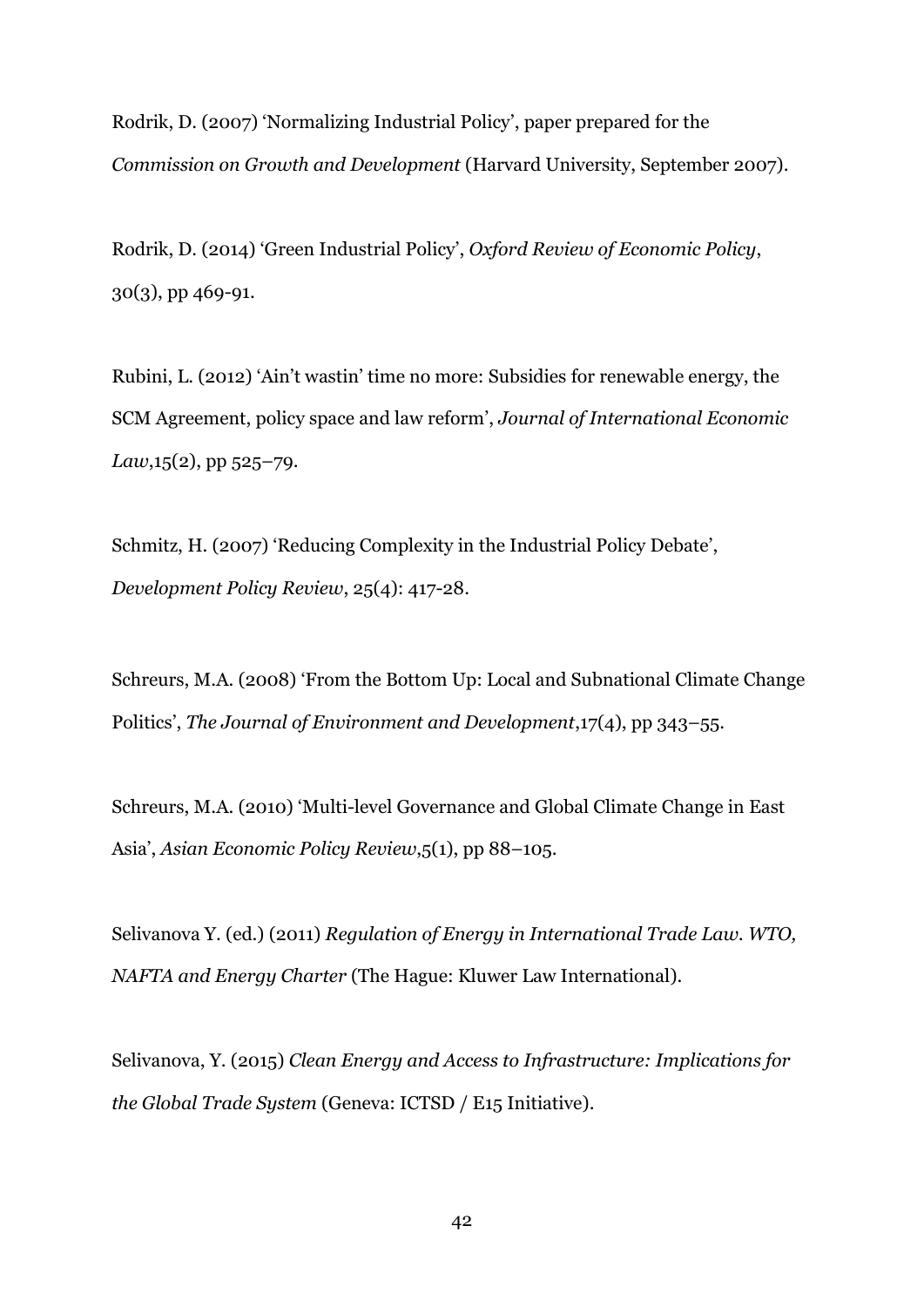Rodrik, D. (2007) 'Normalizing Industrial Policy', paper prepared for the *Commission on Growth and Development* (Harvard University, September 2007).

Rodrik, D. (2014) 'Green Industrial Policy', *Oxford Review of Economic Policy*, 30(3), pp 469-91.

Rubini, L. (2012) 'Ain't wastin' time no more: Subsidies for renewable energy, the SCM Agreement, policy space and law reform', *Journal of International Economic Law*,15(2), pp 525–79.

Schmitz, H. (2007) 'Reducing Complexity in the Industrial Policy Debate', *Development Policy Review*, 25(4): 417-28.

Schreurs, M.A. (2008) 'From the Bottom Up: Local and Subnational Climate Change Politics', *The Journal of Environment and Development*,17(4), pp 343–55.

Schreurs, M.A. (2010) 'Multi-level Governance and Global Climate Change in East Asia', *Asian Economic Policy Review*,5(1), pp 88–105.

Selivanova Y. (ed.) (2011) *Regulation of Energy in International Trade Law. WTO, NAFTA and Energy Charter* (The Hague: Kluwer Law International).

Selivanova, Y. (2015) *Clean Energy and Access to Infrastructure: Implications for the Global Trade System* (Geneva: ICTSD / E15 Initiative).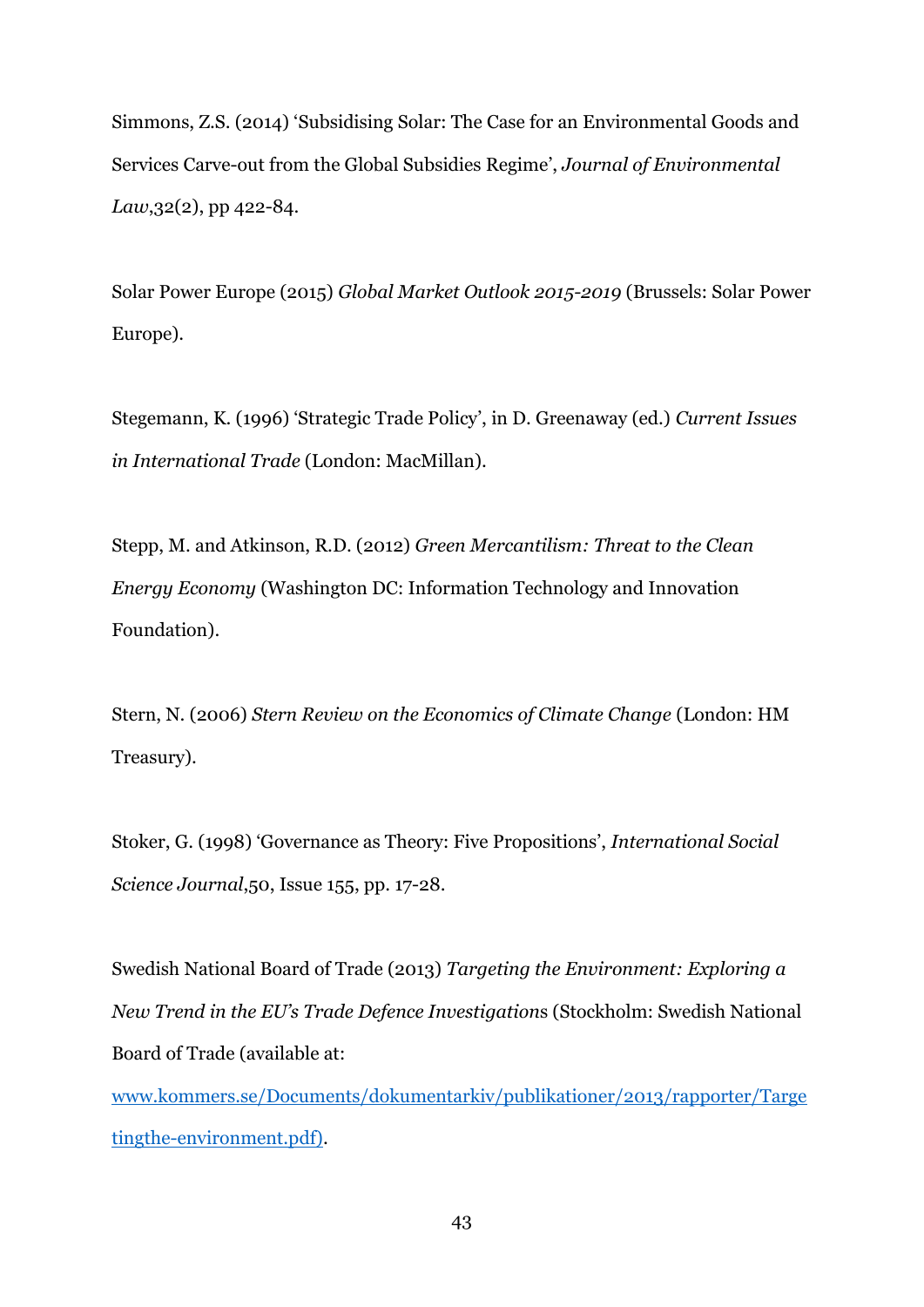Simmons, Z.S. (2014) 'Subsidising Solar: The Case for an Environmental Goods and Services Carve-out from the Global Subsidies Regime', *Journal of Environmental Law*,32(2), pp 422-84.

Solar Power Europe (2015) *Global Market Outlook 2015-2019* (Brussels: Solar Power Europe).

Stegemann, K. (1996) 'Strategic Trade Policy', in D. Greenaway (ed.) *Current Issues in International Trade* (London: MacMillan).

Stepp, M. and Atkinson, R.D. (2012) *Green Mercantilism: Threat to the Clean Energy Economy* (Washington DC: Information Technology and Innovation Foundation).

Stern, N. (2006) *Stern Review on the Economics of Climate Change* (London: HM Treasury).

Stoker, G. (1998) 'Governance as Theory: Five Propositions', *International Social Science Journal*,50, Issue 155, pp. 17-28.

Swedish National Board of Trade (2013) *Targeting the Environment: Exploring a New Trend in the EU's Trade Defence Investigation*s (Stockholm: Swedish National Board of Trade (available at:

[www.kommers.se/Documents/dokumentarkiv/publikationer/2013/rapporter/Targe](http://www.kommers.se/Documents/dokumentarkiv/publikationer/2013/rapporter/Targetingthe-environment.pdf) [tingthe-environment.pdf\)](http://www.kommers.se/Documents/dokumentarkiv/publikationer/2013/rapporter/Targetingthe-environment.pdf).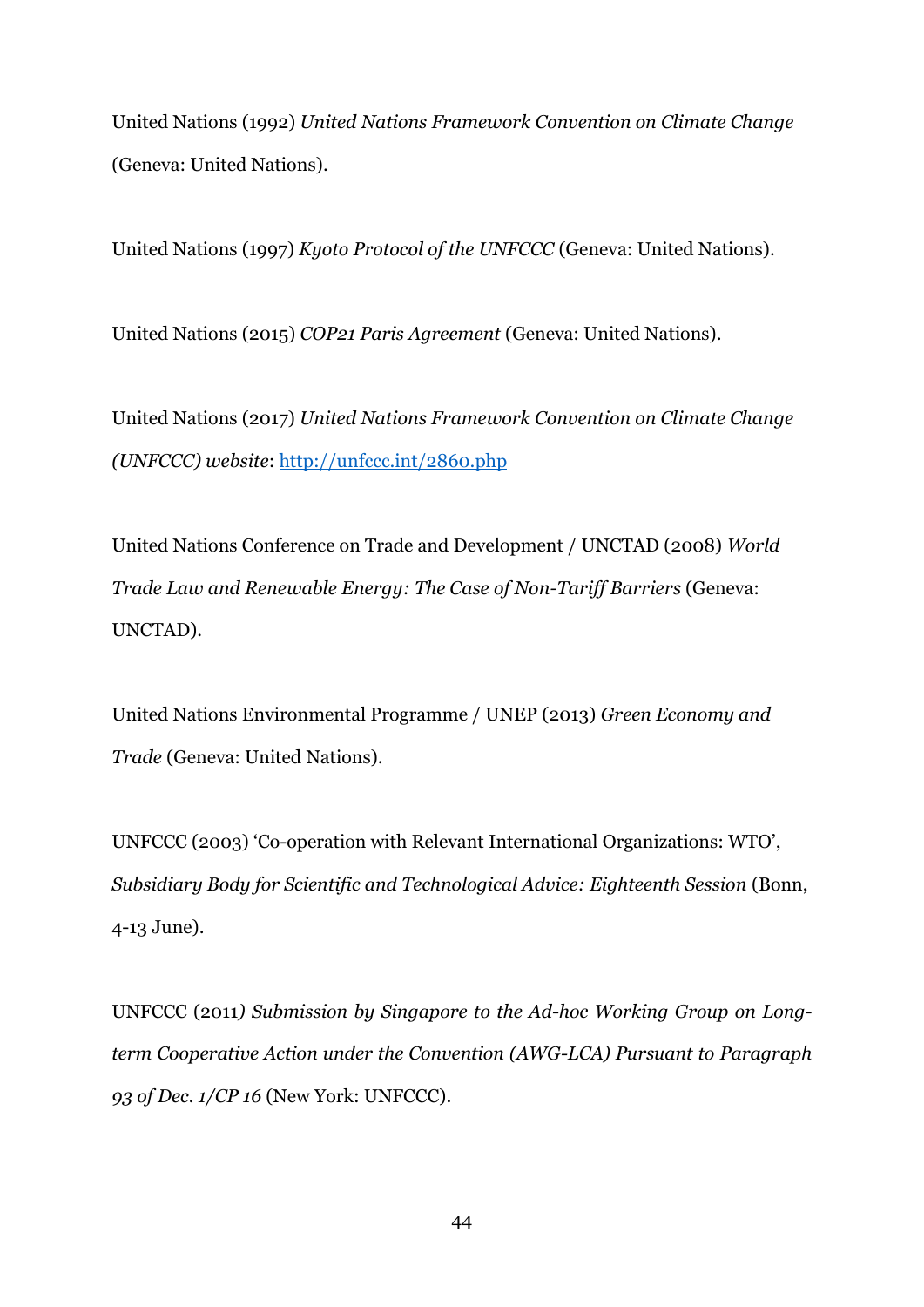United Nations (1992) *United Nations Framework Convention on Climate Change* (Geneva: United Nations).

United Nations (1997) *Kyoto Protocol of the UNFCCC* (Geneva: United Nations).

United Nations (2015) *COP21 Paris Agreement* (Geneva: United Nations).

United Nations (2017) *United Nations Framework Convention on Climate Change (UNFCCC) website*:<http://unfccc.int/2860.php>

United Nations Conference on Trade and Development / UNCTAD (2008) *World Trade Law and Renewable Energy: The Case of Non-Tariff Barriers* (Geneva: UNCTAD).

United Nations Environmental Programme / UNEP (2013) *Green Economy and Trade* (Geneva: United Nations).

UNFCCC (2003) 'Co-operation with Relevant International Organizations: WTO', *Subsidiary Body for Scientific and Technological Advice: Eighteenth Session* (Bonn, 4-13 June).

UNFCCC (2011*) Submission by Singapore to the Ad-hoc Working Group on Longterm Cooperative Action under the Convention (AWG-LCA) Pursuant to Paragraph 93 of Dec. 1/CP 16* (New York: UNFCCC).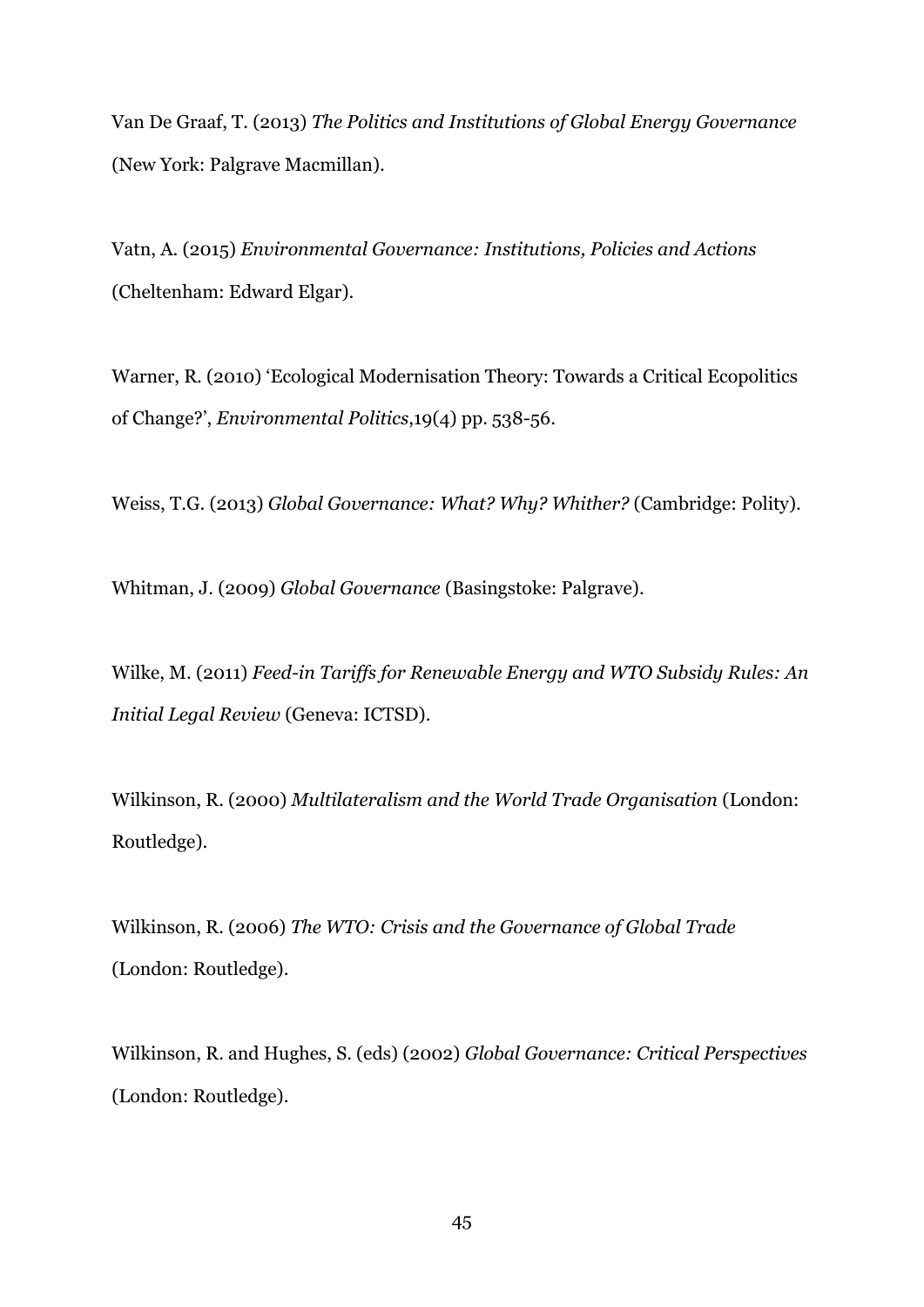Van De Graaf, T. (2013) *The Politics and Institutions of Global Energy Governance* (New York: Palgrave Macmillan).

Vatn, A. (2015) *Environmental Governance: Institutions, Policies and Actions* (Cheltenham: Edward Elgar).

Warner, R. (2010) 'Ecological Modernisation Theory: Towards a Critical Ecopolitics of Change?', *Environmental Politics*,19(4) pp. 538-56.

Weiss, T.G. (2013) *Global Governance: What? Why? Whither?* (Cambridge: Polity).

Whitman, J. (2009) *Global Governance* (Basingstoke: Palgrave).

Wilke, M. (2011) *Feed-in Tariffs for Renewable Energy and WTO Subsidy Rules: An Initial Legal Review* (Geneva: ICTSD).

Wilkinson, R. (2000) *Multilateralism and the World Trade Organisation* (London: Routledge).

Wilkinson, R. (2006) *The WTO: Crisis and the Governance of Global Trade* (London: Routledge).

Wilkinson, R. and Hughes, S. (eds) (2002) *Global Governance: Critical Perspectives* (London: Routledge).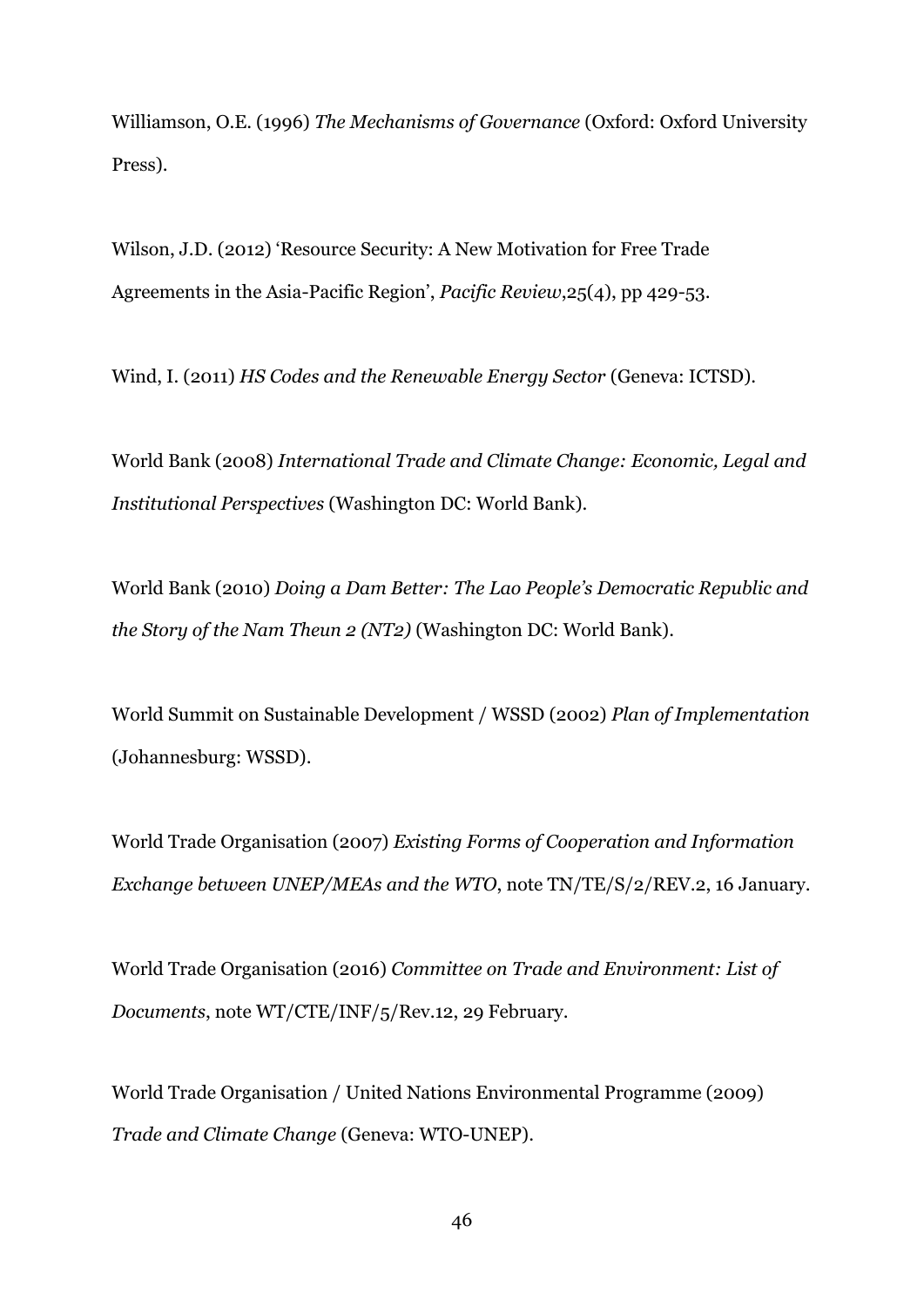Williamson, O.E. (1996) *The Mechanisms of Governance* (Oxford: Oxford University Press).

Wilson, J.D. (2012) 'Resource Security: A New Motivation for Free Trade Agreements in the Asia-Pacific Region', *Pacific Review*,25(4), pp 429-53.

Wind, I. (2011) *HS Codes and the Renewable Energy Sector* (Geneva: ICTSD).

World Bank (2008) *International Trade and Climate Change: Economic, Legal and Institutional Perspectives* (Washington DC: World Bank).

World Bank (2010) *Doing a Dam Better: The Lao People's Democratic Republic and the Story of the Nam Theun 2 (NT2)* (Washington DC: World Bank).

World Summit on Sustainable Development / WSSD (2002) *Plan of Implementation* (Johannesburg: WSSD).

World Trade Organisation (2007) *Existing Forms of Cooperation and Information Exchange between UNEP/MEAs and the WTO*, note TN/TE/S/2/REV.2, 16 January.

World Trade Organisation (2016) *Committee on Trade and Environment: List of Documents*, note WT/CTE/INF/5/Rev.12, 29 February.

World Trade Organisation / United Nations Environmental Programme (2009) *Trade and Climate Change* (Geneva: WTO-UNEP).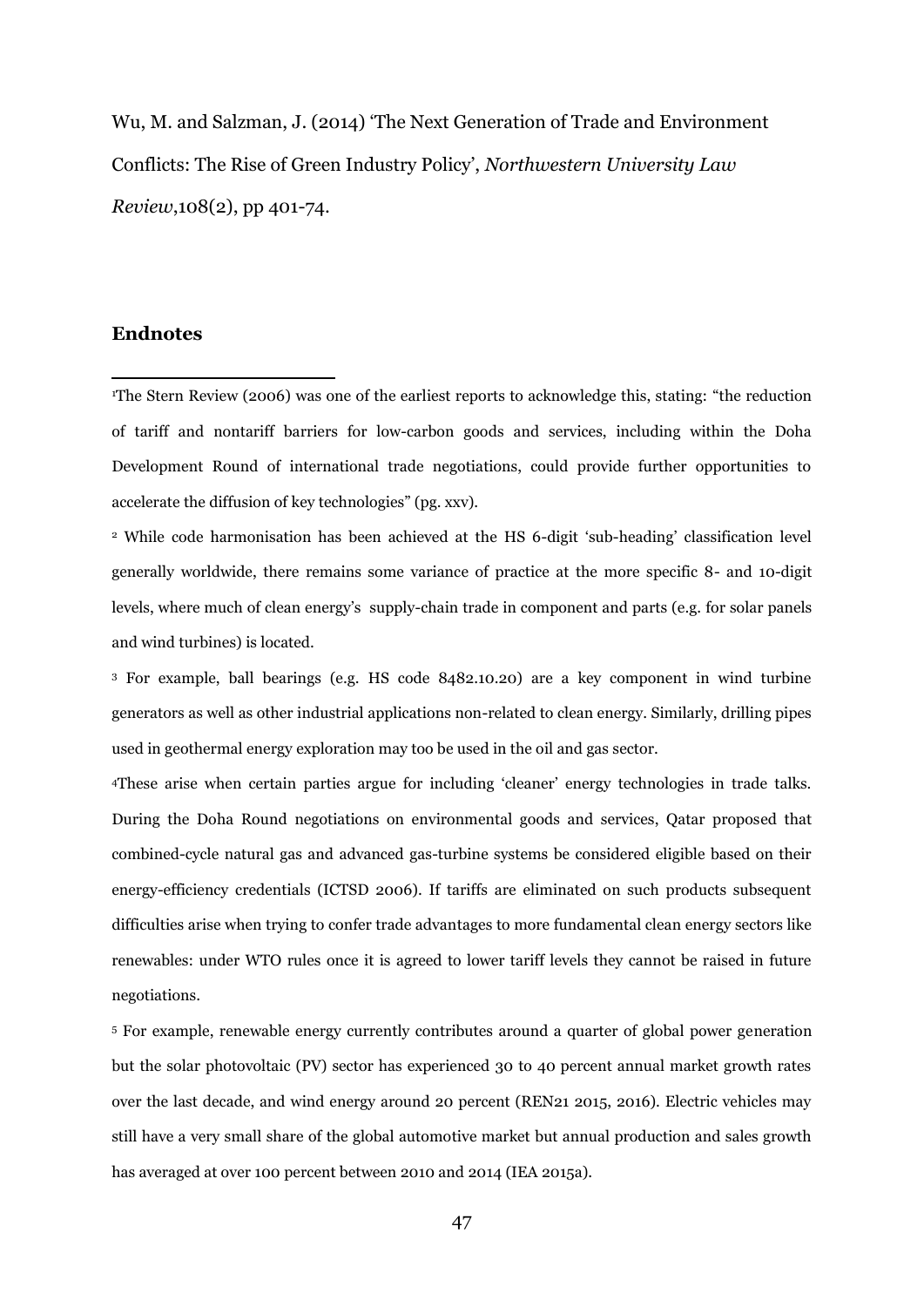Wu, M. and Salzman, J. (2014) 'The Next Generation of Trade and Environment Conflicts: The Rise of Green Industry Policy', *Northwestern University Law Review*,108(2), pp 401-74.

# **Endnotes**

1

<sup>1</sup>The Stern Review (2006) was one of the earliest reports to acknowledge this, stating: "the reduction of tariff and nontariff barriers for low-carbon goods and services, including within the Doha Development Round of international trade negotiations, could provide further opportunities to accelerate the diffusion of key technologies" (pg. xxv).

<sup>2</sup> While code harmonisation has been achieved at the HS 6-digit 'sub-heading' classification level generally worldwide, there remains some variance of practice at the more specific 8- and 10-digit levels, where much of clean energy's supply-chain trade in component and parts (e.g. for solar panels and wind turbines) is located.

<sup>3</sup> For example, ball bearings (e.g. HS code 8482.10.20) are a key component in wind turbine generators as well as other industrial applications non-related to clean energy. Similarly, drilling pipes used in geothermal energy exploration may too be used in the oil and gas sector.

<sup>4</sup>These arise when certain parties argue for including 'cleaner' energy technologies in trade talks. During the Doha Round negotiations on environmental goods and services, Qatar proposed that combined-cycle natural gas and advanced gas-turbine systems be considered eligible based on their energy-efficiency credentials (ICTSD 2006). If tariffs are eliminated on such products subsequent difficulties arise when trying to confer trade advantages to more fundamental clean energy sectors like renewables: under WTO rules once it is agreed to lower tariff levels they cannot be raised in future negotiations.

<sup>5</sup> For example, renewable energy currently contributes around a quarter of global power generation but the solar photovoltaic (PV) sector has experienced 30 to 40 percent annual market growth rates over the last decade, and wind energy around 20 percent (REN21 2015, 2016). Electric vehicles may still have a very small share of the global automotive market but annual production and sales growth has averaged at over 100 percent between 2010 and 2014 (IEA 2015a).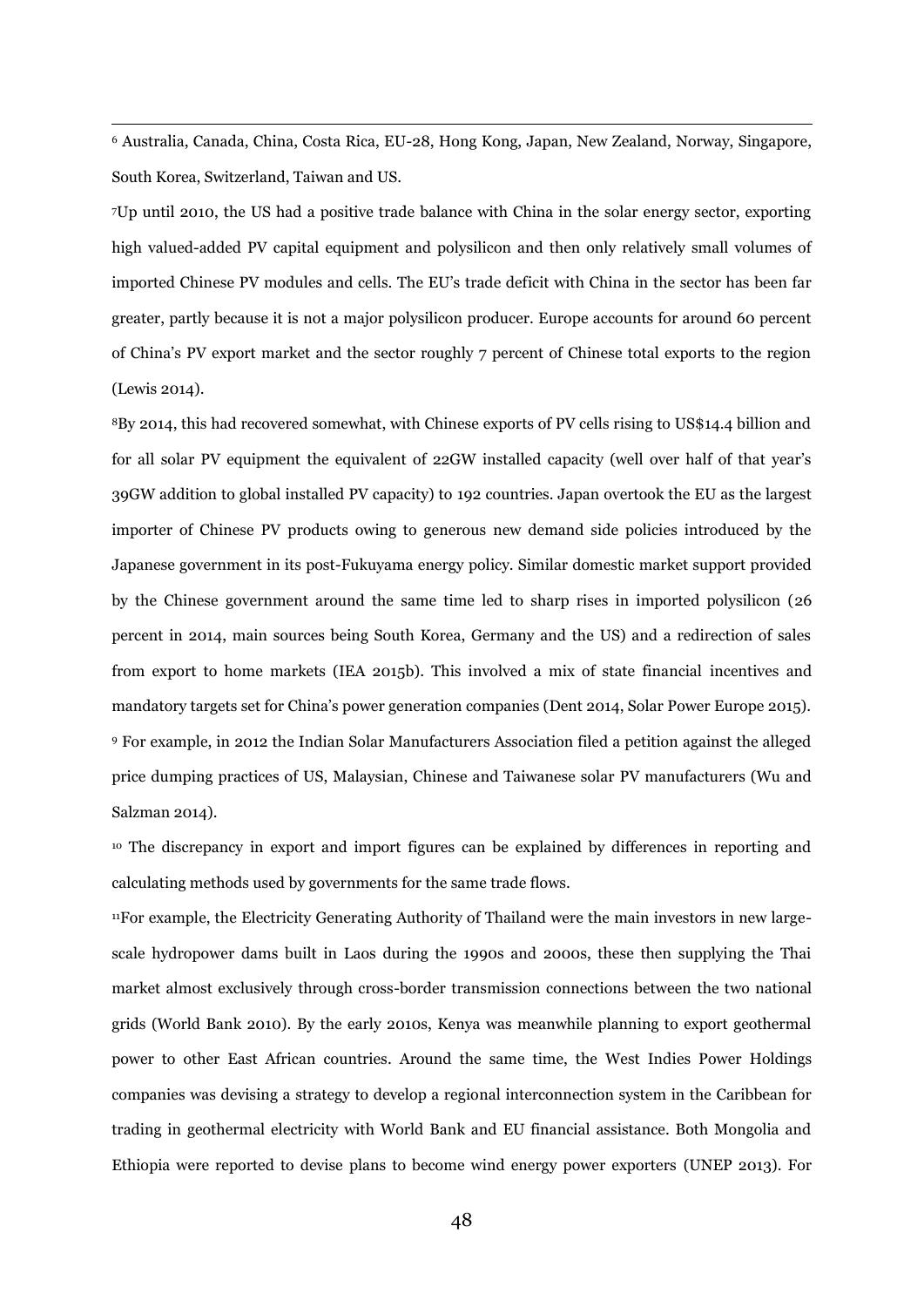<sup>6</sup> Australia, Canada, China, Costa Rica, EU-28, Hong Kong, Japan, New Zealand, Norway, Singapore, South Korea, Switzerland, Taiwan and US.

<u>.</u>

<sup>7</sup>Up until 2010, the US had a positive trade balance with China in the solar energy sector, exporting high valued-added PV capital equipment and polysilicon and then only relatively small volumes of imported Chinese PV modules and cells. The EU's trade deficit with China in the sector has been far greater, partly because it is not a major polysilicon producer. Europe accounts for around 60 percent of China's PV export market and the sector roughly 7 percent of Chinese total exports to the region (Lewis 2014).

<sup>8</sup>By 2014, this had recovered somewhat, with Chinese exports of PV cells rising to US\$14.4 billion and for all solar PV equipment the equivalent of 22GW installed capacity (well over half of that year's 39GW addition to global installed PV capacity) to 192 countries. Japan overtook the EU as the largest importer of Chinese PV products owing to generous new demand side policies introduced by the Japanese government in its post-Fukuyama energy policy. Similar domestic market support provided by the Chinese government around the same time led to sharp rises in imported polysilicon (26 percent in 2014, main sources being South Korea, Germany and the US) and a redirection of sales from export to home markets (IEA 2015b). This involved a mix of state financial incentives and mandatory targets set for China's power generation companies (Dent 2014, Solar Power Europe 2015). <sup>9</sup> For example, in 2012 the Indian Solar Manufacturers Association filed a petition against the alleged price dumping practices of US, Malaysian, Chinese and Taiwanese solar PV manufacturers (Wu and Salzman 2014).

<sup>10</sup> The discrepancy in export and import figures can be explained by differences in reporting and calculating methods used by governments for the same trade flows.

11For example, the Electricity Generating Authority of Thailand were the main investors in new largescale hydropower dams built in Laos during the 1990s and 2000s, these then supplying the Thai market almost exclusively through cross-border transmission connections between the two national grids (World Bank 2010). By the early 2010s, Kenya was meanwhile planning to export geothermal power to other East African countries. Around the same time, the West Indies Power Holdings companies was devising a strategy to develop a regional interconnection system in the Caribbean for trading in geothermal electricity with World Bank and EU financial assistance. Both Mongolia and Ethiopia were reported to devise plans to become wind energy power exporters (UNEP 2013). For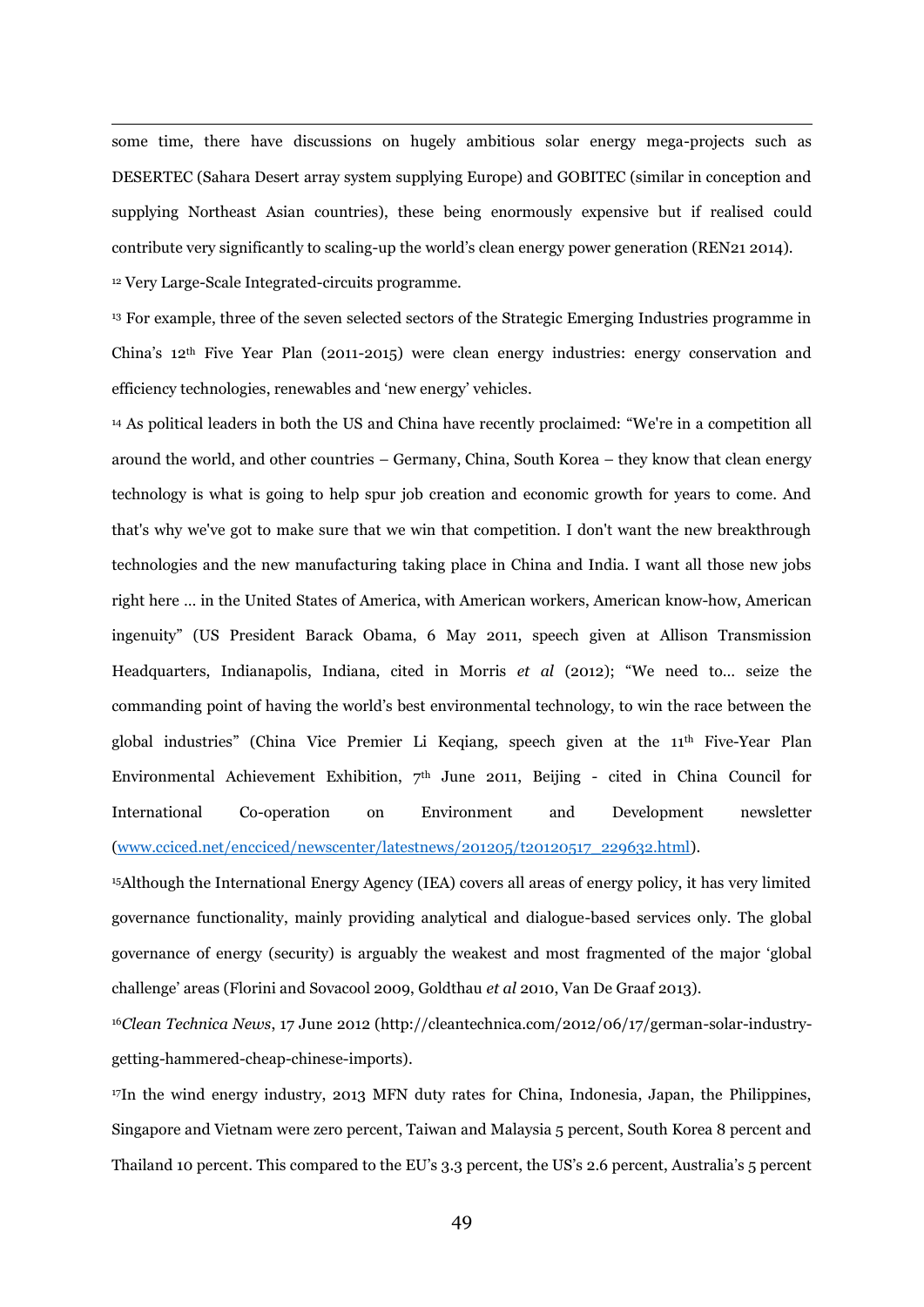some time, there have discussions on hugely ambitious solar energy mega-projects such as DESERTEC (Sahara Desert array system supplying Europe) and GOBITEC (similar in conception and supplying Northeast Asian countries), these being enormously expensive but if realised could contribute very significantly to scaling-up the world's clean energy power generation (REN21 2014).

<sup>12</sup> Very Large-Scale Integrated-circuits programme.

<u>.</u>

<sup>13</sup> For example, three of the seven selected sectors of the Strategic Emerging Industries programme in China's 12th Five Year Plan (2011-2015) were clean energy industries: energy conservation and efficiency technologies, renewables and 'new energy' vehicles.

<sup>14</sup> As political leaders in both the US and China have recently proclaimed: "We're in a competition all around the world, and other countries – Germany, China, South Korea – they know that clean energy technology is what is going to help spur job creation and economic growth for years to come. And that's why we've got to make sure that we win that competition. I don't want the new breakthrough technologies and the new manufacturing taking place in China and India. I want all those new jobs right here … in the United States of America, with American workers, American know-how, American ingenuity" (US President Barack Obama, 6 May 2011, speech given at Allison Transmission Headquarters, Indianapolis, Indiana, cited in Morris *et al* (2012); "We need to… seize the commanding point of having the world's best environmental technology, to win the race between the global industries" (China Vice Premier Li Keqiang, speech given at the 11th Five-Year Plan Environmental Achievement Exhibition, 7th June 2011, Beijing - cited in China Council for International Co-operation on Environment and Development newsletter [\(www.cciced.net/encciced/newscenter/latestnews/201205/t20120517\\_229632.html\)](http://www.cciced.net/encciced/newscenter/latestnews/201205/t20120517_229632.html).

<sup>15</sup>Although the International Energy Agency (IEA) covers all areas of energy policy, it has very limited governance functionality, mainly providing analytical and dialogue-based services only. The global governance of energy (security) is arguably the weakest and most fragmented of the major 'global challenge' areas (Florini and Sovacool 2009, Goldthau *et al* 2010, Van De Graaf 2013).

16*Clean Technica News*, 17 June 2012 (http://cleantechnica.com/2012/06/17/german-solar-industrygetting-hammered-cheap-chinese-imports).

<sup>17</sup>In the wind energy industry, 2013 MFN duty rates for China, Indonesia, Japan, the Philippines, Singapore and Vietnam were zero percent, Taiwan and Malaysia 5 percent, South Korea 8 percent and Thailand 10 percent. This compared to the EU's 3.3 percent, the US's 2.6 percent, Australia's 5 percent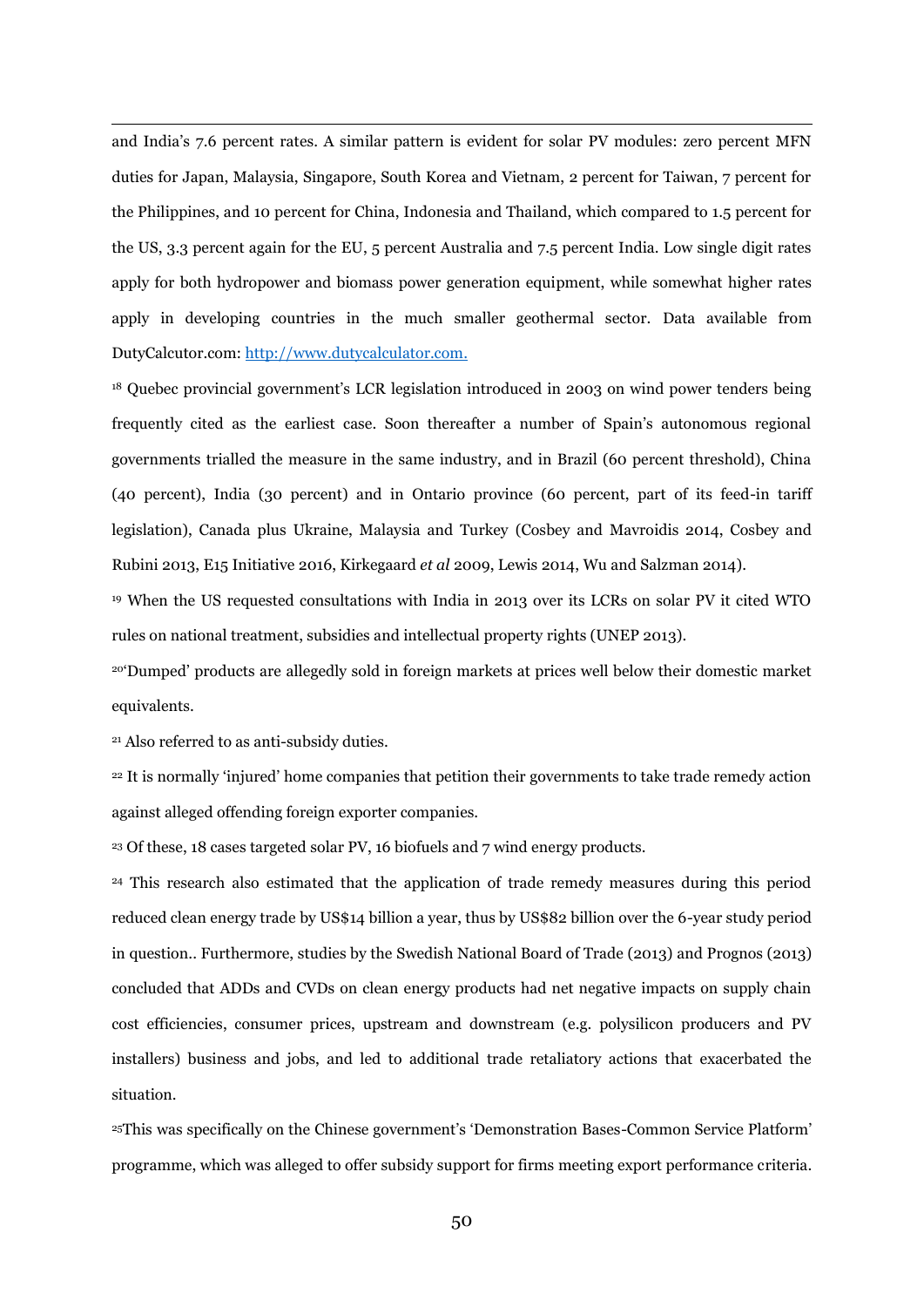and India's 7.6 percent rates. A similar pattern is evident for solar PV modules: zero percent MFN duties for Japan, Malaysia, Singapore, South Korea and Vietnam, 2 percent for Taiwan, 7 percent for the Philippines, and 10 percent for China, Indonesia and Thailand, which compared to 1.5 percent for the US, 3.3 percent again for the EU, 5 percent Australia and 7.5 percent India. Low single digit rates apply for both hydropower and biomass power generation equipment, while somewhat higher rates apply in developing countries in the much smaller geothermal sector. Data available from DutyCalcutor.com: [http://www.dutycalculator.com.](http://www.dutycalculator.com/)

<sup>18</sup> Quebec provincial government's LCR legislation introduced in 2003 on wind power tenders being frequently cited as the earliest case. Soon thereafter a number of Spain's autonomous regional governments trialled the measure in the same industry, and in Brazil (60 percent threshold), China (40 percent), India (30 percent) and in Ontario province (60 percent, part of its feed-in tariff legislation), Canada plus Ukraine, Malaysia and Turkey (Cosbey and Mavroidis 2014, Cosbey and Rubini 2013, E15 Initiative 2016, Kirkegaard *et al* 2009, Lewis 2014, Wu and Salzman 2014).

<sup>19</sup> When the US requested consultations with India in 2013 over its LCRs on solar PV it cited WTO rules on national treatment, subsidies and intellectual property rights (UNEP 2013).

<sup>20</sup>'Dumped' products are allegedly sold in foreign markets at prices well below their domestic market equivalents.

<sup>21</sup> Also referred to as anti-subsidy duties.

<u>.</u>

<sup>22</sup> It is normally 'injured' home companies that petition their governments to take trade remedy action against alleged offending foreign exporter companies.

<sup>23</sup> Of these, 18 cases targeted solar PV, 16 biofuels and 7 wind energy products.

<sup>24</sup> This research also estimated that the application of trade remedy measures during this period reduced clean energy trade by US\$14 billion a year, thus by US\$82 billion over the 6-year study period in question.. Furthermore, studies by the Swedish National Board of Trade (2013) and Prognos (2013) concluded that ADDs and CVDs on clean energy products had net negative impacts on supply chain cost efficiencies, consumer prices, upstream and downstream (e.g. polysilicon producers and PV installers) business and jobs, and led to additional trade retaliatory actions that exacerbated the situation.

<sup>25</sup>This was specifically on the Chinese government's 'Demonstration Bases-Common Service Platform' programme, which was alleged to offer subsidy support for firms meeting export performance criteria.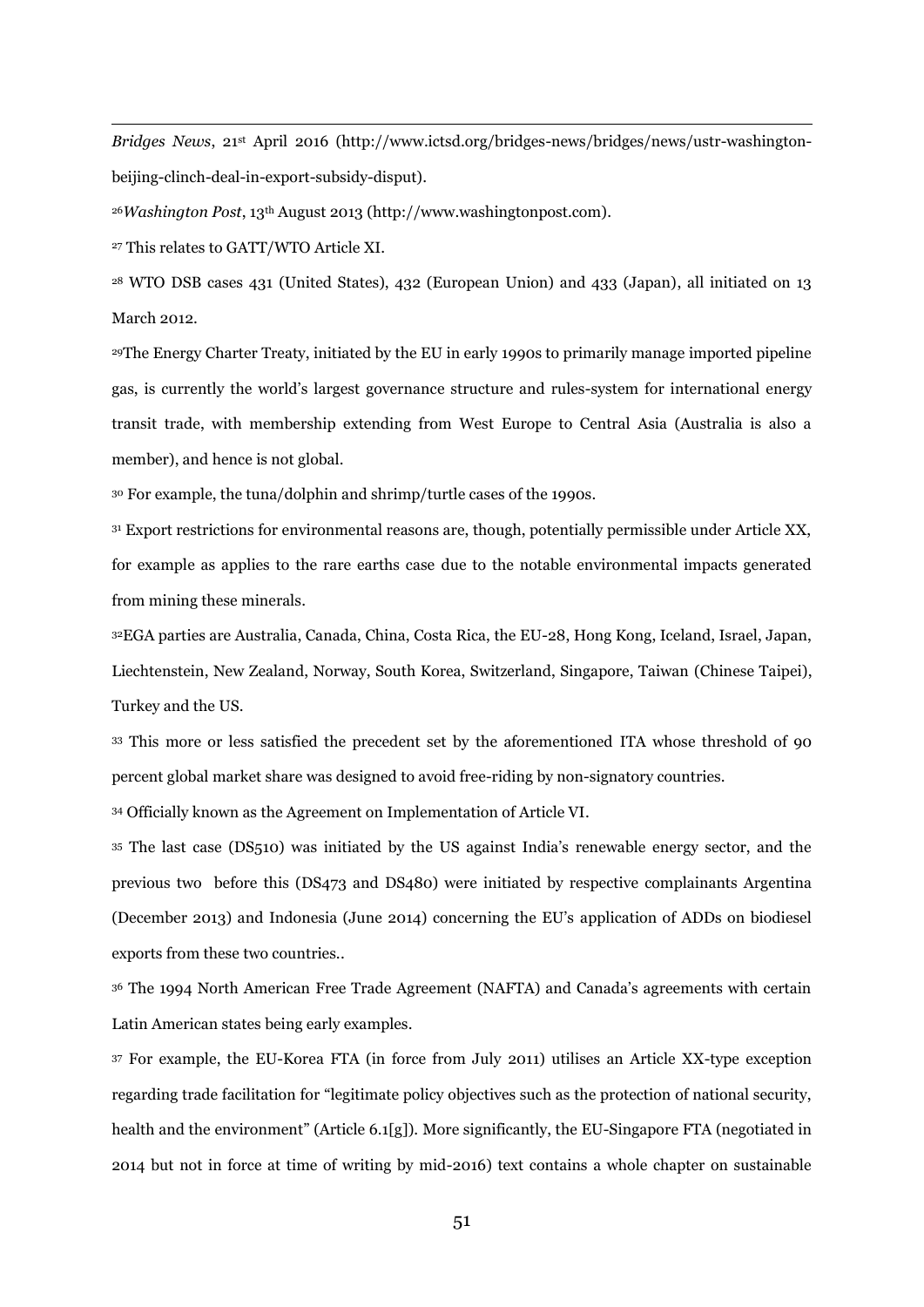*Bridges News*, 21st April 2016 (http://www.ictsd.org/bridges-news/bridges/news/ustr-washingtonbeijing-clinch-deal-in-export-subsidy-disput).

<sup>26</sup>*Washington Post*, 13th August 2013 (http://www.washingtonpost.com).

<sup>27</sup> This relates to GATT/WTO Article XI.

<u>.</u>

<sup>28</sup> WTO DSB cases 431 (United States), 432 (European Union) and 433 (Japan), all initiated on 13 March 2012.

<sup>29</sup>The Energy Charter Treaty, initiated by the EU in early 1990s to primarily manage imported pipeline gas, is currently the world's largest governance structure and rules-system for international energy transit trade, with membership extending from West Europe to Central Asia (Australia is also a member), and hence is not global.

<sup>30</sup> For example, the tuna/dolphin and shrimp/turtle cases of the 1990s.

<sup>31</sup> Export restrictions for environmental reasons are, though, potentially permissible under Article XX, for example as applies to the rare earths case due to the notable environmental impacts generated from mining these minerals.

<sup>32</sup>EGA parties are Australia, Canada, China, Costa Rica, the EU-28, Hong Kong, Iceland, Israel, Japan, Liechtenstein, New Zealand, Norway, South Korea, Switzerland, Singapore, Taiwan (Chinese Taipei), Turkey and the US.

<sup>33</sup> This more or less satisfied the precedent set by the aforementioned ITA whose threshold of 90 percent global market share was designed to avoid free-riding by non-signatory countries.

<sup>34</sup> Officially known as the Agreement on Implementation of Article VI.

<sup>35</sup> The last case (DS510) was initiated by the US against India's renewable energy sector, and the previous two before this (DS473 and DS480) were initiated by respective complainants Argentina (December 2013) and Indonesia (June 2014) concerning the EU's application of ADDs on biodiesel exports from these two countries..

<sup>36</sup> The 1994 North American Free Trade Agreement (NAFTA) and Canada's agreements with certain Latin American states being early examples.

<sup>37</sup> For example, the EU-Korea FTA (in force from July 2011) utilises an Article XX-type exception regarding trade facilitation for "legitimate policy objectives such as the protection of national security, health and the environment" (Article 6.1[g]). More significantly, the EU-Singapore FTA (negotiated in 2014 but not in force at time of writing by mid-2016) text contains a whole chapter on sustainable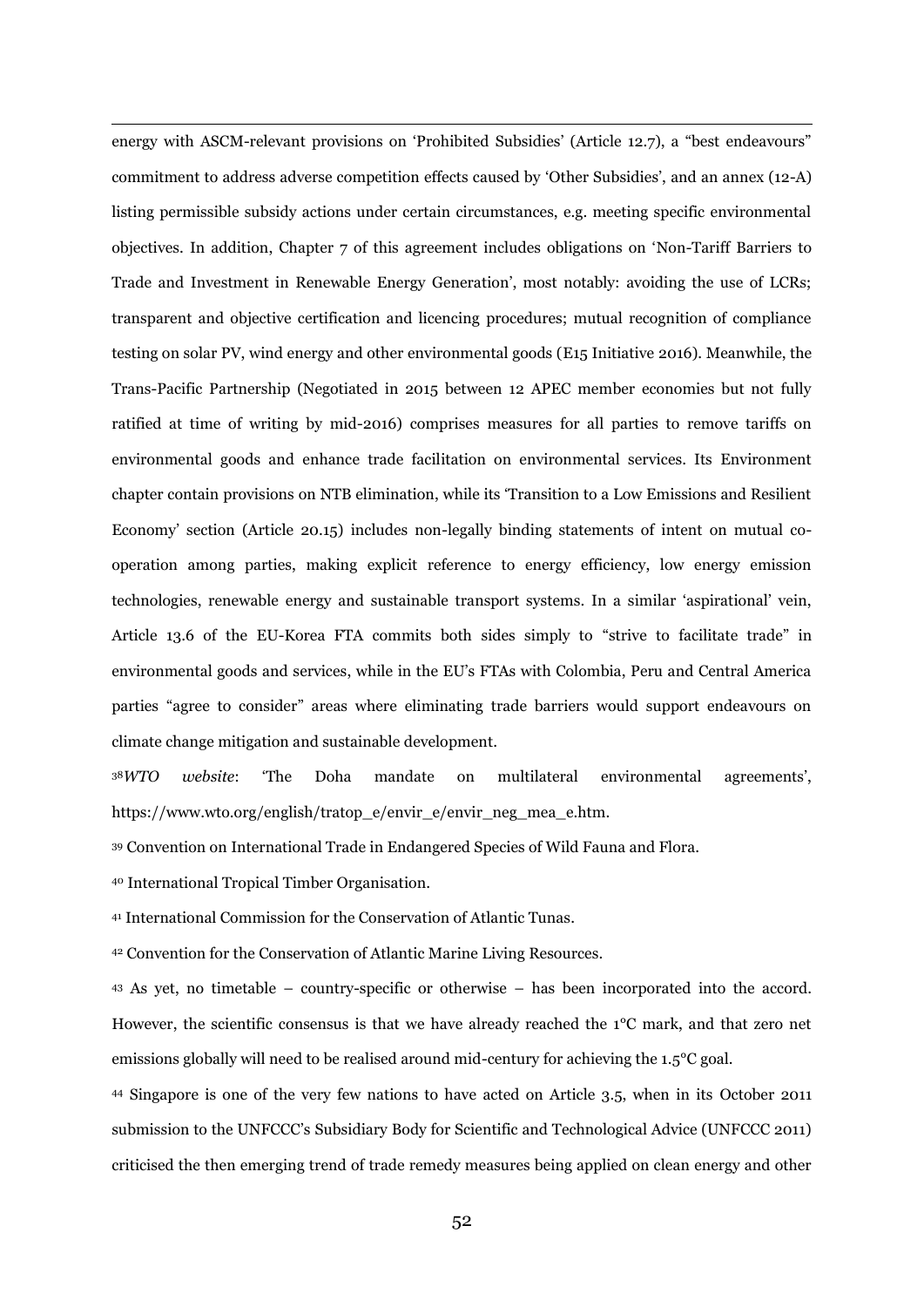energy with ASCM-relevant provisions on 'Prohibited Subsidies' (Article 12.7), a "best endeavours" commitment to address adverse competition effects caused by 'Other Subsidies', and an annex (12-A) listing permissible subsidy actions under certain circumstances, e.g. meeting specific environmental objectives. In addition, Chapter 7 of this agreement includes obligations on 'Non-Tariff Barriers to Trade and Investment in Renewable Energy Generation', most notably: avoiding the use of LCRs; transparent and objective certification and licencing procedures; mutual recognition of compliance testing on solar PV, wind energy and other environmental goods (E15 Initiative 2016). Meanwhile, the Trans-Pacific Partnership (Negotiated in 2015 between 12 APEC member economies but not fully ratified at time of writing by mid-2016) comprises measures for all parties to remove tariffs on environmental goods and enhance trade facilitation on environmental services. Its Environment chapter contain provisions on NTB elimination, while its 'Transition to a Low Emissions and Resilient Economy' section (Article 20.15) includes non-legally binding statements of intent on mutual cooperation among parties, making explicit reference to energy efficiency, low energy emission technologies, renewable energy and sustainable transport systems. In a similar 'aspirational' vein, Article 13.6 of the EU-Korea FTA commits both sides simply to "strive to facilitate trade" in environmental goods and services, while in the EU's FTAs with Colombia, Peru and Central America parties "agree to consider" areas where eliminating trade barriers would support endeavours on climate change mitigation and sustainable development.

<sup>38</sup>*WTO website*: 'The Doha mandate on multilateral environmental agreements', https://www.wto.org/english/tratop\_e/envir\_e/envir\_neg\_mea\_e.htm.

<sup>39</sup> Convention on International Trade in Endangered Species of Wild Fauna and Flora.

<sup>40</sup> International Tropical Timber Organisation.

<u>.</u>

<sup>41</sup> International Commission for the Conservation of Atlantic Tunas.

<sup>42</sup> Convention for the Conservation of Atlantic Marine Living Resources.

<sup>43</sup> As yet, no timetable – country-specific or otherwise – has been incorporated into the accord. However, the scientific consensus is that we have already reached the 1°C mark, and that zero net emissions globally will need to be realised around mid-century for achieving the 1.5°C goal.

<sup>44</sup> Singapore is one of the very few nations to have acted on Article 3.5, when in its October 2011 submission to the UNFCCC's Subsidiary Body for Scientific and Technological Advice (UNFCCC 2011) criticised the then emerging trend of trade remedy measures being applied on clean energy and other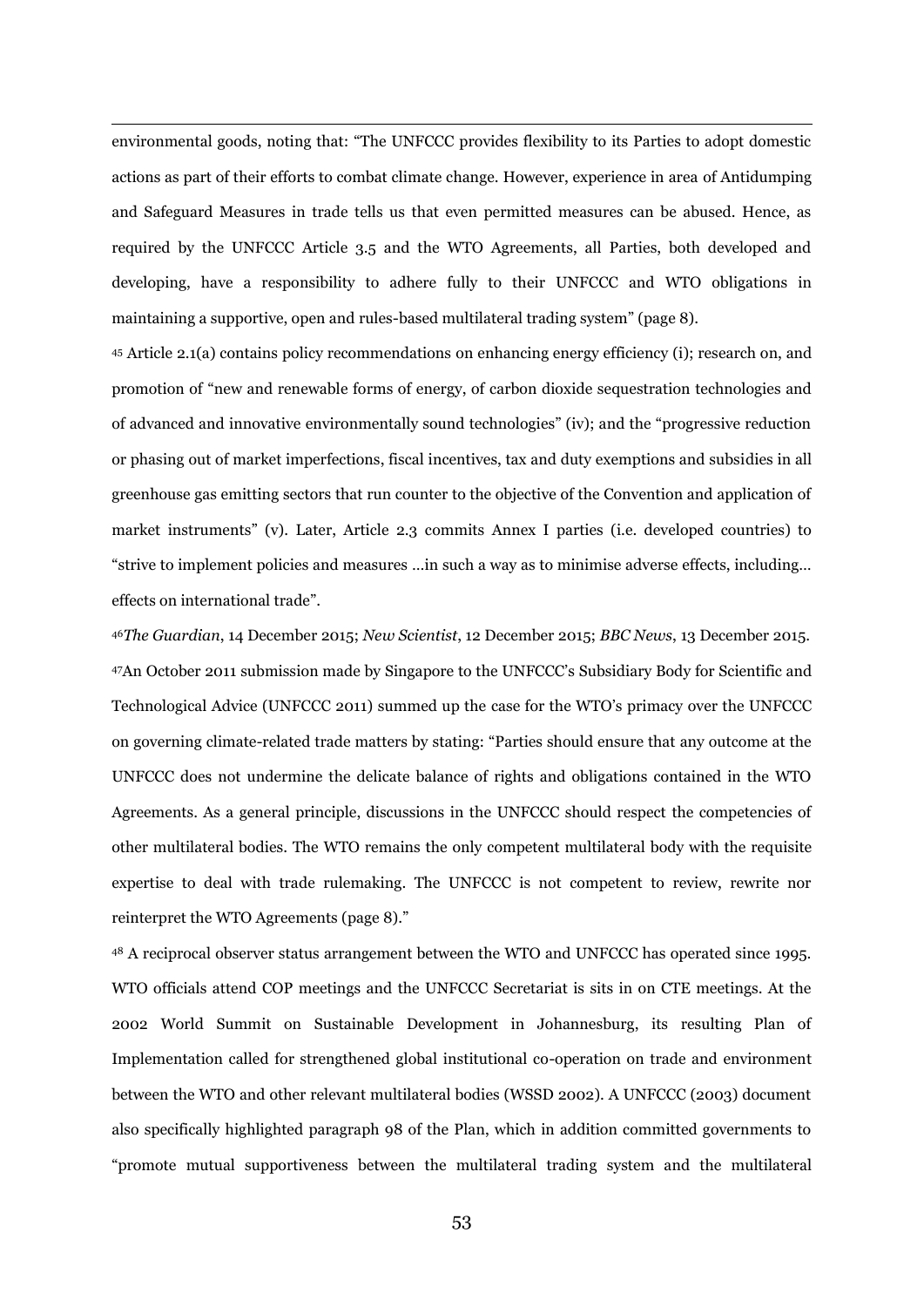environmental goods, noting that: "The UNFCCC provides flexibility to its Parties to adopt domestic actions as part of their efforts to combat climate change. However, experience in area of Antidumping and Safeguard Measures in trade tells us that even permitted measures can be abused. Hence, as required by the UNFCCC Article 3.5 and the WTO Agreements, all Parties, both developed and developing, have a responsibility to adhere fully to their UNFCCC and WTO obligations in maintaining a supportive, open and rules-based multilateral trading system" (page 8).

<u>.</u>

<sup>45</sup> Article 2.1(a) contains policy recommendations on enhancing energy efficiency (i); research on, and promotion of "new and renewable forms of energy, of carbon dioxide sequestration technologies and of advanced and innovative environmentally sound technologies" (iv); and the "progressive reduction or phasing out of market imperfections, fiscal incentives, tax and duty exemptions and subsidies in all greenhouse gas emitting sectors that run counter to the objective of the Convention and application of market instruments" (v). Later, Article 2.3 commits Annex I parties (i.e. developed countries) to "strive to implement policies and measures …in such a way as to minimise adverse effects, including… effects on international trade".

<sup>46</sup>*The Guardian*, 14 December 2015; *New Scientist*, 12 December 2015; *BBC News*, 13 December 2015. <sup>47</sup>An October 2011 submission made by Singapore to the UNFCCC's Subsidiary Body for Scientific and Technological Advice (UNFCCC 2011) summed up the case for the WTO's primacy over the UNFCCC on governing climate-related trade matters by stating: "Parties should ensure that any outcome at the UNFCCC does not undermine the delicate balance of rights and obligations contained in the WTO Agreements. As a general principle, discussions in the UNFCCC should respect the competencies of other multilateral bodies. The WTO remains the only competent multilateral body with the requisite expertise to deal with trade rulemaking. The UNFCCC is not competent to review, rewrite nor reinterpret the WTO Agreements (page 8)."

<sup>48</sup> A reciprocal observer status arrangement between the WTO and UNFCCC has operated since 1995. WTO officials attend COP meetings and the UNFCCC Secretariat is sits in on CTE meetings. At the 2002 World Summit on Sustainable Development in Johannesburg, its resulting Plan of Implementation called for strengthened global institutional co-operation on trade and environment between the WTO and other relevant multilateral bodies (WSSD 2002). A UNFCCC (2003) document also specifically highlighted paragraph 98 of the Plan, which in addition committed governments to "promote mutual supportiveness between the multilateral trading system and the multilateral